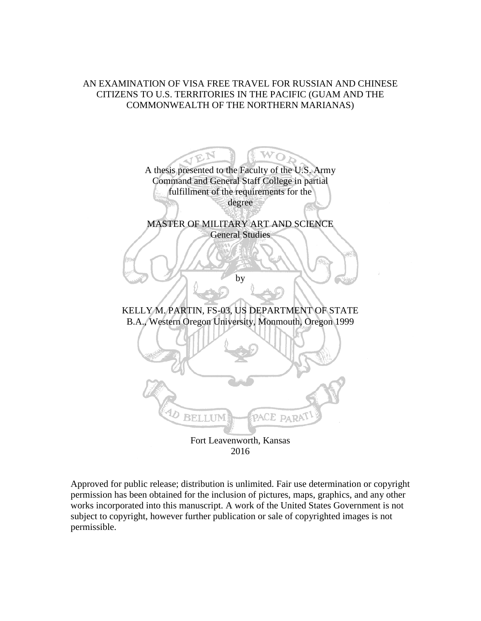# AN EXAMINATION OF VISA FREE TRAVEL FOR RUSSIAN AND CHINESE CITIZENS TO U.S. TERRITORIES IN THE PACIFIC (GUAM AND THE COMMONWEALTH OF THE NORTHERN MARIANAS)



Approved for public release; distribution is unlimited. Fair use determination or copyright permission has been obtained for the inclusion of pictures, maps, graphics, and any other works incorporated into this manuscript. A work of the United States Government is not subject to copyright, however further publication or sale of copyrighted images is not permissible.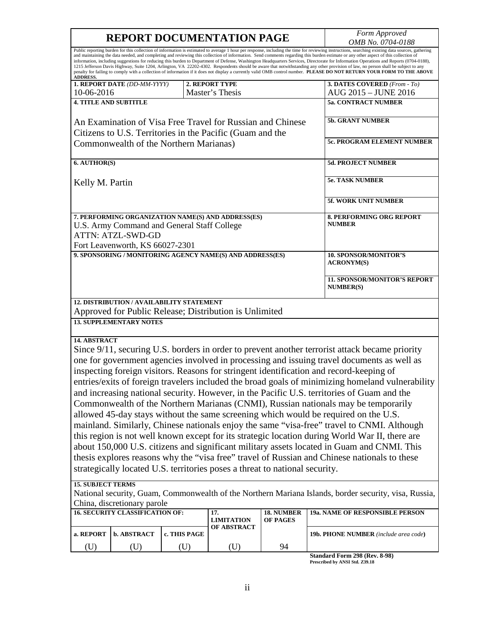| <b>REPORT DOCUMENTATION PAGE</b> | Form Approved            |
|----------------------------------|--------------------------|
|                                  | <i>OMB No. 0704-0188</i> |

| <b>ADDRESS.</b>                                                                                                                                                                                                                                                                                                                                                                                                                                                                                                                                                                                                                                                                                                                                                                                                                                                                                                                                                                                                                                                                                                                                                                                                                                                                                                                         |                                                         |                                           |                                                           |                        | Public reporting burden for this collection of information is estimated to average 1 hour per response, including the time for reviewing instructions, searching existing data sources, gathering<br>and maintaining the data needed, and completing and reviewing this collection of information. Send comments regarding this burden estimate or any other aspect of this collection of<br>information, including suggestions for reducing this burden to Department of Defense, Washington Headquarters Services, Directorate for Information Operations and Reports (0704-0188),<br>1215 Jefferson Davis Highway, Suite 1204, Arlington, VA 22202-4302. Respondents should be aware that notwithstanding any other provision of law, no person shall be subject to any<br>penalty for failing to comply with a collection of information if it does not display a currently valid OMB control number. PLEASE DO NOT RETURN YOUR FORM TO THE ABOVE |  |  |
|-----------------------------------------------------------------------------------------------------------------------------------------------------------------------------------------------------------------------------------------------------------------------------------------------------------------------------------------------------------------------------------------------------------------------------------------------------------------------------------------------------------------------------------------------------------------------------------------------------------------------------------------------------------------------------------------------------------------------------------------------------------------------------------------------------------------------------------------------------------------------------------------------------------------------------------------------------------------------------------------------------------------------------------------------------------------------------------------------------------------------------------------------------------------------------------------------------------------------------------------------------------------------------------------------------------------------------------------|---------------------------------------------------------|-------------------------------------------|-----------------------------------------------------------|------------------------|-------------------------------------------------------------------------------------------------------------------------------------------------------------------------------------------------------------------------------------------------------------------------------------------------------------------------------------------------------------------------------------------------------------------------------------------------------------------------------------------------------------------------------------------------------------------------------------------------------------------------------------------------------------------------------------------------------------------------------------------------------------------------------------------------------------------------------------------------------------------------------------------------------------------------------------------------------|--|--|
| 2. REPORT TYPE<br>1. REPORT DATE (DD-MM-YYYY)                                                                                                                                                                                                                                                                                                                                                                                                                                                                                                                                                                                                                                                                                                                                                                                                                                                                                                                                                                                                                                                                                                                                                                                                                                                                                           |                                                         |                                           |                                                           |                        | 3. DATES COVERED (From - To)                                                                                                                                                                                                                                                                                                                                                                                                                                                                                                                                                                                                                                                                                                                                                                                                                                                                                                                          |  |  |
| 10-06-2016                                                                                                                                                                                                                                                                                                                                                                                                                                                                                                                                                                                                                                                                                                                                                                                                                                                                                                                                                                                                                                                                                                                                                                                                                                                                                                                              |                                                         |                                           | Master's Thesis                                           |                        | AUG 2015 - JUNE 2016                                                                                                                                                                                                                                                                                                                                                                                                                                                                                                                                                                                                                                                                                                                                                                                                                                                                                                                                  |  |  |
| <b>4. TITLE AND SUBTITLE</b>                                                                                                                                                                                                                                                                                                                                                                                                                                                                                                                                                                                                                                                                                                                                                                                                                                                                                                                                                                                                                                                                                                                                                                                                                                                                                                            |                                                         |                                           |                                                           |                        | <b>5a. CONTRACT NUMBER</b>                                                                                                                                                                                                                                                                                                                                                                                                                                                                                                                                                                                                                                                                                                                                                                                                                                                                                                                            |  |  |
| An Examination of Visa Free Travel for Russian and Chinese<br>Citizens to U.S. Territories in the Pacific (Guam and the                                                                                                                                                                                                                                                                                                                                                                                                                                                                                                                                                                                                                                                                                                                                                                                                                                                                                                                                                                                                                                                                                                                                                                                                                 |                                                         | <b>5b. GRANT NUMBER</b>                   |                                                           |                        |                                                                                                                                                                                                                                                                                                                                                                                                                                                                                                                                                                                                                                                                                                                                                                                                                                                                                                                                                       |  |  |
|                                                                                                                                                                                                                                                                                                                                                                                                                                                                                                                                                                                                                                                                                                                                                                                                                                                                                                                                                                                                                                                                                                                                                                                                                                                                                                                                         |                                                         | Commonwealth of the Northern Marianas)    |                                                           |                        | <b>5c. PROGRAM ELEMENT NUMBER</b>                                                                                                                                                                                                                                                                                                                                                                                                                                                                                                                                                                                                                                                                                                                                                                                                                                                                                                                     |  |  |
| 6. AUTHOR(S)                                                                                                                                                                                                                                                                                                                                                                                                                                                                                                                                                                                                                                                                                                                                                                                                                                                                                                                                                                                                                                                                                                                                                                                                                                                                                                                            |                                                         |                                           |                                                           |                        | 5d. PROJECT NUMBER                                                                                                                                                                                                                                                                                                                                                                                                                                                                                                                                                                                                                                                                                                                                                                                                                                                                                                                                    |  |  |
| Kelly M. Partin                                                                                                                                                                                                                                                                                                                                                                                                                                                                                                                                                                                                                                                                                                                                                                                                                                                                                                                                                                                                                                                                                                                                                                                                                                                                                                                         |                                                         |                                           |                                                           |                        | <b>5e. TASK NUMBER</b>                                                                                                                                                                                                                                                                                                                                                                                                                                                                                                                                                                                                                                                                                                                                                                                                                                                                                                                                |  |  |
|                                                                                                                                                                                                                                                                                                                                                                                                                                                                                                                                                                                                                                                                                                                                                                                                                                                                                                                                                                                                                                                                                                                                                                                                                                                                                                                                         |                                                         |                                           |                                                           |                        | 5f. WORK UNIT NUMBER                                                                                                                                                                                                                                                                                                                                                                                                                                                                                                                                                                                                                                                                                                                                                                                                                                                                                                                                  |  |  |
| 7. PERFORMING ORGANIZATION NAME(S) AND ADDRESS(ES)<br><b>NUMBER</b><br>U.S. Army Command and General Staff College<br><b>ATTN: ATZL-SWD-GD</b><br>Fort Leavenworth, KS 66027-2301                                                                                                                                                                                                                                                                                                                                                                                                                                                                                                                                                                                                                                                                                                                                                                                                                                                                                                                                                                                                                                                                                                                                                       |                                                         |                                           |                                                           |                        | <b>8. PERFORMING ORG REPORT</b>                                                                                                                                                                                                                                                                                                                                                                                                                                                                                                                                                                                                                                                                                                                                                                                                                                                                                                                       |  |  |
|                                                                                                                                                                                                                                                                                                                                                                                                                                                                                                                                                                                                                                                                                                                                                                                                                                                                                                                                                                                                                                                                                                                                                                                                                                                                                                                                         |                                                         |                                           | 9. SPONSORING / MONITORING AGENCY NAME(S) AND ADDRESS(ES) |                        | <b>10. SPONSOR/MONITOR'S</b><br><b>ACRONYM(S)</b>                                                                                                                                                                                                                                                                                                                                                                                                                                                                                                                                                                                                                                                                                                                                                                                                                                                                                                     |  |  |
|                                                                                                                                                                                                                                                                                                                                                                                                                                                                                                                                                                                                                                                                                                                                                                                                                                                                                                                                                                                                                                                                                                                                                                                                                                                                                                                                         | <b>11. SPONSOR/MONITOR'S REPORT</b><br><b>NUMBER(S)</b> |                                           |                                                           |                        |                                                                                                                                                                                                                                                                                                                                                                                                                                                                                                                                                                                                                                                                                                                                                                                                                                                                                                                                                       |  |  |
|                                                                                                                                                                                                                                                                                                                                                                                                                                                                                                                                                                                                                                                                                                                                                                                                                                                                                                                                                                                                                                                                                                                                                                                                                                                                                                                                         |                                                         | 12. DISTRIBUTION / AVAILABILITY STATEMENT | Approved for Public Release; Distribution is Unlimited    |                        |                                                                                                                                                                                                                                                                                                                                                                                                                                                                                                                                                                                                                                                                                                                                                                                                                                                                                                                                                       |  |  |
|                                                                                                                                                                                                                                                                                                                                                                                                                                                                                                                                                                                                                                                                                                                                                                                                                                                                                                                                                                                                                                                                                                                                                                                                                                                                                                                                         | <b>13. SUPPLEMENTARY NOTES</b>                          |                                           |                                                           |                        |                                                                                                                                                                                                                                                                                                                                                                                                                                                                                                                                                                                                                                                                                                                                                                                                                                                                                                                                                       |  |  |
| 14. ABSTRACT<br>Since 9/11, securing U.S. borders in order to prevent another terrorist attack became priority<br>one for government agencies involved in processing and issuing travel documents as well as<br>inspecting foreign visitors. Reasons for stringent identification and record-keeping of<br>entries/exits of foreign travelers included the broad goals of minimizing homeland vulnerability<br>and increasing national security. However, in the Pacific U.S. territories of Guam and the<br>Commonwealth of the Northern Marianas (CNMI), Russian nationals may be temporarily<br>allowed 45-day stays without the same screening which would be required on the U.S.<br>mainland. Similarly, Chinese nationals enjoy the same "visa-free" travel to CNMI. Although<br>this region is not well known except for its strategic location during World War II, there are<br>about 150,000 U.S. citizens and significant military assets located in Guam and CNMI. This<br>thesis explores reasons why the "visa free" travel of Russian and Chinese nationals to these<br>strategically located U.S. territories poses a threat to national security.<br><b>15. SUBJECT TERMS</b><br>National security, Guam, Commonwealth of the Northern Mariana Islands, border security, visa, Russia,<br>China, discretionary parole |                                                         |                                           |                                                           |                        |                                                                                                                                                                                                                                                                                                                                                                                                                                                                                                                                                                                                                                                                                                                                                                                                                                                                                                                                                       |  |  |
|                                                                                                                                                                                                                                                                                                                                                                                                                                                                                                                                                                                                                                                                                                                                                                                                                                                                                                                                                                                                                                                                                                                                                                                                                                                                                                                                         | <b>16. SECURITY CLASSIFICATION OF:</b>                  |                                           | 17.<br><b>LIMITATION</b>                                  | 18. NUMBER<br>OF PAGES | 19a. NAME OF RESPONSIBLE PERSON                                                                                                                                                                                                                                                                                                                                                                                                                                                                                                                                                                                                                                                                                                                                                                                                                                                                                                                       |  |  |
| a. REPORT                                                                                                                                                                                                                                                                                                                                                                                                                                                                                                                                                                                                                                                                                                                                                                                                                                                                                                                                                                                                                                                                                                                                                                                                                                                                                                                               | b. ABSTRACT                                             | c. THIS PAGE                              | <b>OF ABSTRACT</b>                                        |                        | 19b. PHONE NUMBER (include area code)                                                                                                                                                                                                                                                                                                                                                                                                                                                                                                                                                                                                                                                                                                                                                                                                                                                                                                                 |  |  |

**Standard Form 298 (Rev. 8-98) Prescribed by ANSI Std. Z39.18**

(U) (U) (U) (U) 94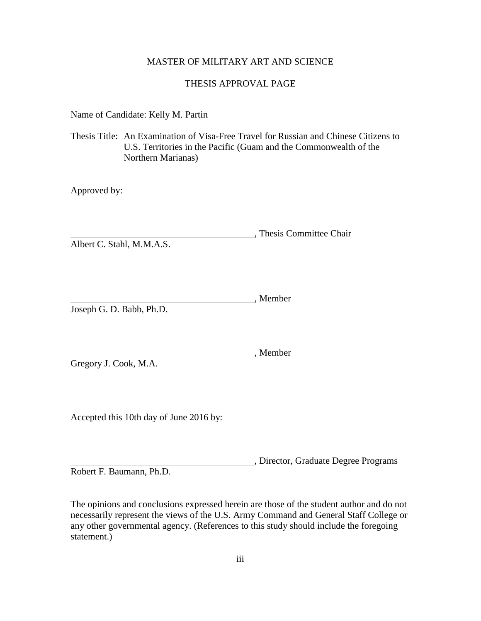# MASTER OF MILITARY ART AND SCIENCE

# THESIS APPROVAL PAGE

Name of Candidate: Kelly M. Partin

Thesis Title: An Examination of Visa-Free Travel for Russian and Chinese Citizens to U.S. Territories in the Pacific (Guam and the Commonwealth of the Northern Marianas)

Approved by:

, Thesis Committee Chair Albert C. Stahl, M.M.A.S.

**Member**, Member Joseph G. D. Babb, Ph.D.

Gregory J. Cook, M.A.

Accepted this 10th day of June 2016 by:

, Director, Graduate Degree Programs

, Member

Robert F. Baumann, Ph.D.

The opinions and conclusions expressed herein are those of the student author and do not necessarily represent the views of the U.S. Army Command and General Staff College or any other governmental agency. (References to this study should include the foregoing statement.)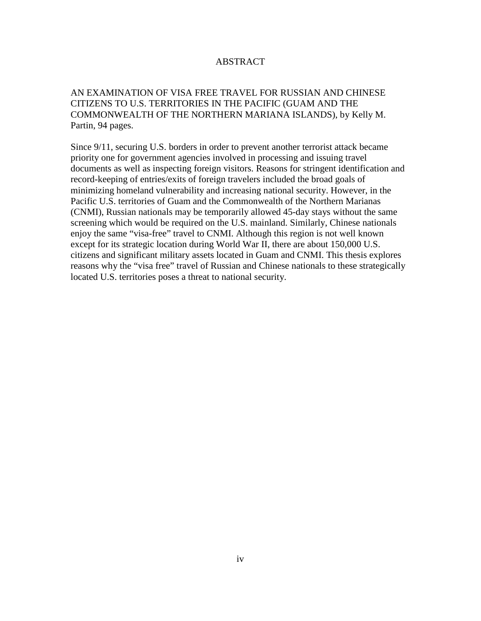# ABSTRACT

# AN EXAMINATION OF VISA FREE TRAVEL FOR RUSSIAN AND CHINESE CITIZENS TO U.S. TERRITORIES IN THE PACIFIC (GUAM AND THE COMMONWEALTH OF THE NORTHERN MARIANA ISLANDS), by Kelly M. Partin, 94 pages.

Since 9/11, securing U.S. borders in order to prevent another terrorist attack became priority one for government agencies involved in processing and issuing travel documents as well as inspecting foreign visitors. Reasons for stringent identification and record-keeping of entries/exits of foreign travelers included the broad goals of minimizing homeland vulnerability and increasing national security. However, in the Pacific U.S. territories of Guam and the Commonwealth of the Northern Marianas (CNMI), Russian nationals may be temporarily allowed 45-day stays without the same screening which would be required on the U.S. mainland. Similarly, Chinese nationals enjoy the same "visa-free" travel to CNMI. Although this region is not well known except for its strategic location during World War II, there are about 150,000 U.S. citizens and significant military assets located in Guam and CNMI. This thesis explores reasons why the "visa free" travel of Russian and Chinese nationals to these strategically located U.S. territories poses a threat to national security.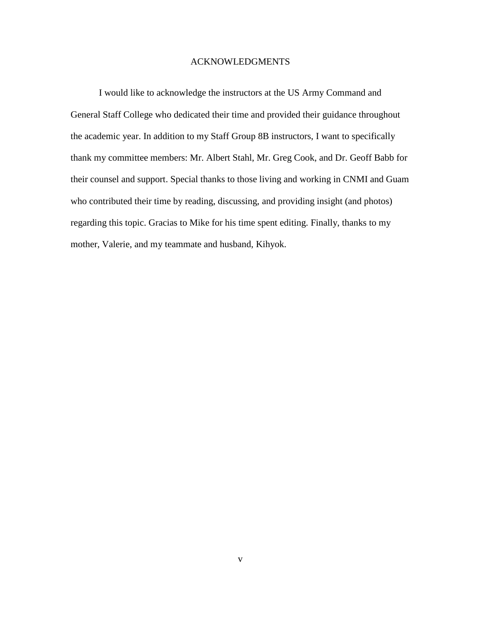## ACKNOWLEDGMENTS

I would like to acknowledge the instructors at the US Army Command and General Staff College who dedicated their time and provided their guidance throughout the academic year. In addition to my Staff Group 8B instructors, I want to specifically thank my committee members: Mr. Albert Stahl, Mr. Greg Cook, and Dr. Geoff Babb for their counsel and support. Special thanks to those living and working in CNMI and Guam who contributed their time by reading, discussing, and providing insight (and photos) regarding this topic. Gracias to Mike for his time spent editing. Finally, thanks to my mother, Valerie, and my teammate and husband, Kihyok.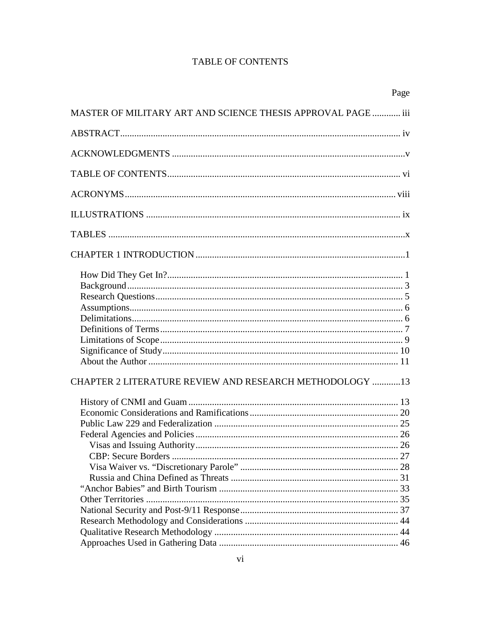# **TABLE OF CONTENTS**

|                                                              | Page |
|--------------------------------------------------------------|------|
| MASTER OF MILITARY ART AND SCIENCE THESIS APPROVAL PAGE  iii |      |
|                                                              |      |
|                                                              |      |
|                                                              |      |
|                                                              |      |
|                                                              |      |
|                                                              |      |
|                                                              |      |
|                                                              |      |
|                                                              |      |
|                                                              |      |
|                                                              |      |
|                                                              |      |
| CHAPTER 2 LITERATURE REVIEW AND RESEARCH METHODOLOGY 13      |      |
|                                                              |      |
|                                                              |      |
|                                                              |      |
|                                                              |      |
|                                                              |      |
|                                                              |      |
|                                                              |      |
|                                                              |      |
|                                                              |      |
|                                                              |      |
|                                                              |      |
|                                                              |      |
|                                                              |      |
|                                                              |      |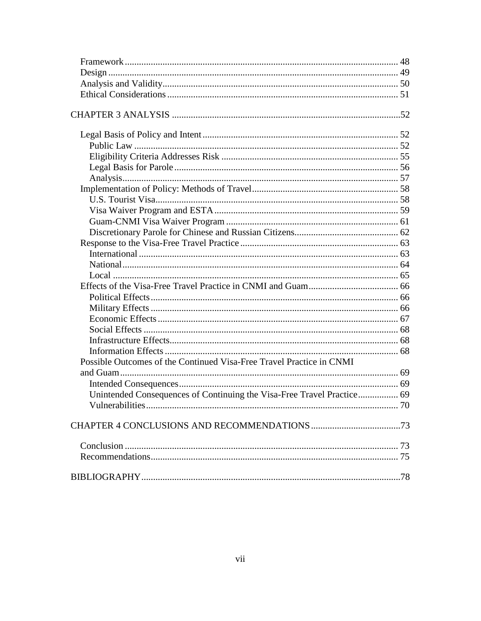| Possible Outcomes of the Continued Visa-Free Travel Practice in CNMI   |     |
|------------------------------------------------------------------------|-----|
|                                                                        |     |
|                                                                        |     |
| Unintended Consequences of Continuing the Visa-Free Travel Practice 69 |     |
|                                                                        |     |
|                                                                        |     |
|                                                                        |     |
|                                                                        |     |
|                                                                        | .78 |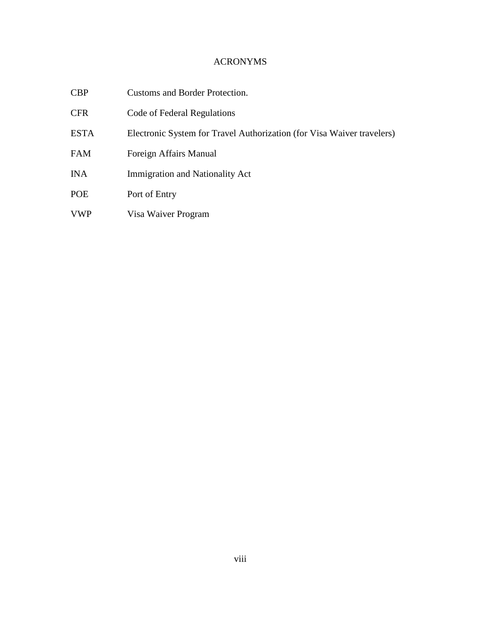# ACRONYMS

| <b>CBP</b> | Customs and Border Protection. |
|------------|--------------------------------|
|------------|--------------------------------|

- CFR Code of Federal Regulations
- ESTA Electronic System for Travel Authorization (for Visa Waiver travelers)
- FAM Foreign Affairs Manual
- INA Immigration and Nationality Act
- POE Port of Entry
- VWP Visa Waiver Program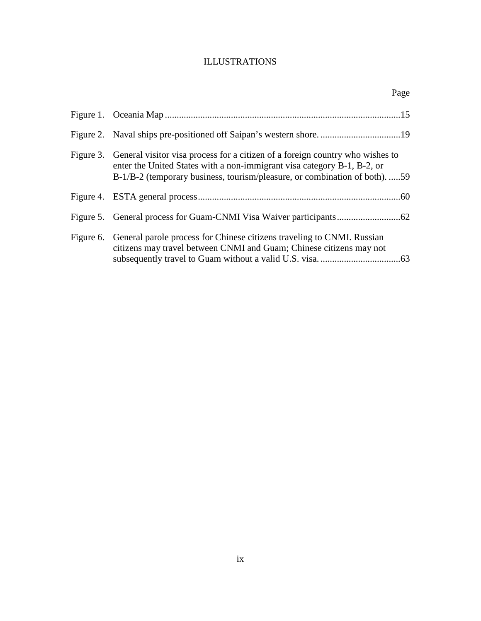# ILLUSTRATIONS

| Page                                                                                                                                                                                                                                             |
|--------------------------------------------------------------------------------------------------------------------------------------------------------------------------------------------------------------------------------------------------|
|                                                                                                                                                                                                                                                  |
|                                                                                                                                                                                                                                                  |
| Figure 3. General visitor visa process for a citizen of a foreign country who wishes to<br>enter the United States with a non-immigrant visa category B-1, B-2, or<br>B-1/B-2 (temporary business, tourism/pleasure, or combination of both). 59 |
|                                                                                                                                                                                                                                                  |
|                                                                                                                                                                                                                                                  |
| Figure 6. General parole process for Chinese citizens traveling to CNMI. Russian<br>citizens may travel between CNMI and Guam; Chinese citizens may not                                                                                          |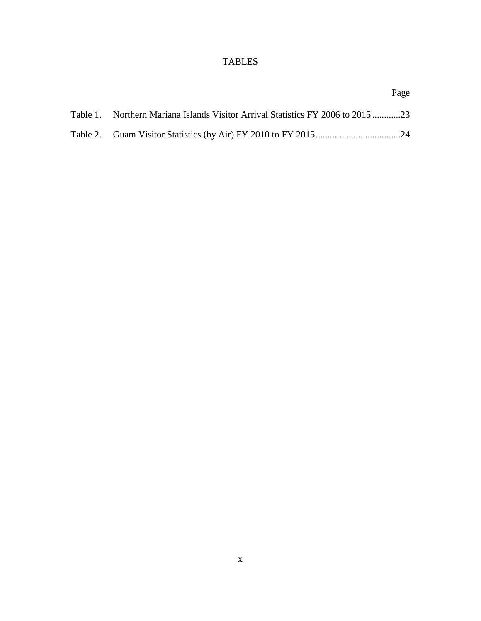# TABLES

|                                                                                 | Page |
|---------------------------------------------------------------------------------|------|
| Table 1. Northern Mariana Islands Visitor Arrival Statistics FY 2006 to 2015 23 |      |
|                                                                                 |      |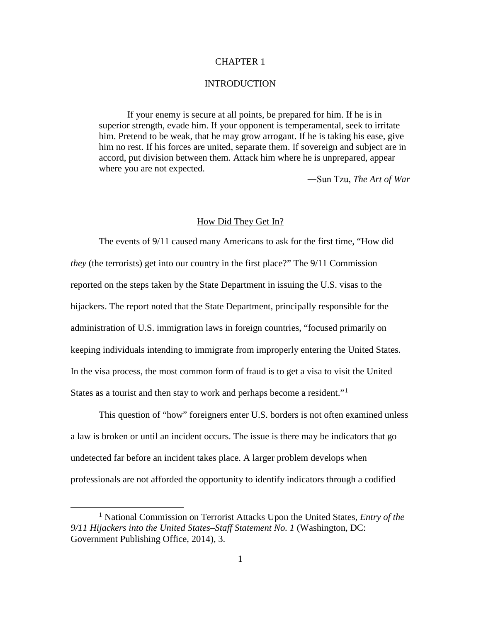## CHAPTER 1

#### **INTRODUCTION**

If your enemy is secure at all points, be prepared for him. If he is in superior strength, evade him. If your opponent is temperamental, seek to irritate him. Pretend to be weak, that he may grow arrogant. If he is taking his ease, give him no rest. If his forces are united, separate them. If sovereign and subject are in accord, put division between them. Attack him where he is unprepared, appear where you are not expected.

―Sun Tzu, *The Art of War*

### How Did They Get In?

The events of 9/11 caused many Americans to ask for the first time, "How did *they* (the terrorists) get into our country in the first place?" The 9/11 Commission reported on the steps taken by the State Department in issuing the U.S. visas to the hijackers. The report noted that the State Department, principally responsible for the administration of U.S. immigration laws in foreign countries, "focused primarily on keeping individuals intending to immigrate from improperly entering the United States. In the visa process, the most common form of fraud is to get a visa to visit the United States as a tourist and then stay to work and perhaps become a resident."<sup>[1](#page-10-0)</sup>

This question of "how" foreigners enter U.S. borders is not often examined unless a law is broken or until an incident occurs. The issue is there may be indicators that go undetected far before an incident takes place. A larger problem develops when professionals are not afforded the opportunity to identify indicators through a codified

<span id="page-10-0"></span> <sup>1</sup> National Commission on Terrorist Attacks Upon the United States, *Entry of the 9/11 Hijackers into the United States–Staff Statement No. 1* (Washington, DC: Government Publishing Office, 2014), 3.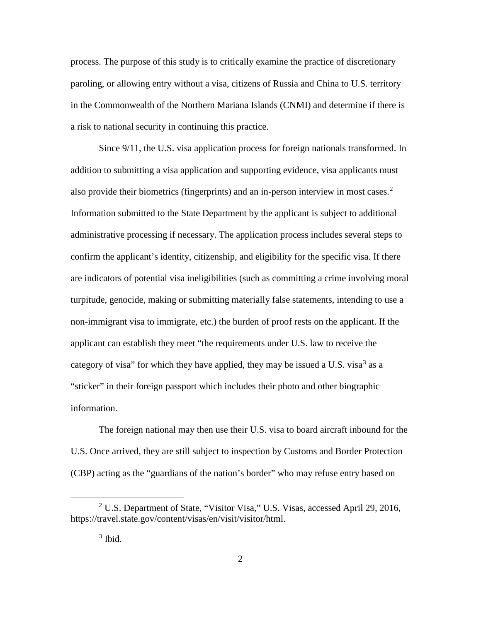process. The purpose of this study is to critically examine the practice of discretionary paroling, or allowing entry without a visa, citizens of Russia and China to U.S. territory in the Commonwealth of the Northern Mariana Islands (CNMI) and determine if there is a risk to national security in continuing this practice.

Since 9/11, the U.S. visa application process for foreign nationals transformed. In addition to submitting a visa application and supporting evidence, visa applicants must also provide their biometrics (fingerprints) and an in-person interview in most cases.<sup>[2](#page-11-0)</sup> Information submitted to the State Department by the applicant is subject to additional administrative processing if necessary. The application process includes several steps to confirm the applicant's identity, citizenship, and eligibility for the specific visa. If there are indicators of potential visa ineligibilities (such as committing a crime involving moral turpitude, genocide, making or submitting materially false statements, intending to use a non-immigrant visa to immigrate, etc.) the burden of proof rests on the applicant. If the applicant can establish they meet "the requirements under U.S. law to receive the category of visa" for which they have applied, they may be issued a U.S. visa<sup>[3](#page-11-1)</sup> as a "sticker" in their foreign passport which includes their photo and other biographic information.

The foreign national may then use their U.S. visa to board aircraft inbound for the U.S. Once arrived, they are still subject to inspection by Customs and Border Protection (CBP) acting as the "guardians of the nation's border" who may refuse entry based on

<span id="page-11-1"></span><span id="page-11-0"></span><sup>&</sup>lt;sup>2</sup> U.S. Department of State, "Visitor Visa," U.S. Visas, accessed April 29, 2016, https://travel.state.gov/content/visas/en/visit/visitor/html.

 $3$  Ibid.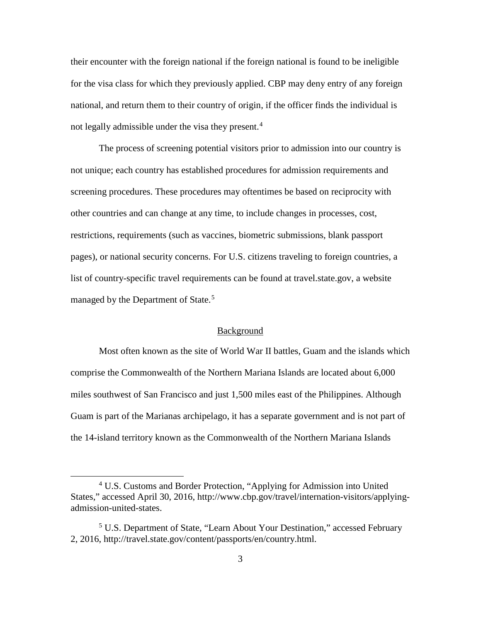their encounter with the foreign national if the foreign national is found to be ineligible for the visa class for which they previously applied. CBP may deny entry of any foreign national, and return them to their country of origin, if the officer finds the individual is not legally admissible under the visa they present.<sup>[4](#page-12-0)</sup>

The process of screening potential visitors prior to admission into our country is not unique; each country has established procedures for admission requirements and screening procedures. These procedures may oftentimes be based on reciprocity with other countries and can change at any time, to include changes in processes, cost, restrictions, requirements (such as vaccines, biometric submissions, blank passport pages), or national security concerns. For U.S. citizens traveling to foreign countries, a list of country-specific travel requirements can be found at travel.state.gov, a website managed by the Department of State.<sup>[5](#page-12-1)</sup>

#### Background

Most often known as the site of World War II battles, Guam and the islands which comprise the Commonwealth of the Northern Mariana Islands are located about 6,000 miles southwest of San Francisco and just 1,500 miles east of the Philippines. Although Guam is part of the Marianas archipelago, it has a separate government and is not part of the 14-island territory known as the Commonwealth of the Northern Mariana Islands

<span id="page-12-0"></span> <sup>4</sup> U.S. Customs and Border Protection, "Applying for Admission into United States," accessed April 30, 2016, http://www.cbp.gov/travel/internation-visitors/applyingadmission-united-states.

<span id="page-12-1"></span><sup>5</sup> U.S. Department of State, "Learn About Your Destination," accessed February 2, 2016, http://travel.state.gov/content/passports/en/country.html.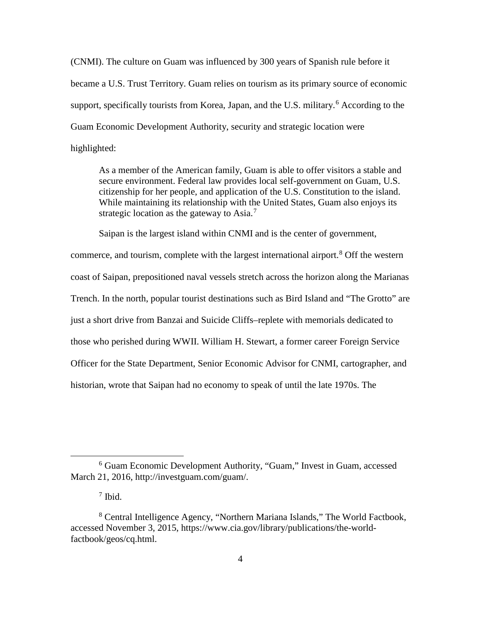(CNMI). The culture on Guam was influenced by 300 years of Spanish rule before it became a U.S. Trust Territory. Guam relies on tourism as its primary source of economic support, specifically tourists from Korea, Japan, and the U.S. military.<sup>[6](#page-13-0)</sup> According to the Guam Economic Development Authority, security and strategic location were highlighted:

As a member of the American family, Guam is able to offer visitors a stable and secure environment. Federal law provides local self-government on Guam, U.S. citizenship for her people, and application of the U.S. Constitution to the island. While maintaining its relationship with the United States, Guam also enjoys its strategic location as the gateway to  $Asia.^7$  $Asia.^7$ 

Saipan is the largest island within CNMI and is the center of government,

commerce, and tourism, complete with the largest international airport.<sup>[8](#page-13-2)</sup> Off the western coast of Saipan, prepositioned naval vessels stretch across the horizon along the Marianas Trench. In the north, popular tourist destinations such as Bird Island and "The Grotto" are just a short drive from Banzai and Suicide Cliffs–replete with memorials dedicated to those who perished during WWII. William H. Stewart, a former career Foreign Service Officer for the State Department, Senior Economic Advisor for CNMI, cartographer, and historian, wrote that Saipan had no economy to speak of until the late 1970s. The

<span id="page-13-0"></span> <sup>6</sup> Guam Economic Development Authority, "Guam," Invest in Guam, accessed March 21, 2016, http://investguam.com/guam/.

<sup>7</sup> Ibid.

<span id="page-13-2"></span><span id="page-13-1"></span><sup>8</sup> Central Intelligence Agency, "Northern Mariana Islands," The World Factbook, accessed November 3, 2015, https://www.cia.gov/library/publications/the-worldfactbook/geos/cq.html.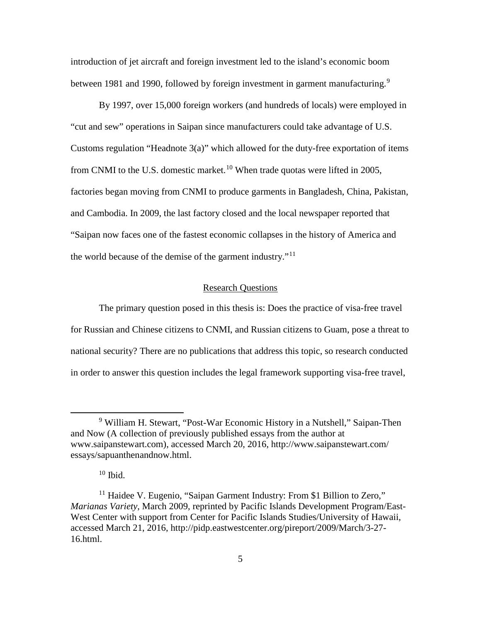introduction of jet aircraft and foreign investment led to the island's economic boom between 1[9](#page-14-0)81 and 1990, followed by foreign investment in garment manufacturing.<sup>9</sup>

By 1997, over 15,000 foreign workers (and hundreds of locals) were employed in "cut and sew" operations in Saipan since manufacturers could take advantage of U.S. Customs regulation "Headnote 3(a)" which allowed for the duty-free exportation of items from CNMI to the U.S. domestic market.<sup>[10](#page-14-1)</sup> When trade quotas were lifted in 2005, factories began moving from CNMI to produce garments in Bangladesh, China, Pakistan, and Cambodia. In 2009, the last factory closed and the local newspaper reported that "Saipan now faces one of the fastest economic collapses in the history of America and the world because of the demise of the garment industry."<sup>[11](#page-14-2)</sup>

## Research Questions

The primary question posed in this thesis is: Does the practice of visa-free travel for Russian and Chinese citizens to CNMI, and Russian citizens to Guam, pose a threat to national security? There are no publications that address this topic, so research conducted in order to answer this question includes the legal framework supporting visa-free travel,

<span id="page-14-0"></span> <sup>9</sup> William H. Stewart, "Post-War Economic History in a Nutshell," Saipan-Then and Now (A collection of previously published essays from the author at www.saipanstewart.com), accessed March 20, 2016, http://www.saipanstewart.com/ essays/sapuanthenandnow.html.

 $10$  Ibid.

<span id="page-14-2"></span><span id="page-14-1"></span><sup>&</sup>lt;sup>11</sup> Haidee V. Eugenio, "Saipan Garment Industry: From \$1 Billion to Zero," *Marianas Variety*, March 2009, reprinted by Pacific Islands Development Program/East-West Center with support from Center for Pacific Islands Studies/University of Hawaii, accessed March 21, 2016, http://pidp.eastwestcenter.org/pireport/2009/March/3-27- 16.html.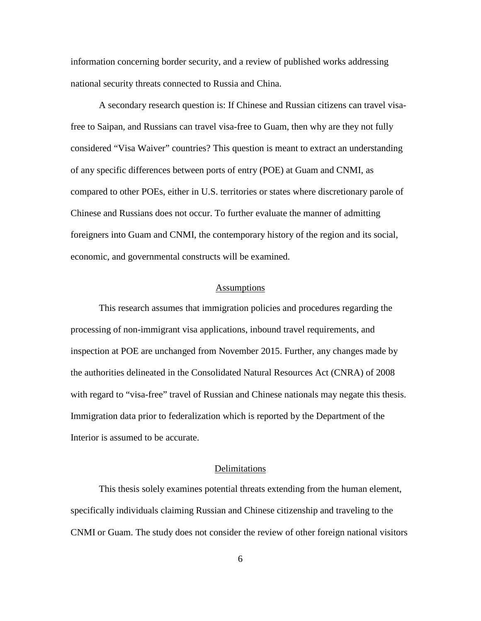information concerning border security, and a review of published works addressing national security threats connected to Russia and China.

A secondary research question is: If Chinese and Russian citizens can travel visafree to Saipan, and Russians can travel visa-free to Guam, then why are they not fully considered "Visa Waiver" countries? This question is meant to extract an understanding of any specific differences between ports of entry (POE) at Guam and CNMI, as compared to other POEs, either in U.S. territories or states where discretionary parole of Chinese and Russians does not occur. To further evaluate the manner of admitting foreigners into Guam and CNMI, the contemporary history of the region and its social, economic, and governmental constructs will be examined.

#### Assumptions

This research assumes that immigration policies and procedures regarding the processing of non-immigrant visa applications, inbound travel requirements, and inspection at POE are unchanged from November 2015. Further, any changes made by the authorities delineated in the Consolidated Natural Resources Act (CNRA) of 2008 with regard to "visa-free" travel of Russian and Chinese nationals may negate this thesis. Immigration data prior to federalization which is reported by the Department of the Interior is assumed to be accurate.

#### Delimitations

This thesis solely examines potential threats extending from the human element, specifically individuals claiming Russian and Chinese citizenship and traveling to the CNMI or Guam. The study does not consider the review of other foreign national visitors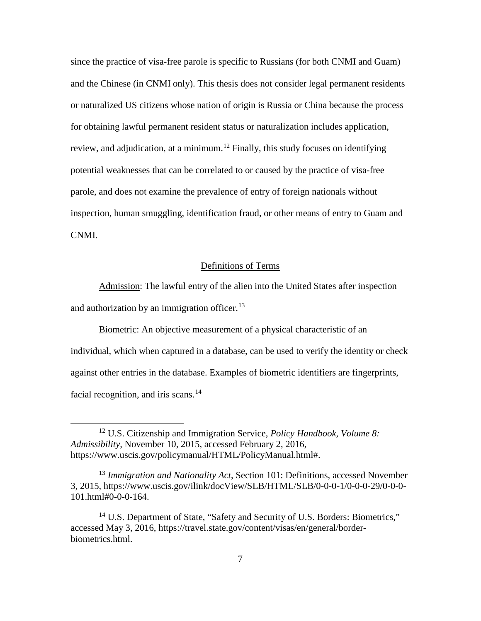since the practice of visa-free parole is specific to Russians (for both CNMI and Guam) and the Chinese (in CNMI only). This thesis does not consider legal permanent residents or naturalized US citizens whose nation of origin is Russia or China because the process for obtaining lawful permanent resident status or naturalization includes application, review, and adjudication, at a minimum.<sup>[12](#page-16-0)</sup> Finally, this study focuses on identifying potential weaknesses that can be correlated to or caused by the practice of visa-free parole, and does not examine the prevalence of entry of foreign nationals without inspection, human smuggling, identification fraud, or other means of entry to Guam and CNMI.

#### Definitions of Terms

Admission: The lawful entry of the alien into the United States after inspection and authorization by an immigration officer.<sup>[13](#page-16-1)</sup>

Biometric: An objective measurement of a physical characteristic of an individual, which when captured in a database, can be used to verify the identity or check against other entries in the database. Examples of biometric identifiers are fingerprints, facial recognition, and iris scans. $14$ 

<span id="page-16-0"></span> <sup>12</sup> U.S. Citizenship and Immigration Service, *Policy Handbook, Volume 8: Admissibility,* November 10, 2015, accessed February 2, 2016, https://www.uscis.gov/policymanual/HTML/PolicyManual.html#.

<span id="page-16-1"></span><sup>13</sup> *Immigration and Nationality Act*, Section 101: Definitions, accessed November 3, 2015, https://www.uscis.gov/ilink/docView/SLB/HTML/SLB/0-0-0-1/0-0-0-29/0-0-0- 101.html#0-0-0-164.

<span id="page-16-2"></span><sup>&</sup>lt;sup>14</sup> U.S. Department of State, "Safety and Security of U.S. Borders: Biometrics," accessed May 3, 2016, https://travel.state.gov/content/visas/en/general/borderbiometrics.html.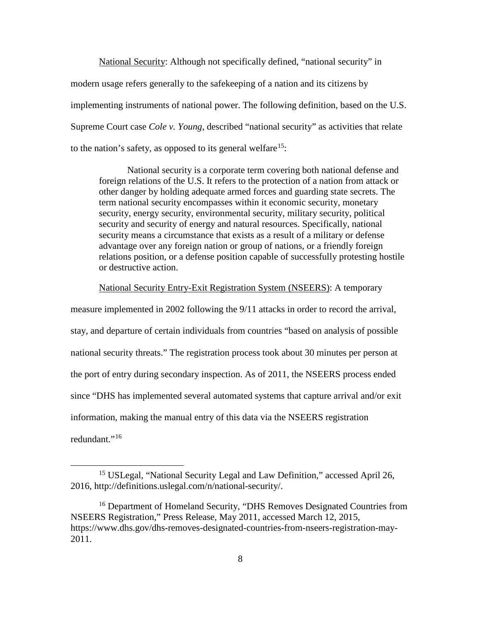National Security: Although not specifically defined, "national security" in modern usage refers generally to the safekeeping of a nation and its citizens by implementing instruments of national power. The following definition, based on the U.S. Supreme Court case *Cole v. Young*, described "national security" as activities that relate to the nation's safety, as opposed to its general welfare<sup>15</sup>:

National security is a corporate term covering both national defense and foreign relations of the U.S. It refers to the protection of a nation from attack or other danger by holding adequate armed forces and guarding state secrets. The term national security encompasses within it economic security, monetary security, energy security, environmental security, military security, political security and security of energy and natural resources. Specifically, national security means a circumstance that exists as a result of a military or defense advantage over any foreign nation or group of nations, or a friendly foreign relations position, or a defense position capable of successfully protesting hostile or destructive action.

#### National Security Entry-Exit Registration System (NSEERS): A temporary

measure implemented in 2002 following the 9/11 attacks in order to record the arrival, stay, and departure of certain individuals from countries "based on analysis of possible national security threats." The registration process took about 30 minutes per person at the port of entry during secondary inspection. As of 2011, the NSEERS process ended since "DHS has implemented several automated systems that capture arrival and/or exit information, making the manual entry of this data via the NSEERS registration redundant."[16](#page-17-1)

<span id="page-17-0"></span> <sup>15</sup> USLegal, "National Security Legal and Law Definition*,*" accessed April 26, 2016, http://definitions.uslegal.com/n/national-security/.

<span id="page-17-1"></span><sup>&</sup>lt;sup>16</sup> Department of Homeland Security, "DHS Removes Designated Countries from NSEERS Registration," Press Release, May 2011, accessed March 12, 2015, https://www.dhs.gov/dhs-removes-designated-countries-from-nseers-registration-may-2011.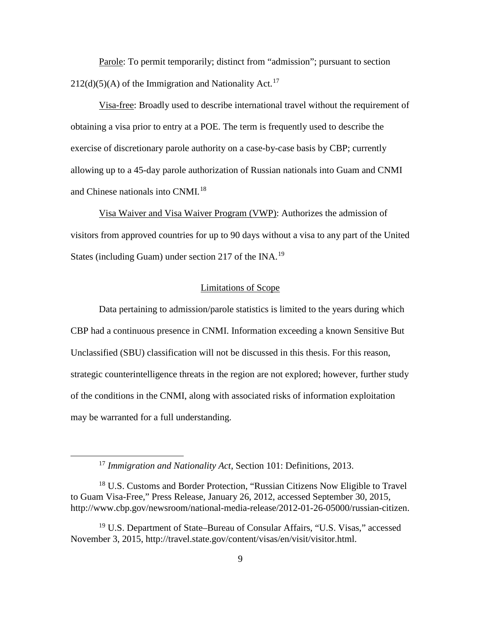Parole: To permit temporarily; distinct from "admission"; pursuant to section  $212(d)(5)$ (A) of the Immigration and Nationality Act.<sup>[17](#page-18-0)</sup>

Visa-free: Broadly used to describe international travel without the requirement of obtaining a visa prior to entry at a POE. The term is frequently used to describe the exercise of discretionary parole authority on a case-by-case basis by CBP; currently allowing up to a 45-day parole authorization of Russian nationals into Guam and CNMI and Chinese nationals into CNMI.<sup>[18](#page-18-1)</sup>

Visa Waiver and Visa Waiver Program (VWP): Authorizes the admission of visitors from approved countries for up to 90 days without a visa to any part of the United States (including Guam) under section 217 of the INA.<sup>[19](#page-18-2)</sup>

### Limitations of Scope

Data pertaining to admission/parole statistics is limited to the years during which CBP had a continuous presence in CNMI. Information exceeding a known Sensitive But Unclassified (SBU) classification will not be discussed in this thesis. For this reason, strategic counterintelligence threats in the region are not explored; however, further study of the conditions in the CNMI, along with associated risks of information exploitation may be warranted for a full understanding.

 <sup>17</sup> *Immigration and Nationality Act*, Section 101: Definitions, 2013.

<span id="page-18-1"></span><span id="page-18-0"></span><sup>&</sup>lt;sup>18</sup> U.S. Customs and Border Protection, "Russian Citizens Now Eligible to Travel to Guam Visa-Free," Press Release, January 26, 2012, accessed September 30, 2015, http://www.cbp.gov/newsroom/national-media-release/2012-01-26-05000/russian-citizen.

<span id="page-18-2"></span><sup>19</sup> U.S. Department of State–Bureau of Consular Affairs, "U.S. Visas," accessed November 3, 2015, http://travel.state.gov/content/visas/en/visit/visitor.html.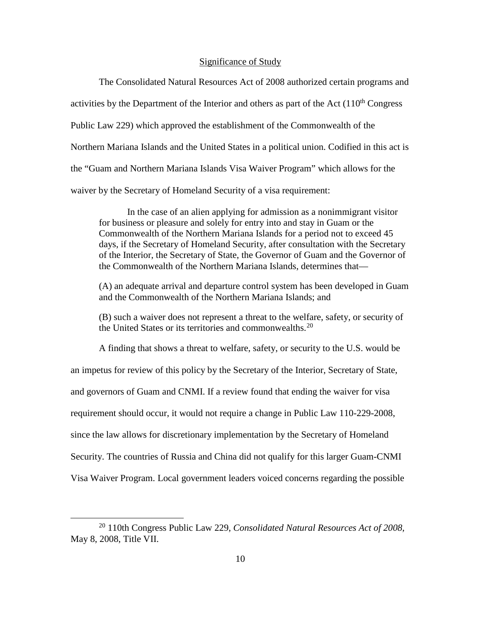#### Significance of Study

The Consolidated Natural Resources Act of 2008 authorized certain programs and activities by the Department of the Interior and others as part of the Act  $(110<sup>th</sup> Congress$ Public Law 229) which approved the establishment of the Commonwealth of the Northern Mariana Islands and the United States in a political union. Codified in this act is the "Guam and Northern Mariana Islands Visa Waiver Program" which allows for the waiver by the Secretary of Homeland Security of a visa requirement:

In the case of an alien applying for admission as a nonimmigrant visitor for business or pleasure and solely for entry into and stay in Guam or the Commonwealth of the Northern Mariana Islands for a period not to exceed 45 days, if the Secretary of Homeland Security, after consultation with the Secretary of the Interior, the Secretary of State, the Governor of Guam and the Governor of the Commonwealth of the Northern Mariana Islands, determines that—

(A) an adequate arrival and departure control system has been developed in Guam and the Commonwealth of the Northern Mariana Islands; and

(B) such a waiver does not represent a threat to the welfare, safety, or security of the United States or its territories and commonwealths.<sup>[20](#page-19-0)</sup>

A finding that shows a threat to welfare, safety, or security to the U.S. would be an impetus for review of this policy by the Secretary of the Interior, Secretary of State, and governors of Guam and CNMI. If a review found that ending the waiver for visa requirement should occur, it would not require a change in Public Law 110-229-2008, since the law allows for discretionary implementation by the Secretary of Homeland Security. The countries of Russia and China did not qualify for this larger Guam-CNMI Visa Waiver Program. Local government leaders voiced concerns regarding the possible

<span id="page-19-0"></span> <sup>20</sup> 110th Congress Public Law 229, *Consolidated Natural Resources Act of 2008,* May 8, 2008, Title VII.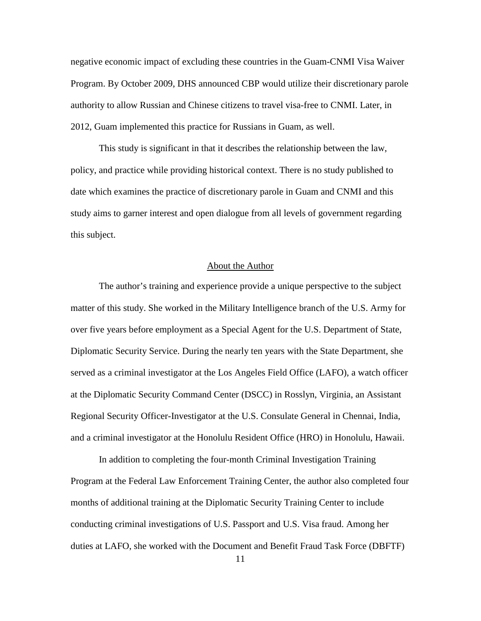negative economic impact of excluding these countries in the Guam-CNMI Visa Waiver Program. By October 2009, DHS announced CBP would utilize their discretionary parole authority to allow Russian and Chinese citizens to travel visa-free to CNMI. Later, in 2012, Guam implemented this practice for Russians in Guam, as well.

This study is significant in that it describes the relationship between the law, policy, and practice while providing historical context. There is no study published to date which examines the practice of discretionary parole in Guam and CNMI and this study aims to garner interest and open dialogue from all levels of government regarding this subject.

#### About the Author

The author's training and experience provide a unique perspective to the subject matter of this study. She worked in the Military Intelligence branch of the U.S. Army for over five years before employment as a Special Agent for the U.S. Department of State, Diplomatic Security Service. During the nearly ten years with the State Department, she served as a criminal investigator at the Los Angeles Field Office (LAFO), a watch officer at the Diplomatic Security Command Center (DSCC) in Rosslyn, Virginia, an Assistant Regional Security Officer-Investigator at the U.S. Consulate General in Chennai, India, and a criminal investigator at the Honolulu Resident Office (HRO) in Honolulu, Hawaii.

In addition to completing the four-month Criminal Investigation Training Program at the Federal Law Enforcement Training Center, the author also completed four months of additional training at the Diplomatic Security Training Center to include conducting criminal investigations of U.S. Passport and U.S. Visa fraud. Among her duties at LAFO, she worked with the Document and Benefit Fraud Task Force (DBFTF)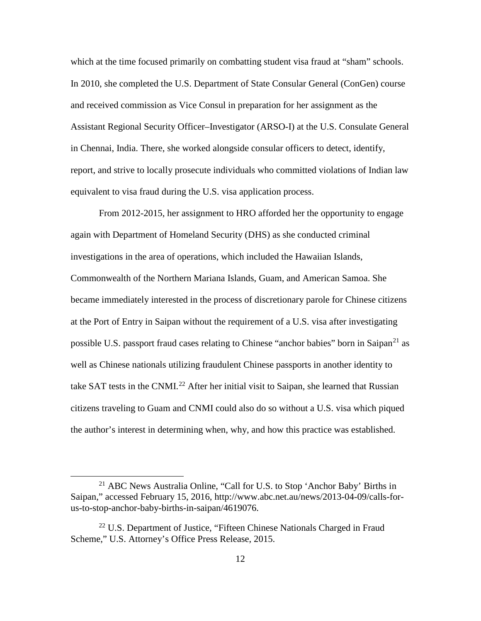which at the time focused primarily on combatting student visa fraud at "sham" schools. In 2010, she completed the U.S. Department of State Consular General (ConGen) course and received commission as Vice Consul in preparation for her assignment as the Assistant Regional Security Officer–Investigator (ARSO-I) at the U.S. Consulate General in Chennai, India. There, she worked alongside consular officers to detect, identify, report, and strive to locally prosecute individuals who committed violations of Indian law equivalent to visa fraud during the U.S. visa application process.

From 2012-2015, her assignment to HRO afforded her the opportunity to engage again with Department of Homeland Security (DHS) as she conducted criminal investigations in the area of operations, which included the Hawaiian Islands, Commonwealth of the Northern Mariana Islands, Guam, and American Samoa. She became immediately interested in the process of discretionary parole for Chinese citizens at the Port of Entry in Saipan without the requirement of a U.S. visa after investigating possible U.S. passport fraud cases relating to Chinese "anchor babies" born in Saipan<sup>[21](#page-21-0)</sup> as well as Chinese nationals utilizing fraudulent Chinese passports in another identity to take SAT tests in the CNMI.<sup>[22](#page-21-1)</sup> After her initial visit to Saipan, she learned that Russian citizens traveling to Guam and CNMI could also do so without a U.S. visa which piqued the author's interest in determining when, why, and how this practice was established.

<span id="page-21-0"></span> <sup>21</sup> ABC News Australia Online, "Call for U.S. to Stop 'Anchor Baby' Births in Saipan," accessed February 15, 2016, http://www.abc.net.au/news/2013-04-09/calls-forus-to-stop-anchor-baby-births-in-saipan/4619076.

<span id="page-21-1"></span><sup>&</sup>lt;sup>22</sup> U.S. Department of Justice, "Fifteen Chinese Nationals Charged in Fraud Scheme," U.S. Attorney's Office Press Release, 2015.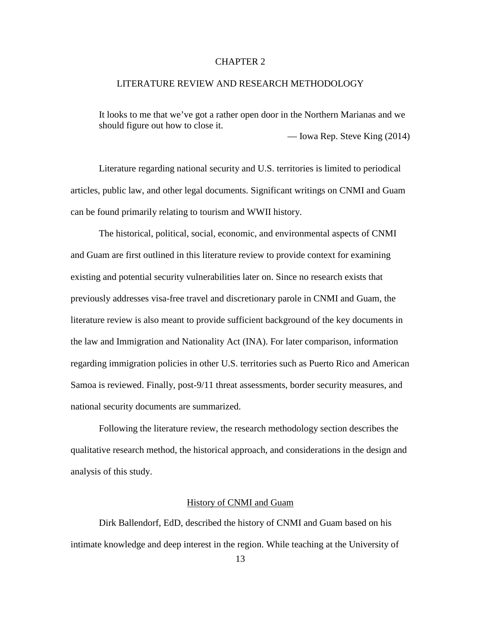## CHAPTER 2

# LITERATURE REVIEW AND RESEARCH METHODOLOGY

It looks to me that we've got a rather open door in the Northern Marianas and we should figure out how to close it.

— Iowa Rep. Steve King (2014)

Literature regarding national security and U.S. territories is limited to periodical articles, public law, and other legal documents. Significant writings on CNMI and Guam can be found primarily relating to tourism and WWII history.

The historical, political, social, economic, and environmental aspects of CNMI and Guam are first outlined in this literature review to provide context for examining existing and potential security vulnerabilities later on. Since no research exists that previously addresses visa-free travel and discretionary parole in CNMI and Guam, the literature review is also meant to provide sufficient background of the key documents in the law and Immigration and Nationality Act (INA). For later comparison, information regarding immigration policies in other U.S. territories such as Puerto Rico and American Samoa is reviewed. Finally, post-9/11 threat assessments, border security measures, and national security documents are summarized.

Following the literature review, the research methodology section describes the qualitative research method, the historical approach, and considerations in the design and analysis of this study.

#### History of CNMI and Guam

Dirk Ballendorf, EdD, described the history of CNMI and Guam based on his intimate knowledge and deep interest in the region. While teaching at the University of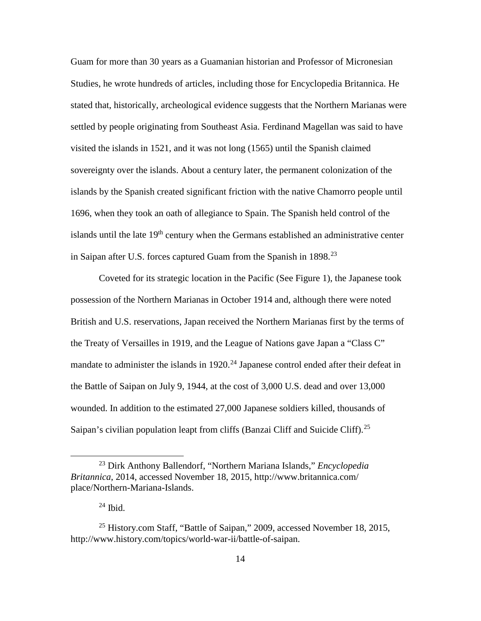Guam for more than 30 years as a Guamanian historian and Professor of Micronesian Studies, he wrote hundreds of articles, including those for Encyclopedia Britannica. He stated that, historically, archeological evidence suggests that the Northern Marianas were settled by people originating from Southeast Asia. Ferdinand Magellan was said to have visited the islands in 1521, and it was not long (1565) until the Spanish claimed sovereignty over the islands. About a century later, the permanent colonization of the islands by the Spanish created significant friction with the native Chamorro people until 1696, when they took an oath of allegiance to Spain. The Spanish held control of the islands until the late  $19<sup>th</sup>$  century when the Germans established an administrative center in Saipan after U.S. forces captured Guam from the Spanish in 1898.<sup>[23](#page-23-0)</sup>

Coveted for its strategic location in the Pacific (See Figure 1), the Japanese took possession of the Northern Marianas in October 1914 and, although there were noted British and U.S. reservations, Japan received the Northern Marianas first by the terms of the Treaty of Versailles in 1919, and the League of Nations gave Japan a "Class C" mandate to administer the islands in  $1920.<sup>24</sup>$  $1920.<sup>24</sup>$  $1920.<sup>24</sup>$  Japanese control ended after their defeat in the Battle of Saipan on July 9, 1944, at the cost of 3,000 U.S. dead and over 13,000 wounded. In addition to the estimated 27,000 Japanese soldiers killed, thousands of Saipan's civilian population leapt from cliffs (Banzai Cliff and Suicide Cliff).<sup>[25](#page-23-2)</sup>

<span id="page-23-0"></span> <sup>23</sup> Dirk Anthony Ballendorf, "Northern Mariana Islands," *Encyclopedia Britannica*, 2014, accessed November 18, 2015, http://www.britannica.com/ place/Northern-Mariana-Islands.

 $24$  Ibid.

<span id="page-23-2"></span><span id="page-23-1"></span><sup>&</sup>lt;sup>25</sup> History.com Staff, "Battle of Saipan," 2009, accessed November 18, 2015, http://www.history.com/topics/world-war-ii/battle-of-saipan.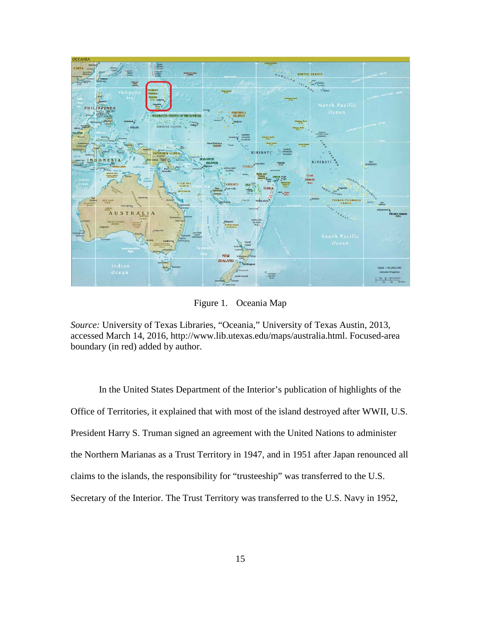

Figure 1. Oceania Map

*Source:* University of Texas Libraries, "Oceania," University of Texas Austin, 2013, accessed March 14, 2016, http://www.lib.utexas.edu/maps/australia.html. Focused-area boundary (in red) added by author.

In the United States Department of the Interior's publication of highlights of the Office of Territories, it explained that with most of the island destroyed after WWII, U.S. President Harry S. Truman signed an agreement with the United Nations to administer the Northern Marianas as a Trust Territory in 1947, and in 1951 after Japan renounced all claims to the islands, the responsibility for "trusteeship" was transferred to the U.S. Secretary of the Interior. The Trust Territory was transferred to the U.S. Navy in 1952,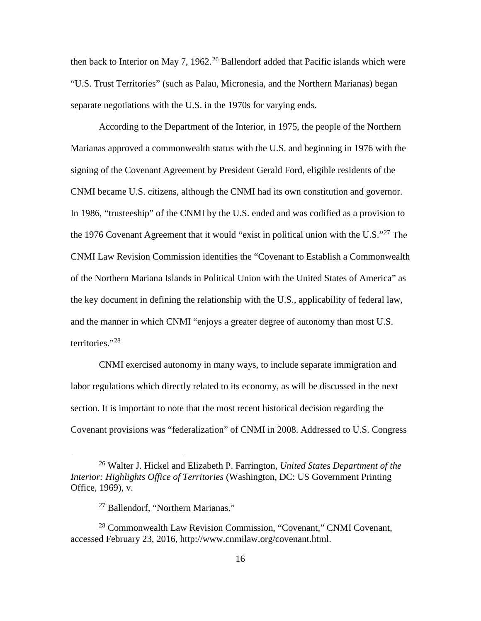then back to Interior on May 7, 1962.<sup>[26](#page-25-0)</sup> Ballendorf added that Pacific islands which were "U.S. Trust Territories" (such as Palau, Micronesia, and the Northern Marianas) began separate negotiations with the U.S. in the 1970s for varying ends.

According to the Department of the Interior, in 1975, the people of the Northern Marianas approved a commonwealth status with the U.S. and beginning in 1976 with the signing of the Covenant Agreement by President Gerald Ford, eligible residents of the CNMI became U.S. citizens, although the CNMI had its own constitution and governor. In 1986, "trusteeship" of the CNMI by the U.S. ended and was codified as a provision to the 1976 Covenant Agreement that it would "exist in political union with the U.S."<sup>[27](#page-25-1)</sup> The CNMI Law Revision Commission identifies the "Covenant to Establish a Commonwealth of the Northern Mariana Islands in Political Union with the United States of America" as the key document in defining the relationship with the U.S., applicability of federal law, and the manner in which CNMI "enjoys a greater degree of autonomy than most U.S. territories."<sup>[28](#page-25-2)</sup>

CNMI exercised autonomy in many ways, to include separate immigration and labor regulations which directly related to its economy, as will be discussed in the next section. It is important to note that the most recent historical decision regarding the Covenant provisions was "federalization" of CNMI in 2008. Addressed to U.S. Congress

<span id="page-25-0"></span> <sup>26</sup> Walter J. Hickel and Elizabeth P. Farrington, *United States Department of the Interior: Highlights Office of Territories* (Washington, DC: US Government Printing Office, 1969), v.

<sup>&</sup>lt;sup>27</sup> Ballendorf, "Northern Marianas."

<span id="page-25-2"></span><span id="page-25-1"></span><sup>28</sup> Commonwealth Law Revision Commission, "Covenant," CNMI Covenant, accessed February 23, 2016, http://www.cnmilaw.org/covenant.html.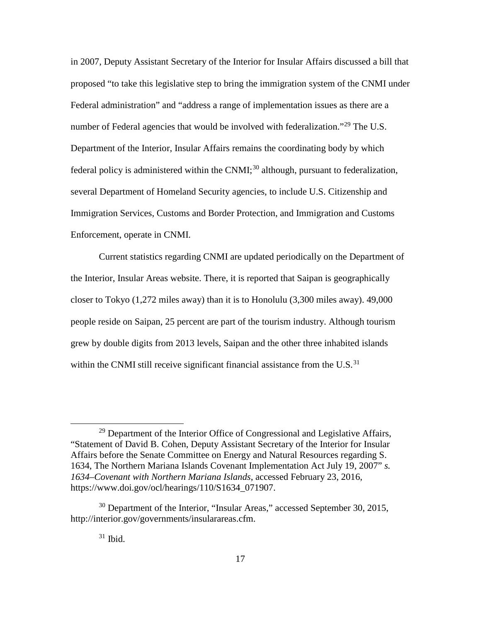in 2007, Deputy Assistant Secretary of the Interior for Insular Affairs discussed a bill that proposed "to take this legislative step to bring the immigration system of the CNMI under Federal administration" and "address a range of implementation issues as there are a number of Federal agencies that would be involved with federalization."<sup>[29](#page-26-0)</sup> The U.S. Department of the Interior, Insular Affairs remains the coordinating body by which federal policy is administered within the  $CNMI$ ;<sup>[30](#page-26-1)</sup> although, pursuant to federalization, several Department of Homeland Security agencies, to include U.S. Citizenship and Immigration Services, Customs and Border Protection, and Immigration and Customs Enforcement, operate in CNMI.

Current statistics regarding CNMI are updated periodically on the Department of the Interior, Insular Areas website. There, it is reported that Saipan is geographically closer to Tokyo (1,272 miles away) than it is to Honolulu (3,300 miles away). 49,000 people reside on Saipan, 25 percent are part of the tourism industry. Although tourism grew by double digits from 2013 levels, Saipan and the other three inhabited islands within the CNMI still receive significant financial assistance from the U.S.<sup>[31](#page-26-2)</sup>

<span id="page-26-0"></span> $29$  Department of the Interior Office of Congressional and Legislative Affairs, "Statement of David B. Cohen, Deputy Assistant Secretary of the Interior for Insular Affairs before the Senate Committee on Energy and Natural Resources regarding S. 1634, The Northern Mariana Islands Covenant Implementation Act July 19, 2007" *s. 1634–Covenant with Northern Mariana Islands*, accessed February 23, 2016, https://www.doi.gov/ocl/hearings/110/S1634\_071907.

<span id="page-26-2"></span><span id="page-26-1"></span> $30$  Department of the Interior, "Insular Areas," accessed September 30, 2015, http://interior.gov/governments/insularareas.cfm.

 $31$  Ibid.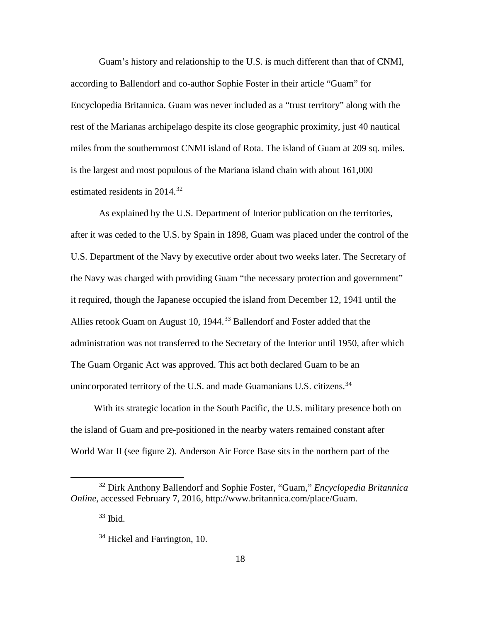Guam's history and relationship to the U.S. is much different than that of CNMI, according to Ballendorf and co-author Sophie Foster in their article "Guam" for Encyclopedia Britannica. Guam was never included as a "trust territory" along with the rest of the Marianas archipelago despite its close geographic proximity, just 40 nautical miles from the southernmost CNMI island of Rota. The island of Guam at 209 sq. miles. is the largest and most populous of the Mariana island chain with about 161,000 estimated residents in 2014.<sup>[32](#page-27-0)</sup>

As explained by the U.S. Department of Interior publication on the territories, after it was ceded to the U.S. by Spain in 1898, Guam was placed under the control of the U.S. Department of the Navy by executive order about two weeks later. The Secretary of the Navy was charged with providing Guam "the necessary protection and government" it required, though the Japanese occupied the island from December 12, 1941 until the Allies retook Guam on August 10, 1944.<sup>[33](#page-27-1)</sup> Ballendorf and Foster added that the administration was not transferred to the Secretary of the Interior until 1950, after which The Guam Organic Act was approved. This act both declared Guam to be an unincorporated territory of the U.S. and made Guamanians U.S. citizens.  $34$ 

With its strategic location in the South Pacific, the U.S. military presence both on the island of Guam and pre-positioned in the nearby waters remained constant after World War II (see figure 2). Anderson Air Force Base sits in the northern part of the

<span id="page-27-2"></span><span id="page-27-1"></span><span id="page-27-0"></span> <sup>32</sup> Dirk Anthony Ballendorf and Sophie Foster, "Guam," *Encyclopedia Britannica Online,* accessed February 7, 2016, http://www.britannica.com/place/Guam*.*

 $33$  Ibid.

 $34$  Hickel and Farrington, 10.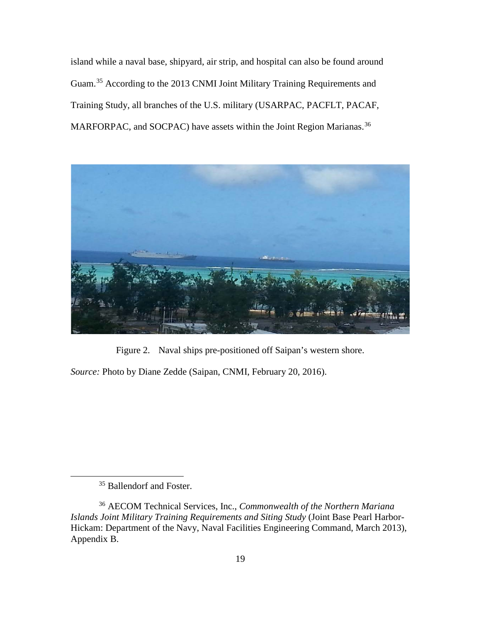island while a naval base, shipyard, air strip, and hospital can also be found around Guam.[35](#page-28-0) According to the 2013 CNMI Joint Military Training Requirements and Training Study, all branches of the U.S. military (USARPAC, PACFLT, PACAF, MARFORPAC, and SOCPAC) have assets within the Joint Region Marianas.<sup>[36](#page-28-1)</sup>



Figure 2. Naval ships pre-positioned off Saipan's western shore.

*Source:* Photo by Diane Zedde (Saipan, CNMI, February 20, 2016).

<sup>&</sup>lt;sup>35</sup> Ballendorf and Foster.

<span id="page-28-1"></span><span id="page-28-0"></span><sup>36</sup> AECOM Technical Services, Inc., *Commonwealth of the Northern Mariana Islands Joint Military Training Requirements and Siting Study* (Joint Base Pearl Harbor-Hickam: Department of the Navy, Naval Facilities Engineering Command, March 2013), Appendix B.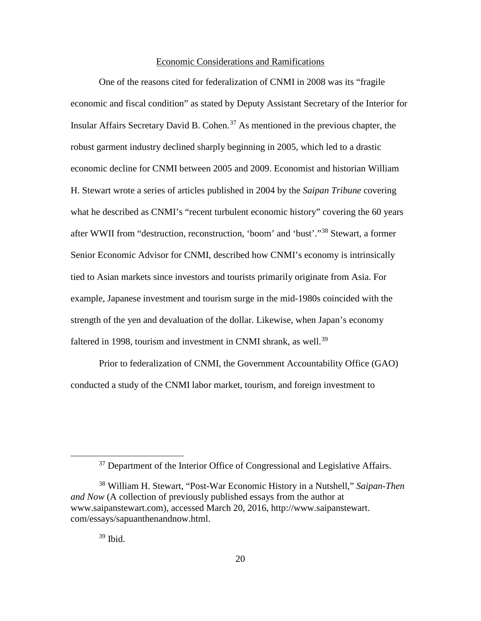#### Economic Considerations and Ramifications

One of the reasons cited for federalization of CNMI in 2008 was its "fragile economic and fiscal condition" as stated by Deputy Assistant Secretary of the Interior for Insular Affairs Secretary David B. Cohen.[37](#page-29-0) As mentioned in the previous chapter, the robust garment industry declined sharply beginning in 2005, which led to a drastic economic decline for CNMI between 2005 and 2009. Economist and historian William H. Stewart wrote a series of articles published in 2004 by the *Saipan Tribune* covering what he described as CNMI's "recent turbulent economic history" covering the 60 years after WWII from "destruction, reconstruction, 'boom' and 'bust'."[38](#page-29-1) Stewart, a former Senior Economic Advisor for CNMI, described how CNMI's economy is intrinsically tied to Asian markets since investors and tourists primarily originate from Asia. For example, Japanese investment and tourism surge in the mid-1980s coincided with the strength of the yen and devaluation of the dollar. Likewise, when Japan's economy faltered in 1998, tourism and investment in CNMI shrank, as well.<sup>[39](#page-29-2)</sup>

Prior to federalization of CNMI, the Government Accountability Office (GAO) conducted a study of the CNMI labor market, tourism, and foreign investment to

 $39$  Ibid.

<sup>&</sup>lt;sup>37</sup> Department of the Interior Office of Congressional and Legislative Affairs.

<span id="page-29-2"></span><span id="page-29-1"></span><span id="page-29-0"></span><sup>38</sup> William H. Stewart, "Post-War Economic History in a Nutshell," *Saipan-Then and Now* (A collection of previously published essays from the author at www.saipanstewart.com), accessed March 20, 2016, http://www.saipanstewart. com/essays/sapuanthenandnow.html.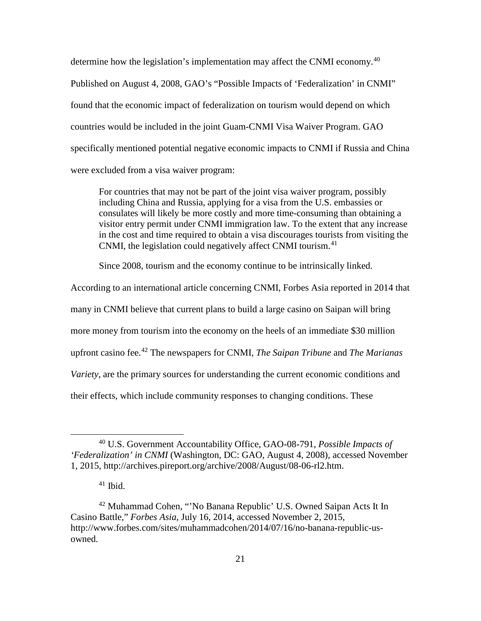determine how the legislation's implementation may affect the CNMI economy.<sup>[40](#page-30-0)</sup> Published on August 4, 2008, GAO's "Possible Impacts of 'Federalization' in CNMI" found that the economic impact of federalization on tourism would depend on which countries would be included in the joint Guam-CNMI Visa Waiver Program. GAO specifically mentioned potential negative economic impacts to CNMI if Russia and China were excluded from a visa waiver program:

For countries that may not be part of the joint visa waiver program, possibly including China and Russia, applying for a visa from the U.S. embassies or consulates will likely be more costly and more time-consuming than obtaining a visitor entry permit under CNMI immigration law. To the extent that any increase in the cost and time required to obtain a visa discourages tourists from visiting the CNMI, the legislation could negatively affect CNMI tourism.<sup>[41](#page-30-1)</sup>

Since 2008, tourism and the economy continue to be intrinsically linked.

According to an international article concerning CNMI, Forbes Asia reported in 2014 that many in CNMI believe that current plans to build a large casino on Saipan will bring more money from tourism into the economy on the heels of an immediate \$30 million upfront casino fee.[42](#page-30-2) The newspapers for CNMI, *The Saipan Tribune* and *The Marianas Variety*, are the primary sources for understanding the current economic conditions and

their effects, which include community responses to changing conditions. These

<span id="page-30-0"></span> <sup>40</sup> U.S. Government Accountability Office, GAO-08-791, *Possible Impacts of 'Federalization' in CNMI* (Washington, DC: GAO, August 4, 2008), accessed November 1, 2015, http://archives.pireport.org/archive/2008/August/08-06-rl2.htm.

 $41$  Ibid.

<span id="page-30-2"></span><span id="page-30-1"></span><sup>42</sup> Muhammad Cohen, "'No Banana Republic' U.S. Owned Saipan Acts It In Casino Battle," *Forbes Asia,* July 16, 2014, accessed November 2, 2015, http://www.forbes.com/sites/muhammadcohen/2014/07/16/no-banana-republic-usowned.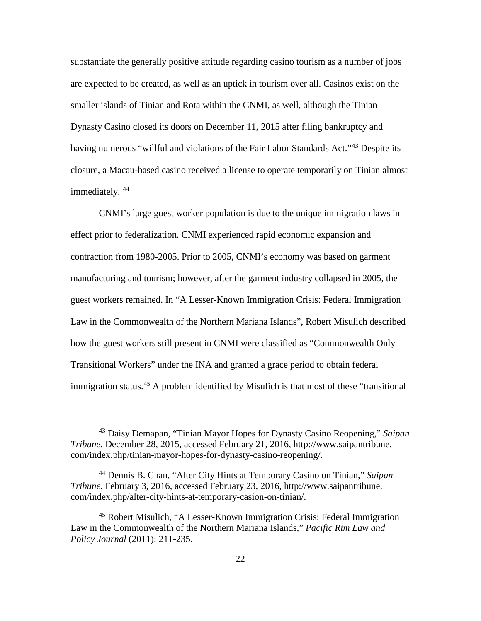substantiate the generally positive attitude regarding casino tourism as a number of jobs are expected to be created, as well as an uptick in tourism over all. Casinos exist on the smaller islands of Tinian and Rota within the CNMI, as well, although the Tinian Dynasty Casino closed its doors on December 11, 2015 after filing bankruptcy and having numerous "willful and violations of the Fair Labor Standards Act."<sup>[43](#page-31-0)</sup> Despite its closure, a Macau-based casino received a license to operate temporarily on Tinian almost immediately.<sup>[44](#page-31-1)</sup>

CNMI's large guest worker population is due to the unique immigration laws in effect prior to federalization. CNMI experienced rapid economic expansion and contraction from 1980-2005. Prior to 2005, CNMI's economy was based on garment manufacturing and tourism; however, after the garment industry collapsed in 2005, the guest workers remained. In "A Lesser-Known Immigration Crisis: Federal Immigration Law in the Commonwealth of the Northern Mariana Islands", Robert Misulich described how the guest workers still present in CNMI were classified as "Commonwealth Only Transitional Workers" under the INA and granted a grace period to obtain federal immigration status.<sup>[45](#page-31-2)</sup> A problem identified by Misulich is that most of these "transitional

<span id="page-31-0"></span> <sup>43</sup> Daisy Demapan, "Tinian Mayor Hopes for Dynasty Casino Reopening," *Saipan Tribune,* December 28, 2015, accessed February 21, 2016, http://www.saipantribune. com/index.php/tinian-mayor-hopes-for-dynasty-casino-reopening/.

<span id="page-31-1"></span><sup>44</sup> Dennis B. Chan, "Alter City Hints at Temporary Casino on Tinian," *[Saipan](file://cgsca7llccifs/students/CGSOC2016/kelly.m.partin.civ/Saipan) Tribune*, February 3, 2016, accessed February 23, 2016, http://www.saipantribune. com/index.php/alter-city-hints-at-temporary-casion-on-tinian/.

<span id="page-31-2"></span><sup>45</sup> Robert Misulich, "A Lesser-Known Immigration Crisis: Federal Immigration Law in the Commonwealth of the Northern Mariana Islands," *Pacific Rim Law and Policy Journal* (2011): 211-235.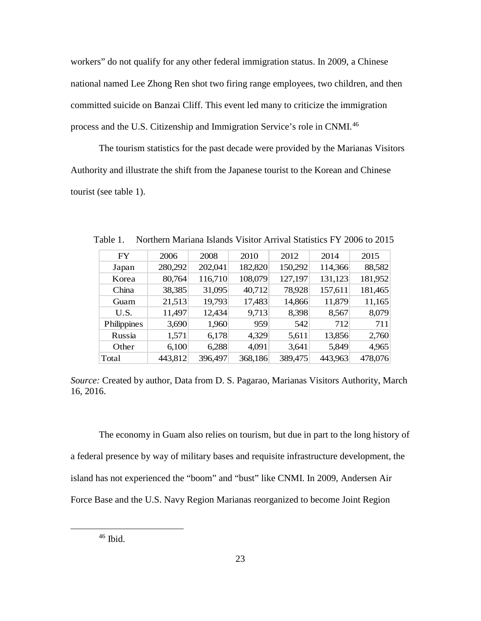workers" do not qualify for any other federal immigration status. In 2009, a Chinese national named Lee Zhong Ren shot two firing range employees, two children, and then committed suicide on Banzai Cliff. This event led many to criticize the immigration process and the U.S. Citizenship and Immigration Service's role in CNMI.<sup>[46](#page-32-0)</sup>

The tourism statistics for the past decade were provided by the Marianas Visitors Authority and illustrate the shift from the Japanese tourist to the Korean and Chinese tourist (see table 1).

| <b>FY</b>   | 2006    | 2008    | 2010    | 2012    | 2014    | 2015    |
|-------------|---------|---------|---------|---------|---------|---------|
| Japan       | 280,292 | 202,041 | 182,820 | 150,292 | 114,366 | 88,582  |
| Korea       | 80,764  | 116,710 | 108,079 | 127,197 | 131,123 | 181,952 |
| China       | 38,385  | 31,095  | 40,712  | 78,928  | 157,611 | 181,465 |
| Guam        | 21,513  | 19,793  | 17,483  | 14,866  | 11,879  | 11,165  |
| U.S.        | 11,497  | 12,434  | 9,713   | 8,398   | 8,567   | 8,079   |
| Philippines | 3,690   | 1,960   | 959     | 542     | 712     | 711     |
| Russia      | 1,571   | 6,178   | 4,329   | 5,611   | 13,856  | 2,760   |
| Other       | 6,100   | 6,288   | 4,091   | 3,641   | 5,849   | 4,965   |
| Total       | 443,812 | 396,497 | 368,186 | 389,475 | 443,963 | 478,076 |

Table 1. Northern Mariana Islands Visitor Arrival Statistics FY 2006 to 2015

*Source:* Created by author, Data from D. S. Pagarao, Marianas Visitors Authority, March 16, 2016.

The economy in Guam also relies on tourism, but due in part to the long history of a federal presence by way of military bases and requisite infrastructure development, the island has not experienced the "boom" and "bust" like CNMI. In 2009, Andersen Air Force Base and the U.S. Navy Region Marianas reorganized to become Joint Region

<span id="page-32-0"></span>46 Ibid.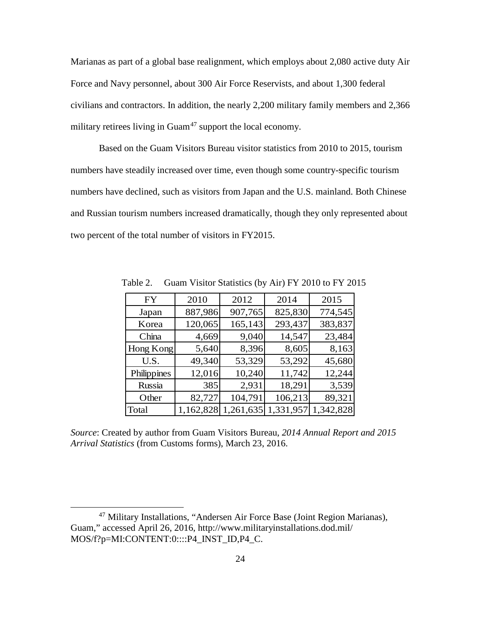Marianas as part of a global base realignment, which employs about 2,080 active duty Air Force and Navy personnel, about 300 Air Force Reservists, and about 1,300 federal civilians and contractors. In addition, the nearly 2,200 military family members and 2,366 military retirees living in  $\text{Guam}^{47}$  $\text{Guam}^{47}$  $\text{Guam}^{47}$  support the local economy.

Based on the Guam Visitors Bureau visitor statistics from 2010 to 2015, tourism numbers have steadily increased over time, even though some country-specific tourism numbers have declined, such as visitors from Japan and the U.S. mainland. Both Chinese and Russian tourism numbers increased dramatically, though they only represented about two percent of the total number of visitors in FY2015.

| FY          | 2010      | 2012      | 2014      | 2015      |
|-------------|-----------|-----------|-----------|-----------|
| Japan       | 887,986   | 907,765   | 825,830   | 774,545   |
| Korea       | 120,065   | 165,143   | 293,437   | 383,837   |
| China       | 4,669     | 9,040     | 14,547    | 23,484    |
| Hong Kong   | 5,640     | 8,396     | 8,605     | 8,163     |
| U.S.        | 49,340    | 53,329    | 53,292    | 45,680    |
| Philippines | 12,016    | 10,240    | 11,742    | 12,244    |
| Russia      | 385       | 2,931     | 18,291    | 3,539     |
| Other       | 82,727    | 104,791   | 106,213   | 89,321    |
| Total       | 1,162,828 | 1,261,635 | 1,331,957 | 1,342,828 |

Table 2. Guam Visitor Statistics (by Air) FY 2010 to FY 2015

*Source*: Created by author from Guam Visitors Bureau, *2014 Annual Report and 2015 Arrival Statistics* (from Customs forms), March 23, 2016.

<span id="page-33-0"></span> <sup>47</sup> Military Installations, "Andersen Air Force Base (Joint Region Marianas), Guam," accessed April 26, 2016, http://www.militaryinstallations.dod.mil/ MOS/f?p=MI:CONTENT:0::::P4\_INST\_ID,P4\_C.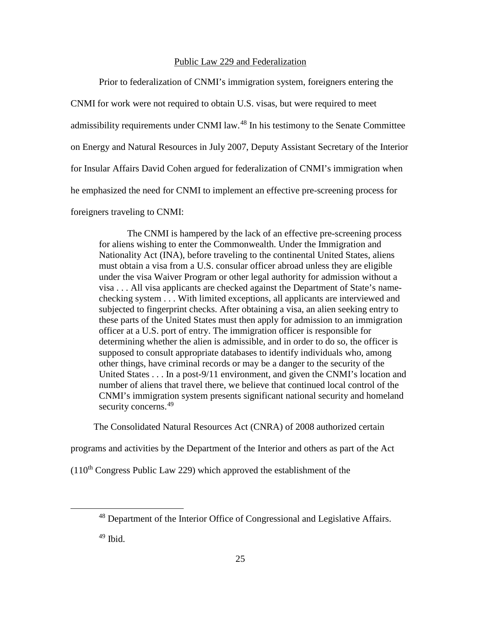#### Public Law 229 and Federalization

Prior to federalization of CNMI's immigration system, foreigners entering the CNMI for work were not required to obtain U.S. visas, but were required to meet admissibility requirements under CNMI law.<sup>[48](#page-34-0)</sup> In his testimony to the Senate Committee on Energy and Natural Resources in July 2007, Deputy Assistant Secretary of the Interior for Insular Affairs David Cohen argued for federalization of CNMI's immigration when he emphasized the need for CNMI to implement an effective pre-screening process for foreigners traveling to CNMI:

The CNMI is hampered by the lack of an effective pre-screening process for aliens wishing to enter the Commonwealth. Under the Immigration and Nationality Act (INA), before traveling to the continental United States, aliens must obtain a visa from a U.S. consular officer abroad unless they are eligible under the visa Waiver Program or other legal authority for admission without a visa . . . All visa applicants are checked against the Department of State's namechecking system . . . With limited exceptions, all applicants are interviewed and subjected to fingerprint checks. After obtaining a visa, an alien seeking entry to these parts of the United States must then apply for admission to an immigration officer at a U.S. port of entry. The immigration officer is responsible for determining whether the alien is admissible, and in order to do so, the officer is supposed to consult appropriate databases to identify individuals who, among other things, have criminal records or may be a danger to the security of the United States . . . In a post-9/11 environment, and given the CNMI's location and number of aliens that travel there, we believe that continued local control of the CNMI's immigration system presents significant national security and homeland security concerns.<sup>[49](#page-34-1)</sup>

The Consolidated Natural Resources Act (CNRA) of 2008 authorized certain

programs and activities by the Department of the Interior and others as part of the Act

<span id="page-34-1"></span><span id="page-34-0"></span> $(110<sup>th</sup> Congress Public Law 229)$  which approved the establishment of the

 <sup>48</sup> Department of the Interior Office of Congressional and Legislative Affairs.

 $49$  Ibid.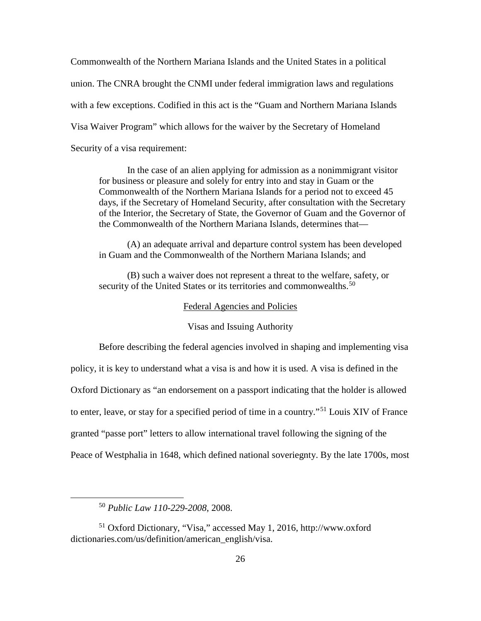Commonwealth of the Northern Mariana Islands and the United States in a political union. The CNRA brought the CNMI under federal immigration laws and regulations with a few exceptions. Codified in this act is the "Guam and Northern Mariana Islands Visa Waiver Program" which allows for the waiver by the Secretary of Homeland Security of a visa requirement:

In the case of an alien applying for admission as a nonimmigrant visitor for business or pleasure and solely for entry into and stay in Guam or the Commonwealth of the Northern Mariana Islands for a period not to exceed 45 days, if the Secretary of Homeland Security, after consultation with the Secretary of the Interior, the Secretary of State, the Governor of Guam and the Governor of the Commonwealth of the Northern Mariana Islands, determines that—

(A) an adequate arrival and departure control system has been developed in Guam and the Commonwealth of the Northern Mariana Islands; and

(B) such a waiver does not represent a threat to the welfare, safety, or security of the United States or its territories and commonwealths.<sup>[50](#page-35-0)</sup>

#### Federal Agencies and Policies

#### Visas and Issuing Authority

Before describing the federal agencies involved in shaping and implementing visa policy, it is key to understand what a visa is and how it is used. A visa is defined in the Oxford Dictionary as "an endorsement on a passport indicating that the holder is allowed to enter, leave, or stay for a specified period of time in a country."[51](#page-35-1) Louis XIV of France granted "passe port" letters to allow international travel following the signing of the Peace of Westphalia in 1648, which defined national soveriegnty. By the late 1700s, most

 <sup>50</sup> *Public Law 110-229-2008*, 2008.

<span id="page-35-1"></span><span id="page-35-0"></span><sup>51</sup> Oxford Dictionary, "Visa," accessed May 1, 2016, http://www.oxford dictionaries.com/us/definition/american\_english/visa.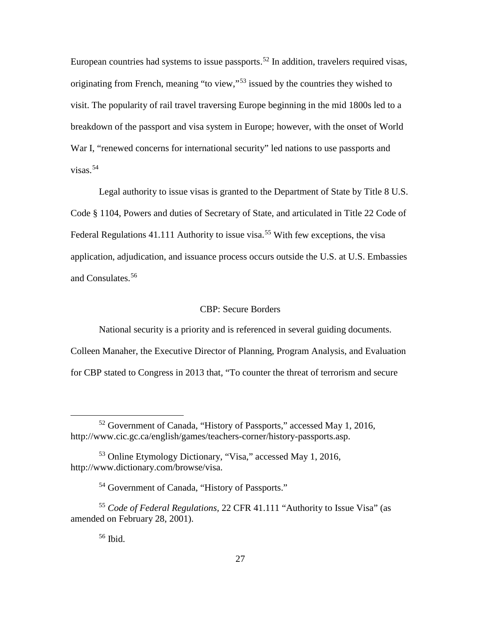European countries had systems to issue passports.<sup>[52](#page-36-0)</sup> In addition, travelers required visas, originating from French, meaning "to view,"<sup>[53](#page-36-1)</sup> issued by the countries they wished to visit. The popularity of rail travel traversing Europe beginning in the mid 1800s led to a breakdown of the passport and visa system in Europe; however, with the onset of World War I, "renewed concerns for international security" led nations to use passports and visas.[54](#page-36-2)

Legal authority to issue visas is granted to the Department of State by Title 8 U.S. Code § 1104, Powers and duties of Secretary of State, and articulated in Title 22 Code of Federal Regulations 41.111 Authority to issue visa.<sup>[55](#page-36-3)</sup> With few exceptions, the visa application, adjudication, and issuance process occurs outside the U.S. at U.S. Embassies and Consulates.<sup>[56](#page-36-4)</sup>

## CBP: Secure Borders

National security is a priority and is referenced in several guiding documents. Colleen Manaher, the Executive Director of Planning, Program Analysis, and Evaluation for CBP stated to Congress in 2013 that, "To counter the threat of terrorism and secure

<span id="page-36-0"></span> <sup>52</sup> Government of Canada, "History of Passports," accessed May 1, 2016, http://www.cic.gc.ca/english/games/teachers-corner/history-passports.asp.

<span id="page-36-1"></span><sup>53</sup> Online Etymology Dictionary, "Visa," accessed May 1, 2016, http://www.dictionary.com/browse/visa.

<sup>54</sup> Government of Canada, "History of Passports."

<span id="page-36-4"></span><span id="page-36-3"></span><span id="page-36-2"></span><sup>55</sup> *Code of Federal Regulations,* 22 CFR 41.111 "Authority to Issue Visa" (as amended on February 28, 2001).

 $56$  Ibid.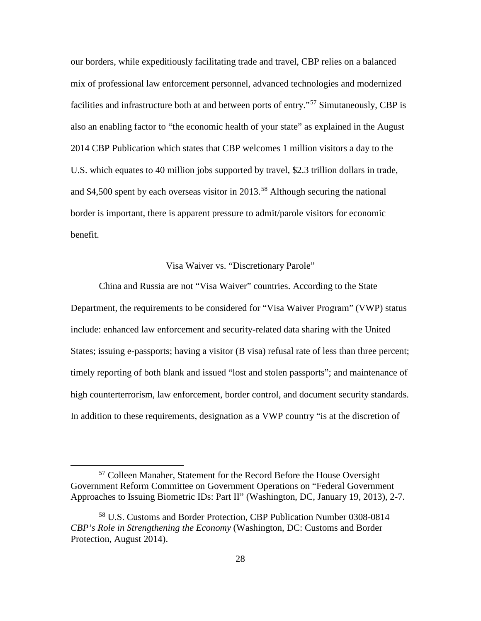our borders, while expeditiously facilitating trade and travel, CBP relies on a balanced mix of professional law enforcement personnel, advanced technologies and modernized facilities and infrastructure both at and between ports of entry."<sup>[57](#page-37-0)</sup> Simutaneously, CBP is also an enabling factor to "the economic health of your state" as explained in the August 2014 CBP Publication which states that CBP welcomes 1 million visitors a day to the U.S. which equates to 40 million jobs supported by travel, \$2.3 trillion dollars in trade, and \$4,500 spent by each overseas visitor in 2013.<sup>[58](#page-37-1)</sup> Although securing the national border is important, there is apparent pressure to admit/parole visitors for economic benefit.

### Visa Waiver vs. "Discretionary Parole"

China and Russia are not "Visa Waiver" countries. According to the State Department, the requirements to be considered for "Visa Waiver Program" (VWP) status include: enhanced law enforcement and security-related data sharing with the United States; issuing e-passports; having a visitor (B visa) refusal rate of less than three percent; timely reporting of both blank and issued "lost and stolen passports"; and maintenance of high counterterrorism, law enforcement, border control, and document security standards. In addition to these requirements, designation as a VWP country "is at the discretion of

<span id="page-37-0"></span> <sup>57</sup> Colleen Manaher, Statement for the Record Before the House Oversight Government Reform Committee on Government Operations on "Federal Government Approaches to Issuing Biometric IDs: Part II" (Washington, DC, January 19, 2013), 2-7.

<span id="page-37-1"></span><sup>58</sup> U.S. Customs and Border Protection, CBP Publication Number 0308-0814 *CBP's Role in Strengthening the Economy* (Washington, DC: Customs and Border Protection, August 2014).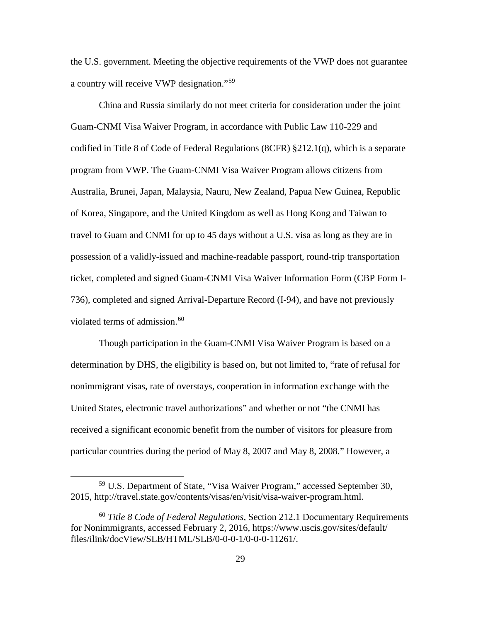the U.S. government. Meeting the objective requirements of the VWP does not guarantee a country will receive VWP designation."[59](#page-38-0)

China and Russia similarly do not meet criteria for consideration under the joint Guam-CNMI Visa Waiver Program, in accordance with Public Law 110-229 and codified in Title 8 of Code of Federal Regulations (8CFR) §212.1(q), which is a separate program from VWP. The Guam-CNMI Visa Waiver Program allows citizens from Australia, Brunei, Japan, Malaysia, Nauru, New Zealand, Papua New Guinea, Republic of Korea, Singapore, and the United Kingdom as well as Hong Kong and Taiwan to travel to Guam and CNMI for up to 45 days without a U.S. visa as long as they are in possession of a validly-issued and machine-readable passport, round-trip transportation ticket, completed and signed Guam-CNMI Visa Waiver Information Form (CBP Form I-736), completed and signed Arrival-Departure Record (I-94), and have not previously violated terms of admission.<sup>[60](#page-38-1)</sup>

Though participation in the Guam-CNMI Visa Waiver Program is based on a determination by DHS, the eligibility is based on, but not limited to, "rate of refusal for nonimmigrant visas, rate of overstays, cooperation in information exchange with the United States, electronic travel authorizations" and whether or not "the CNMI has received a significant economic benefit from the number of visitors for pleasure from particular countries during the period of May 8, 2007 and May 8, 2008." However, a

<span id="page-38-0"></span> <sup>59</sup> U.S. Department of State, "Visa Waiver Program," accessed September 30, 2015, http://travel.state.gov/contents/visas/en/visit/visa-waiver-program.html.

<span id="page-38-1"></span><sup>60</sup> *Title 8 Code of Federal Regulations,* Section 212.1 Documentary Requirements for Nonimmigrants, accessed February 2, 2016, https://www.uscis.gov/sites/default/ files/ilink/docView/SLB/HTML/SLB/0-0-0-1/0-0-0-11261/.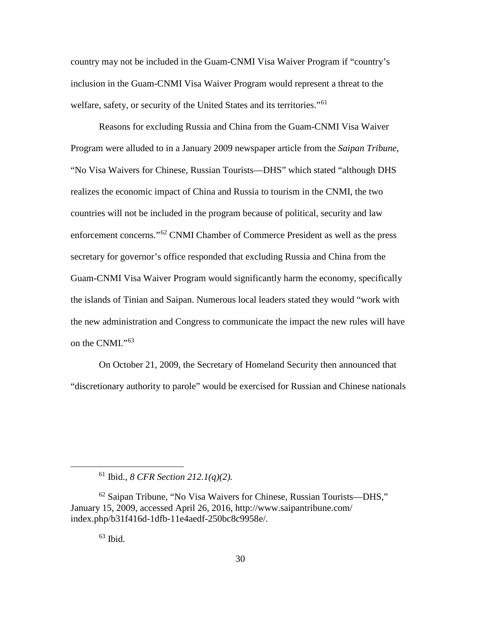country may not be included in the Guam-CNMI Visa Waiver Program if "country's inclusion in the Guam-CNMI Visa Waiver Program would represent a threat to the welfare, safety, or security of the United States and its territories."<sup>[61](#page-39-0)</sup>

Reasons for excluding Russia and China from the Guam-CNMI Visa Waiver Program were alluded to in a January 2009 newspaper article from the *Saipan Tribune*, "No Visa Waivers for Chinese, Russian Tourists—DHS" which stated "although DHS realizes the economic impact of China and Russia to tourism in the CNMI, the two countries will not be included in the program because of political, security and law enforcement concerns."<sup>[62](#page-39-1)</sup> CNMI Chamber of Commerce President as well as the press secretary for governor's office responded that excluding Russia and China from the Guam-CNMI Visa Waiver Program would significantly harm the economy, specifically the islands of Tinian and Saipan. Numerous local leaders stated they would "work with the new administration and Congress to communicate the impact the new rules will have on the CNMI."<sup>[63](#page-39-2)</sup>

On October 21, 2009, the Secretary of Homeland Security then announced that "discretionary authority to parole" would be exercised for Russian and Chinese nationals

 $63$  Ibid.

 <sup>61</sup> Ibid., *8 CFR Section 212.1(q)(2).*

<span id="page-39-2"></span><span id="page-39-1"></span><span id="page-39-0"></span> $62$  Saipan Tribune, "No Visa Waivers for Chinese, Russian Tourists—DHS," January 15, 2009, accessed April 26, 2016, http://www.saipantribune.com/ index.php/b31f416d-1dfb-11e4aedf-250bc8c9958e/.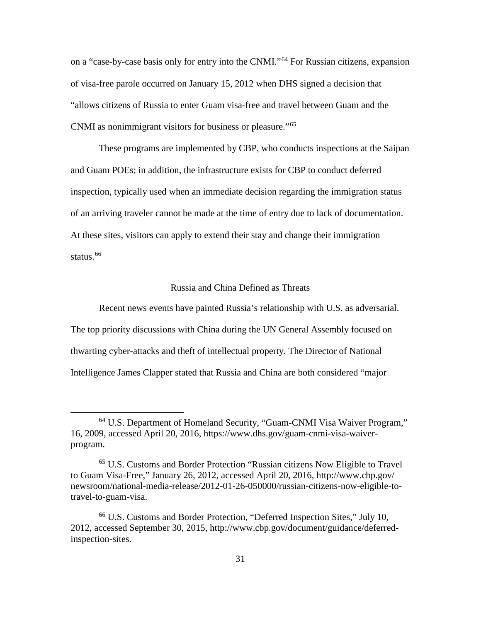on a "case-by-case basis only for entry into the CNMI."[64](#page-40-0) For Russian citizens, expansion of visa-free parole occurred on January 15, 2012 when DHS signed a decision that "allows citizens of Russia to enter Guam visa-free and travel between Guam and the CNMI as nonimmigrant visitors for business or pleasure."[65](#page-40-1)

These programs are implemented by CBP, who conducts inspections at the Saipan and Guam POEs; in addition, the infrastructure exists for CBP to conduct deferred inspection, typically used when an immediate decision regarding the immigration status of an arriving traveler cannot be made at the time of entry due to lack of documentation. At these sites, visitors can apply to extend their stay and change their immigration status.<sup>[66](#page-40-2)</sup>

## Russia and China Defined as Threats

Recent news events have painted Russia's relationship with U.S. as adversarial. The top priority discussions with China during the UN General Assembly focused on thwarting cyber-attacks and theft of intellectual property. The Director of National Intelligence James Clapper stated that Russia and China are both considered "major

<span id="page-40-0"></span><sup>&</sup>lt;sup>64</sup> U.S. Department of Homeland Security, "Guam-CNMI Visa Waiver Program," 16, 2009, accessed April 20, 2016, https://www.dhs.gov/guam-cnmi-visa-waiverprogram.

<span id="page-40-1"></span><sup>65</sup> U.S. Customs and Border Protection "Russian citizens Now Eligible to Travel to Guam Visa-Free," January 26, 2012, accessed April 20, 2016, http://www.cbp.gov/ newsroom/national-media-release/2012-01-26-050000/russian-citizens-now-eligible-totravel-to-guam-visa.

<span id="page-40-2"></span><sup>66</sup> U.S. Customs and Border Protection, "Deferred Inspection Sites," July 10, 2012, accessed September 30, 2015, http://www.cbp.gov/document/guidance/deferredinspection-sites.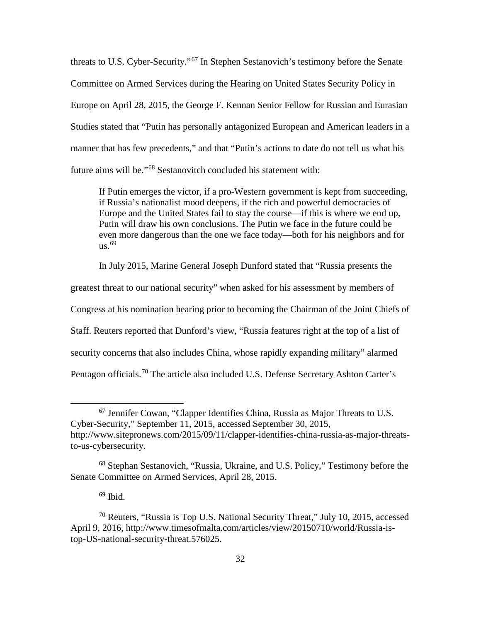threats to U.S. Cyber-Security."[67](#page-41-0) In Stephen Sestanovich's testimony before the Senate Committee on Armed Services during the Hearing on United States Security Policy in Europe on April 28, 2015, the George F. Kennan Senior Fellow for Russian and Eurasian Studies stated that "Putin has personally antagonized European and American leaders in a manner that has few precedents," and that "Putin's actions to date do not tell us what his future aims will be."[68](#page-41-1) Sestanovitch concluded his statement with:

If Putin emerges the victor, if a pro-Western government is kept from succeeding, if Russia's nationalist mood deepens, if the rich and powerful democracies of Europe and the United States fail to stay the course—if this is where we end up, Putin will draw his own conclusions. The Putin we face in the future could be even more dangerous than the one we face today—both for his neighbors and for  $us.<sup>69</sup>$  $us.<sup>69</sup>$  $us.<sup>69</sup>$ 

In July 2015, Marine General Joseph Dunford stated that "Russia presents the

greatest threat to our national security" when asked for his assessment by members of

Congress at his nomination hearing prior to becoming the Chairman of the Joint Chiefs of

Staff. Reuters reported that Dunford's view, "Russia features right at the top of a list of

security concerns that also includes China, whose rapidly expanding military" alarmed

Pentagon officials.<sup>[70](#page-41-3)</sup> The article also included U.S. Defense Secretary Ashton Carter's

 $69$  Ibid.

<span id="page-41-0"></span> <sup>67</sup> Jennifer Cowan, "Clapper Identifies China, Russia as Major Threats to U.S. Cyber-Security," September 11, 2015, accessed September 30, 2015, http://www.sitepronews.com/2015/09/11/clapper-identifies-china-russia-as-major-threatsto-us-cybersecurity.

<span id="page-41-1"></span><sup>68</sup> Stephan Sestanovich, "Russia, Ukraine, and U.S. Policy," Testimony before the Senate Committee on Armed Services, April 28, 2015.

<span id="page-41-3"></span><span id="page-41-2"></span><sup>70</sup> Reuters, "Russia is Top U.S. National Security Threat," July 10, 2015, accessed April 9, 2016, http://www.timesofmalta.com/articles/view/20150710/world/Russia-istop-US-national-security-threat.576025.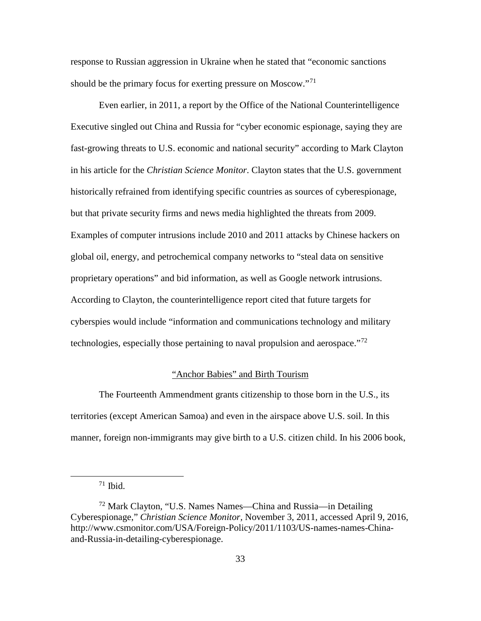response to Russian aggression in Ukraine when he stated that "economic sanctions should be the primary focus for exerting pressure on Moscow."<sup>[71](#page-42-0)</sup>

Even earlier, in 2011, a report by the Office of the National Counterintelligence Executive singled out China and Russia for "cyber economic espionage, saying they are fast-growing threats to U.S. economic and national security" according to Mark Clayton in his article for the *Christian Science Monitor*. Clayton states that the U.S. government historically refrained from identifying specific countries as sources of cyberespionage, but that private security firms and news media highlighted the threats from 2009. Examples of computer intrusions include 2010 and 2011 attacks by Chinese hackers on global oil, energy, and petrochemical company networks to "steal data on sensitive proprietary operations" and bid information, as well as Google network intrusions. According to Clayton, the counterintelligence report cited that future targets for cyberspies would include "information and communications technology and military technologies, especially those pertaining to naval propulsion and aerospace."[72](#page-42-1)

# "Anchor Babies" and Birth Tourism

The Fourteenth Ammendment grants citizenship to those born in the U.S., its territories (except American Samoa) and even in the airspace above U.S. soil. In this manner, foreign non-immigrants may give birth to a U.S. citizen child. In his 2006 book,

 $71$  Ibid.

<span id="page-42-1"></span><span id="page-42-0"></span><sup>72</sup> Mark Clayton, "U.S. Names Names—China and Russia—in Detailing Cyberespionage," *Christian Science Monitor,* November 3, 2011, accessed April 9, 2016, http://www.csmonitor.com/USA/Foreign-Policy/2011/1103/US-names-names-Chinaand-Russia-in-detailing-cyberespionage.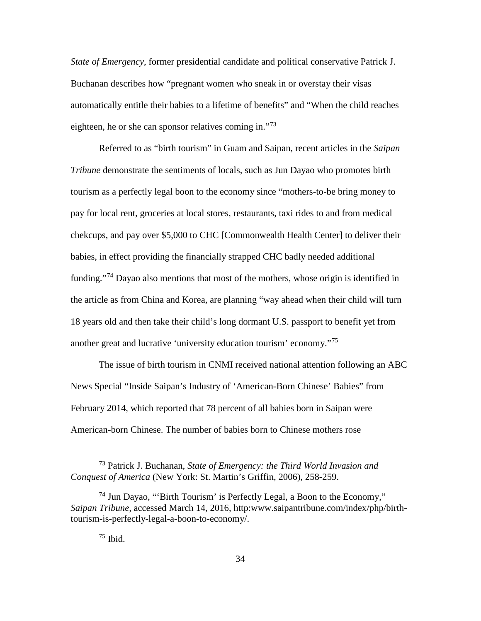*State of Emergency*, former presidential candidate and political conservative Patrick J. Buchanan describes how "pregnant women who sneak in or overstay their visas automatically entitle their babies to a lifetime of benefits" and "When the child reaches eighteen, he or she can sponsor relatives coming in."<sup>[73](#page-43-0)</sup>

Referred to as "birth tourism" in Guam and Saipan, recent articles in the *Saipan Tribune* demonstrate the sentiments of locals, such as Jun Dayao who promotes birth tourism as a perfectly legal boon to the economy since "mothers-to-be bring money to pay for local rent, groceries at local stores, restaurants, taxi rides to and from medical chekcups, and pay over \$5,000 to CHC [Commonwealth Health Center] to deliver their babies, in effect providing the financially strapped CHC badly needed additional funding."<sup>[74](#page-43-1)</sup> Dayao also mentions that most of the mothers, whose origin is identified in the article as from China and Korea, are planning "way ahead when their child will turn 18 years old and then take their child's long dormant U.S. passport to benefit yet from another great and lucrative 'university education tourism' economy."[75](#page-43-2)

The issue of birth tourism in CNMI received national attention following an ABC News Special "Inside Saipan's Industry of 'American-Born Chinese' Babies" from February 2014, which reported that 78 percent of all babies born in Saipan were American-born Chinese. The number of babies born to Chinese mothers rose

<span id="page-43-0"></span> <sup>73</sup> Patrick J. Buchanan, *State of Emergency: the Third World Invasion and Conquest of America* (New York: St. Martin's Griffin, 2006), 258-259.

<span id="page-43-2"></span><span id="page-43-1"></span> $74$  Jun Dayao, "Birth Tourism' is Perfectly Legal, a Boon to the Economy," *Saipan Tribune,* accessed March 14, 2016, http:www.saipantribune.com/index/php/birthtourism-is-perfectly-legal-a-boon-to-economy/.

 $75$  Ibid.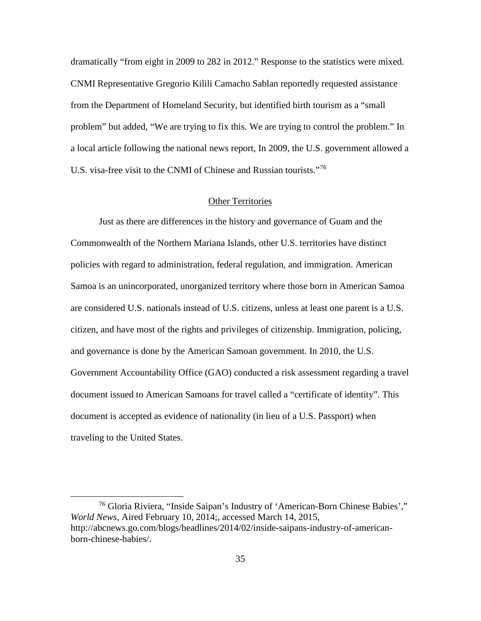dramatically "from eight in 2009 to 282 in 2012." Response to the statistics were mixed. CNMI Representative Gregorio Kilili Camacho Sablan reportedly requested assistance from the Department of Homeland Security, but identified birth tourism as a "small problem" but added, "We are trying to fix this. We are trying to control the problem." In a local article following the national news report, In 2009, the U.S. government allowed a U.S. visa-free visit to the CNMI of Chinese and Russian tourists."[76](#page-44-0)

#### Other Territories

Just as there are differences in the history and governance of Guam and the Commonwealth of the Northern Mariana Islands, other U.S. territories have distinct policies with regard to administration, federal regulation, and immigration. American Samoa is an unincorporated, unorganized territory where those born in American Samoa are considered U.S. nationals instead of U.S. citizens, unless at least one parent is a U.S. citizen, and have most of the rights and privileges of citizenship. Immigration, policing, and governance is done by the American Samoan government. In 2010, the U.S. Government Accountability Office (GAO) conducted a risk assessment regarding a travel document issued to American Samoans for travel called a "certificate of identity". This document is accepted as evidence of nationality (in lieu of a U.S. Passport) when traveling to the United States.

<span id="page-44-0"></span> <sup>76</sup> Gloria Riviera, "Inside Saipan's Industry of 'American-Born Chinese Babies'," *World News*, Aired February 10, 2014;, accessed March 14, 2015, http://abcnews.go.com/blogs/headlines/2014/02/inside-saipans-industry-of-americanborn-chinese-babies/.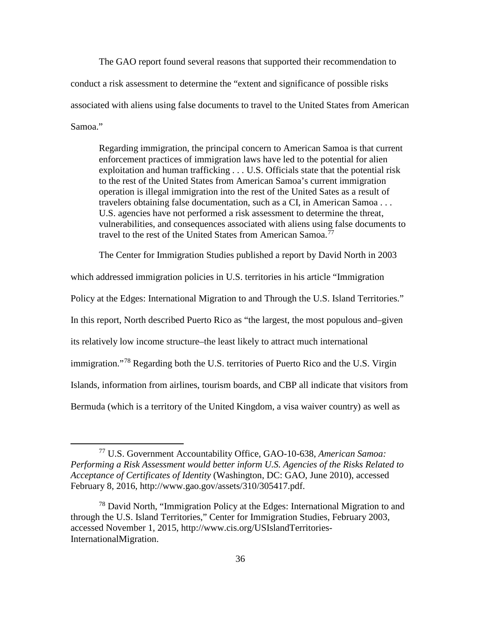The GAO report found several reasons that supported their recommendation to conduct a risk assessment to determine the "extent and significance of possible risks associated with aliens using false documents to travel to the United States from American Samoa."

Regarding immigration, the principal concern to American Samoa is that current enforcement practices of immigration laws have led to the potential for alien exploitation and human trafficking . . . U.S. Officials state that the potential risk to the rest of the United States from American Samoa's current immigration operation is illegal immigration into the rest of the United Sates as a result of travelers obtaining false documentation, such as a CI, in American Samoa . . . U.S. agencies have not performed a risk assessment to determine the threat, vulnerabilities, and consequences associated with aliens using false documents to travel to the rest of the United States from American Samoa.<sup>[77](#page-45-0)</sup>

The Center for Immigration Studies published a report by David North in 2003

which addressed immigration policies in U.S. territories in his article "Immigration Policy at the Edges: International Migration to and Through the U.S. Island Territories." In this report, North described Puerto Rico as "the largest, the most populous and–given its relatively low income structure–the least likely to attract much international immigration."[78](#page-45-1) Regarding both the U.S. territories of Puerto Rico and the U.S. Virgin Islands, information from airlines, tourism boards, and CBP all indicate that visitors from

Bermuda (which is a territory of the United Kingdom, a visa waiver country) as well as

<span id="page-45-0"></span> <sup>77</sup> U.S. Government Accountability Office, GAO-10-638, *American Samoa: Performing a Risk Assessment would better inform U.S. Agencies of the Risks Related to Acceptance of Certificates of Identity* (Washington, DC: GAO, June 2010), accessed February 8, 2016, http://www.gao.gov/assets/310/305417.pdf.

<span id="page-45-1"></span><sup>&</sup>lt;sup>78</sup> David North, "Immigration Policy at the Edges: International Migration to and through the U.S. Island Territories," Center for Immigration Studies, February 2003, accessed November 1, 2015, http://www.cis.org/USIslandTerritories-InternationalMigration.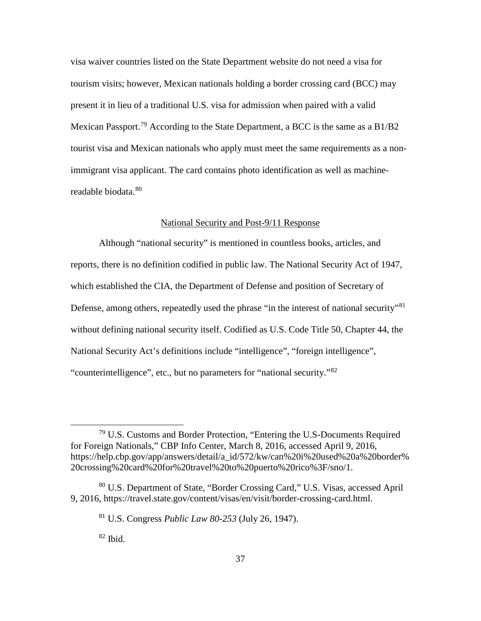visa waiver countries listed on the State Department website do not need a visa for tourism visits; however, Mexican nationals holding a border crossing card (BCC) may present it in lieu of a traditional U.S. visa for admission when paired with a valid Mexican Passport.<sup>[79](#page-46-0)</sup> According to the State Department, a BCC is the same as a B1/B2 tourist visa and Mexican nationals who apply must meet the same requirements as a nonimmigrant visa applicant. The card contains photo identification as well as machine-readable biodata.<sup>[80](#page-46-1)</sup>

#### National Security and Post-9/11 Response

Although "national security" is mentioned in countless books, articles, and reports, there is no definition codified in public law. The National Security Act of 1947, which established the CIA, the Department of Defense and position of Secretary of Defense, among others, repeatedly used the phrase "in the interest of national security"<sup>[81](#page-46-2)</sup> without defining national security itself. Codified as U.S. Code Title 50, Chapter 44, the National Security Act's definitions include "intelligence", "foreign intelligence", "counterintelligence", etc., but no parameters for "national security."[82](#page-46-3)

 $82$  Ibid.

<span id="page-46-0"></span> <sup>79</sup> U.S. Customs and Border Protection, "Entering the U.S-Documents Required for Foreign Nationals," CBP Info Center, March 8, 2016, accessed April 9, 2016, https://help.cbp.gov/app/answers/detail/a\_id/572/kw/can%20i%20used%20a%20border% 20crossing%20card%20for%20travel%20to%20puerto%20rico%3F/sno/1.

<span id="page-46-3"></span><span id="page-46-2"></span><span id="page-46-1"></span><sup>80</sup> U.S. Department of State, "Border Crossing Card," U.S. Visas, accessed April 9, 2016, https://travel.state.gov/content/visas/en/visit/border-crossing-card.html.

<sup>81</sup> U.S. Congress *Public Law 80-253* (July 26, 1947).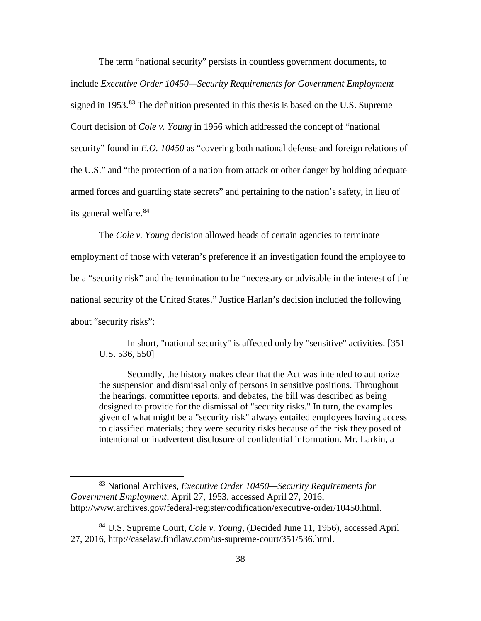The term "national security" persists in countless government documents, to include *Executive Order 10450—Security Requirements for Government Employment* signed in 1953.<sup>[83](#page-47-0)</sup> The definition presented in this thesis is based on the U.S. Supreme Court decision of *Cole v. Young* in 1956 which addressed the concept of "national security" found in *E.O. 10450* as "covering both national defense and foreign relations of the U.S." and "the protection of a nation from attack or other danger by holding adequate armed forces and guarding state secrets" and pertaining to the nation's safety, in lieu of its general welfare.<sup>[84](#page-47-1)</sup>

The *Cole v. Young* decision allowed heads of certain agencies to terminate employment of those with veteran's preference if an investigation found the employee to be a "security risk" and the termination to be "necessary or advisable in the interest of the national security of the United States." Justice Harlan's decision included the following about "security risks":

In short, "national security" is affected only by "sensitive" activities. [351 U.S. 536, 550]

Secondly, the history makes clear that the Act was intended to authorize the suspension and dismissal only of persons in sensitive positions. Throughout the hearings, committee reports, and debates, the bill was described as being designed to provide for the dismissal of "security risks." In turn, the examples given of what might be a "security risk" always entailed employees having access to classified materials; they were security risks because of the risk they posed of intentional or inadvertent disclosure of confidential information. Mr. Larkin, a

<span id="page-47-0"></span> <sup>83</sup> National Archives, *Executive Order 10450—Security Requirements for Government Employment,* April 27, 1953, accessed April 27, 2016, http://www.archives.gov/federal-register/codification/executive-order/10450.html.

<span id="page-47-1"></span><sup>84</sup> U.S. Supreme Court, *Cole v. Young*, (Decided June 11, 1956), accessed April 27, 2016, http://caselaw.findlaw.com/us-supreme-court/351/536.html.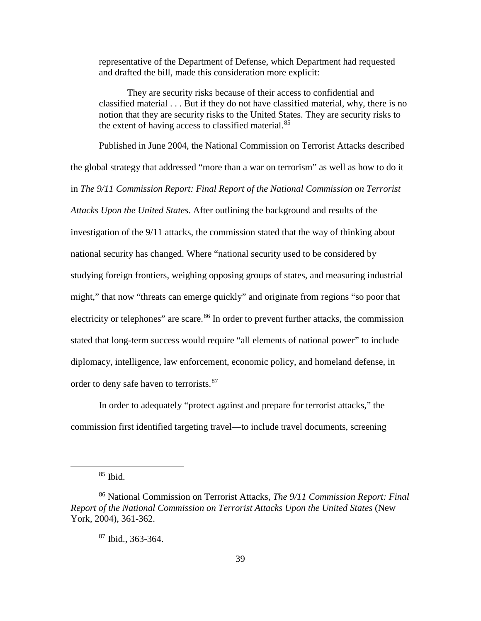representative of the Department of Defense, which Department had requested and drafted the bill, made this consideration more explicit:

They are security risks because of their access to confidential and classified material . . . But if they do not have classified material, why, there is no notion that they are security risks to the United States. They are security risks to the extent of having access to classified material.<sup>[85](#page-48-0)</sup>

Published in June 2004, the National Commission on Terrorist Attacks described the global strategy that addressed "more than a war on terrorism" as well as how to do it in *The 9/11 Commission Report: Final Report of the National Commission on Terrorist Attacks Upon the United States*. After outlining the background and results of the investigation of the 9/11 attacks, the commission stated that the way of thinking about national security has changed. Where "national security used to be considered by studying foreign frontiers, weighing opposing groups of states, and measuring industrial might," that now "threats can emerge quickly" and originate from regions "so poor that electricity or telephones" are scare.<sup>[86](#page-48-1)</sup> In order to prevent further attacks, the commission stated that long-term success would require "all elements of national power" to include diplomacy, intelligence, law enforcement, economic policy, and homeland defense, in order to deny safe haven to terrorists.<sup>[87](#page-48-2)</sup>

In order to adequately "protect against and prepare for terrorist attacks," the commission first identified targeting travel—to include travel documents, screening

 $85$  Ibid.

<span id="page-48-2"></span><span id="page-48-1"></span><span id="page-48-0"></span><sup>86</sup> National Commission on Terrorist Attacks, *The 9/11 Commission Report: Final Report of the National Commission on Terrorist Attacks Upon the United States* (New York, 2004), 361-362.

 $87$  Ibid., 363-364.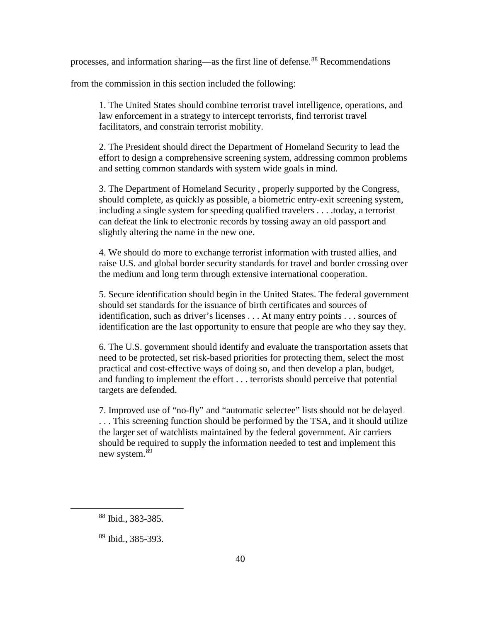processes, and information sharing—as the first line of defense.[88](#page-49-0) Recommendations

from the commission in this section included the following:

1. The United States should combine terrorist travel intelligence, operations, and law enforcement in a strategy to intercept terrorists, find terrorist travel facilitators, and constrain terrorist mobility.

2. The President should direct the Department of Homeland Security to lead the effort to design a comprehensive screening system, addressing common problems and setting common standards with system wide goals in mind.

3. The Department of Homeland Security , properly supported by the Congress, should complete, as quickly as possible, a biometric entry-exit screening system, including a single system for speeding qualified travelers . . . .today, a terrorist can defeat the link to electronic records by tossing away an old passport and slightly altering the name in the new one.

4. We should do more to exchange terrorist information with trusted allies, and raise U.S. and global border security standards for travel and border crossing over the medium and long term through extensive international cooperation.

5. Secure identification should begin in the United States. The federal government should set standards for the issuance of birth certificates and sources of identification, such as driver's licenses . . . At many entry points . . . sources of identification are the last opportunity to ensure that people are who they say they.

6. The U.S. government should identify and evaluate the transportation assets that need to be protected, set risk-based priorities for protecting them, select the most practical and cost-effective ways of doing so, and then develop a plan, budget, and funding to implement the effort . . . terrorists should perceive that potential targets are defended.

7. Improved use of "no-fly" and "automatic selectee" lists should not be delayed . . . This screening function should be performed by the TSA, and it should utilize the larger set of watchlists maintained by the federal government. Air carriers should be required to supply the information needed to test and implement this new system.<sup>[89](#page-49-1)</sup>

<span id="page-49-0"></span> <sup>88</sup> Ibid., 383-385.

<span id="page-49-1"></span><sup>89</sup> Ibid., 385-393.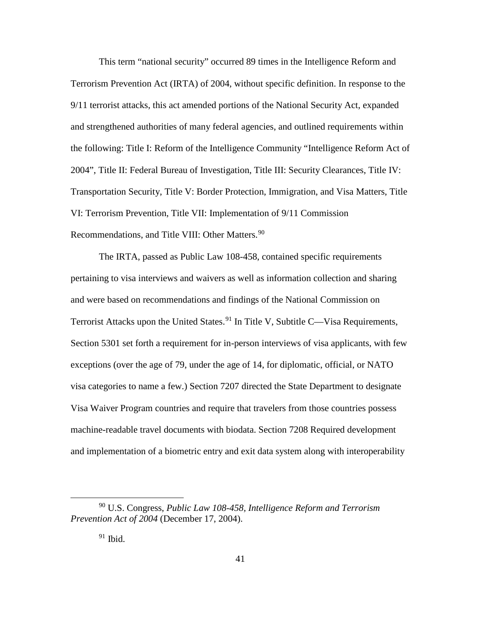This term "national security" occurred 89 times in the Intelligence Reform and Terrorism Prevention Act (IRTA) of 2004, without specific definition. In response to the 9/11 terrorist attacks, this act amended portions of the National Security Act, expanded and strengthened authorities of many federal agencies, and outlined requirements within the following: Title I: Reform of the Intelligence Community "Intelligence Reform Act of 2004", Title II: Federal Bureau of Investigation, Title III: Security Clearances, Title IV: Transportation Security, Title V: Border Protection, Immigration, and Visa Matters, Title VI: Terrorism Prevention, Title VII: Implementation of 9/11 Commission Recommendations, and Title VIII: Other Matters.<sup>[90](#page-50-0)</sup>

The IRTA, passed as Public Law 108-458, contained specific requirements pertaining to visa interviews and waivers as well as information collection and sharing and were based on recommendations and findings of the National Commission on Terrorist Attacks upon the United States.<sup>[91](#page-50-1)</sup> In Title V, Subtitle C—Visa Requirements, Section 5301 set forth a requirement for in-person interviews of visa applicants, with few exceptions (over the age of 79, under the age of 14, for diplomatic, official, or NATO visa categories to name a few.) Section 7207 directed the State Department to designate Visa Waiver Program countries and require that travelers from those countries possess machine-readable travel documents with biodata. Section 7208 Required development and implementation of a biometric entry and exit data system along with interoperability

<span id="page-50-1"></span><span id="page-50-0"></span> <sup>90</sup> U.S. Congress, *Public Law 108-458, Intelligence Reform and Terrorism Prevention Act of 2004* (December 17, 2004).

 $91$  Ibid.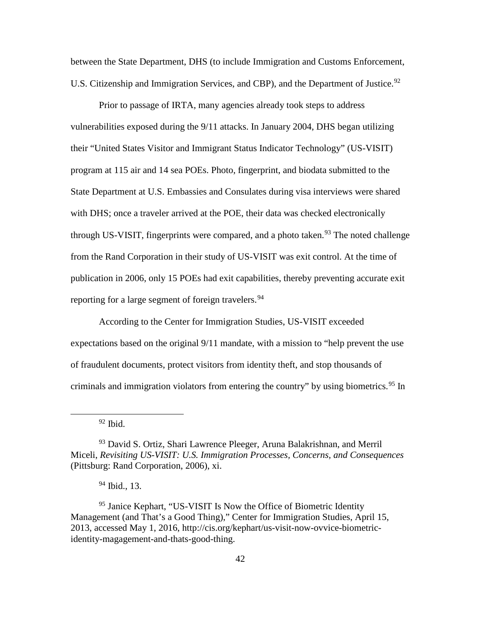between the State Department, DHS (to include Immigration and Customs Enforcement, U.S. Citizenship and Immigration Services, and CBP), and the Department of Justice.<sup>[92](#page-51-0)</sup>

Prior to passage of IRTA, many agencies already took steps to address vulnerabilities exposed during the 9/11 attacks. In January 2004, DHS began utilizing their "United States Visitor and Immigrant Status Indicator Technology" (US-VISIT) program at 115 air and 14 sea POEs. Photo, fingerprint, and biodata submitted to the State Department at U.S. Embassies and Consulates during visa interviews were shared with DHS; once a traveler arrived at the POE, their data was checked electronically through US-VISIT, fingerprints were compared, and a photo taken.<sup>[93](#page-51-1)</sup> The noted challenge from the Rand Corporation in their study of US-VISIT was exit control. At the time of publication in 2006, only 15 POEs had exit capabilities, thereby preventing accurate exit reporting for a large segment of foreign travelers.<sup>[94](#page-51-2)</sup>

According to the Center for Immigration Studies, US-VISIT exceeded expectations based on the original 9/11 mandate, with a mission to "help prevent the use of fraudulent documents, protect visitors from identity theft, and stop thousands of criminals and immigration violators from entering the country" by using biometrics.<sup>[95](#page-51-3)</sup> In

 $92$  Ibid.

<sup>94</sup> Ibid., 13.

<span id="page-51-3"></span><span id="page-51-2"></span><sup>95</sup> Janice Kephart, "US-VISIT Is Now the Office of Biometric Identity Management (and That's a Good Thing)," Center for Immigration Studies, April 15, 2013, accessed May 1, 2016, http://cis.org/kephart/us-visit-now-ovvice-biometricidentity-magagement-and-thats-good-thing.

<span id="page-51-1"></span><span id="page-51-0"></span><sup>&</sup>lt;sup>93</sup> David S. Ortiz, Shari Lawrence Pleeger, Aruna Balakrishnan, and Merril Miceli, *Revisiting US-VISIT: U.S. Immigration Processes, Concerns, and Consequences* (Pittsburg: Rand Corporation, 2006), xi.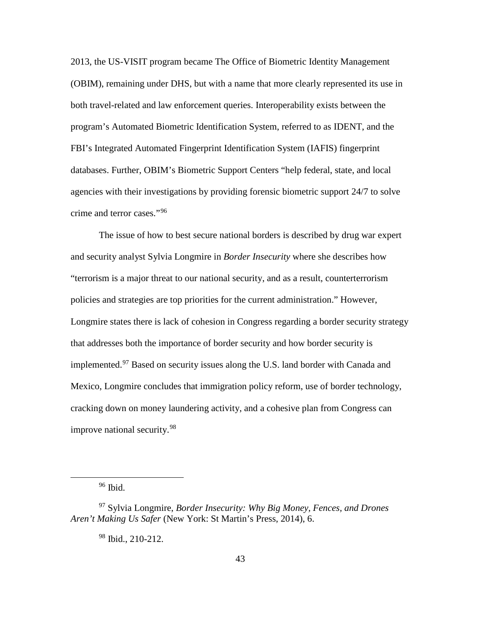2013, the US-VISIT program became The Office of Biometric Identity Management (OBIM), remaining under DHS, but with a name that more clearly represented its use in both travel-related and law enforcement queries. Interoperability exists between the program's Automated Biometric Identification System, referred to as IDENT, and the FBI's Integrated Automated Fingerprint Identification System (IAFIS) fingerprint databases. Further, OBIM's Biometric Support Centers "help federal, state, and local agencies with their investigations by providing forensic biometric support 24/7 to solve crime and terror cases."[96](#page-52-0)

The issue of how to best secure national borders is described by drug war expert and security analyst Sylvia Longmire in *Border Insecurity* where she describes how "terrorism is a major threat to our national security, and as a result, counterterrorism policies and strategies are top priorities for the current administration." However, Longmire states there is lack of cohesion in Congress regarding a border security strategy that addresses both the importance of border security and how border security is implemented.[97](#page-52-1) Based on security issues along the U.S. land border with Canada and Mexico, Longmire concludes that immigration policy reform, use of border technology, cracking down on money laundering activity, and a cohesive plan from Congress can improve national security.<sup>[98](#page-52-2)</sup>

<sup>96</sup> Ibid.

<sup>98</sup> Ibid., 210-212.

<span id="page-52-2"></span><span id="page-52-1"></span><span id="page-52-0"></span><sup>97</sup> Sylvia Longmire, *Border Insecurity: Why Big Money, Fences, and Drones Aren't Making Us Safer* (New York: St Martin's Press, 2014), 6.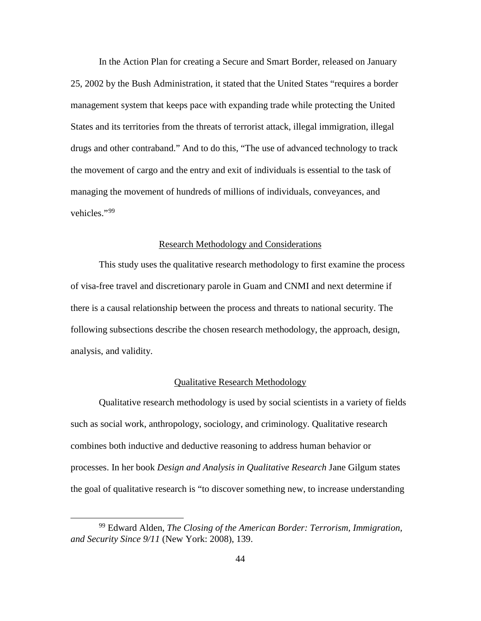In the Action Plan for creating a Secure and Smart Border, released on January 25, 2002 by the Bush Administration, it stated that the United States "requires a border management system that keeps pace with expanding trade while protecting the United States and its territories from the threats of terrorist attack, illegal immigration, illegal drugs and other contraband." And to do this, "The use of advanced technology to track the movement of cargo and the entry and exit of individuals is essential to the task of managing the movement of hundreds of millions of individuals, conveyances, and vehicles."[99](#page-53-0)

# Research Methodology and Considerations

This study uses the qualitative research methodology to first examine the process of visa-free travel and discretionary parole in Guam and CNMI and next determine if there is a causal relationship between the process and threats to national security. The following subsections describe the chosen research methodology, the approach, design, analysis, and validity.

# Qualitative Research Methodology

Qualitative research methodology is used by social scientists in a variety of fields such as social work, anthropology, sociology, and criminology. Qualitative research combines both inductive and deductive reasoning to address human behavior or processes. In her book *Design and Analysis in Qualitative Research* Jane Gilgum states the goal of qualitative research is "to discover something new, to increase understanding

<span id="page-53-0"></span> <sup>99</sup> Edward Alden, *The Closing of the American Border: Terrorism, Immigration, and Security Since 9/11* (New York: 2008), 139.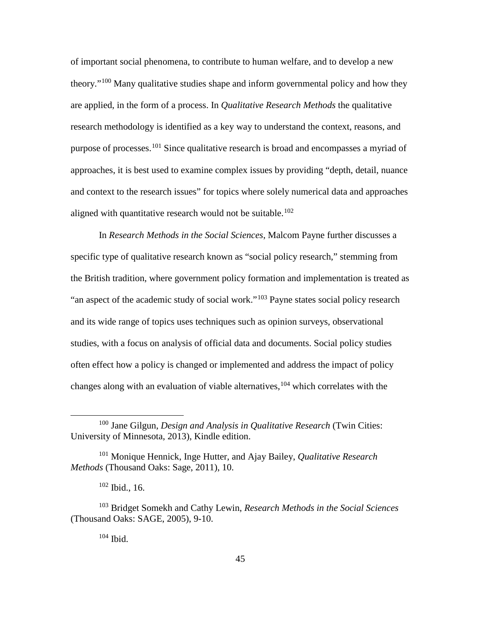of important social phenomena, to contribute to human welfare, and to develop a new theory."[100](#page-54-0) Many qualitative studies shape and inform governmental policy and how they are applied, in the form of a process. In *Qualitative Research Methods* the qualitative research methodology is identified as a key way to understand the context, reasons, and purpose of processes.<sup>[101](#page-54-1)</sup> Since qualitative research is broad and encompasses a myriad of approaches, it is best used to examine complex issues by providing "depth, detail, nuance and context to the research issues" for topics where solely numerical data and approaches aligned with quantitative research would not be suitable.<sup>[102](#page-54-2)</sup>

In *Research Methods in the Social Sciences*, Malcom Payne further discusses a specific type of qualitative research known as "social policy research," stemming from the British tradition, where government policy formation and implementation is treated as "an aspect of the academic study of social work."<sup>[103](#page-54-3)</sup> Payne states social policy research and its wide range of topics uses techniques such as opinion surveys, observational studies, with a focus on analysis of official data and documents. Social policy studies often effect how a policy is changed or implemented and address the impact of policy changes along with an evaluation of viable alternatives,  $104$  which correlates with the

<span id="page-54-0"></span> <sup>100</sup> Jane Gilgun, *Design and Analysis in Qualitative Research* (Twin Cities: University of Minnesota, 2013), Kindle edition.

<span id="page-54-1"></span><sup>101</sup> Monique Hennick, Inge Hutter, and Ajay Bailey, *Qualitative Research Methods* (Thousand Oaks: Sage, 2011), 10.

 $102$  Ibid., 16.

<span id="page-54-4"></span><span id="page-54-3"></span><span id="page-54-2"></span><sup>103</sup> Bridget Somekh and Cathy Lewin, *Research Methods in the Social Sciences* (Thousand Oaks: SAGE, 2005), 9-10.

 $104$  Ibid.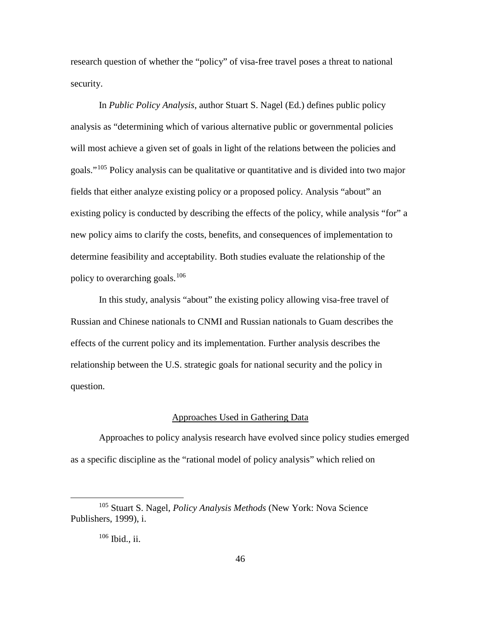research question of whether the "policy" of visa-free travel poses a threat to national security.

In *Public Policy Analysis*, author Stuart S. Nagel (Ed.) defines public policy analysis as "determining which of various alternative public or governmental policies will most achieve a given set of goals in light of the relations between the policies and goals."[105](#page-55-0) Policy analysis can be qualitative or quantitative and is divided into two major fields that either analyze existing policy or a proposed policy. Analysis "about" an existing policy is conducted by describing the effects of the policy, while analysis "for" a new policy aims to clarify the costs, benefits, and consequences of implementation to determine feasibility and acceptability. Both studies evaluate the relationship of the policy to overarching goals.<sup>[106](#page-55-1)</sup>

In this study, analysis "about" the existing policy allowing visa-free travel of Russian and Chinese nationals to CNMI and Russian nationals to Guam describes the effects of the current policy and its implementation. Further analysis describes the relationship between the U.S. strategic goals for national security and the policy in question.

## Approaches Used in Gathering Data

Approaches to policy analysis research have evolved since policy studies emerged as a specific discipline as the "rational model of policy analysis" which relied on

<span id="page-55-1"></span><span id="page-55-0"></span> <sup>105</sup> Stuart S. Nagel, *Policy Analysis Methods* (New York: Nova Science Publishers, 1999), i.

<sup>106</sup> Ibid., ii.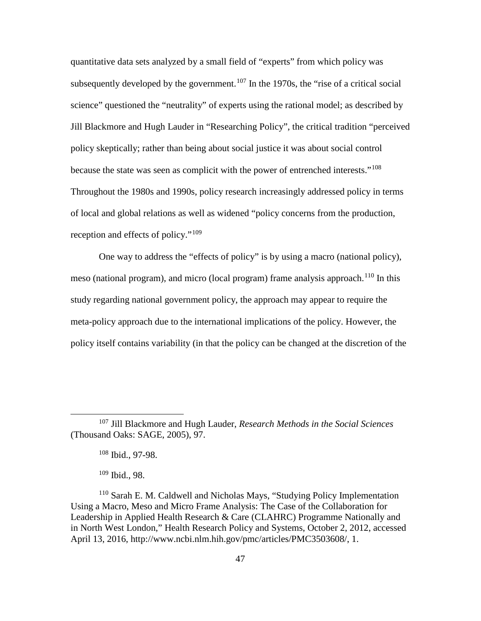quantitative data sets analyzed by a small field of "experts" from which policy was subsequently developed by the government.<sup>[107](#page-56-0)</sup> In the 1970s, the "rise of a critical social science" questioned the "neutrality" of experts using the rational model; as described by Jill Blackmore and Hugh Lauder in "Researching Policy", the critical tradition "perceived policy skeptically; rather than being about social justice it was about social control because the state was seen as complicit with the power of entrenched interests."<sup>[108](#page-56-1)</sup> Throughout the 1980s and 1990s, policy research increasingly addressed policy in terms of local and global relations as well as widened "policy concerns from the production, reception and effects of policy."<sup>[109](#page-56-2)</sup>

One way to address the "effects of policy" is by using a macro (national policy), meso (national program), and micro (local program) frame analysis approach.<sup>[110](#page-56-3)</sup> In this study regarding national government policy, the approach may appear to require the meta-policy approach due to the international implications of the policy. However, the policy itself contains variability (in that the policy can be changed at the discretion of the

<span id="page-56-1"></span><span id="page-56-0"></span> <sup>107</sup> Jill Blackmore and Hugh Lauder, *Research Methods in the Social Sciences* (Thousand Oaks: SAGE, 2005), 97.

<sup>108</sup> Ibid., 97-98.

<sup>109</sup> Ibid., 98.

<span id="page-56-3"></span><span id="page-56-2"></span><sup>110</sup> Sarah E. M. Caldwell and Nicholas Mays, "Studying Policy Implementation Using a Macro, Meso and Micro Frame Analysis: The Case of the Collaboration for Leadership in Applied Health Research & Care (CLAHRC) Programme Nationally and in North West London," Health Research Policy and Systems, October 2, 2012, accessed April 13, 2016, http://www.ncbi.nlm.hih.gov/pmc/articles/PMC3503608/, 1.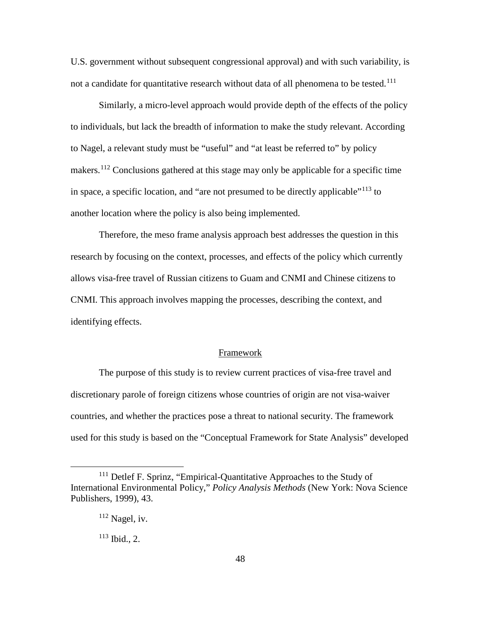U.S. government without subsequent congressional approval) and with such variability, is not a candidate for quantitative research without data of all phenomena to be tested.<sup>[111](#page-57-0)</sup>

Similarly, a micro-level approach would provide depth of the effects of the policy to individuals, but lack the breadth of information to make the study relevant. According to Nagel, a relevant study must be "useful" and "at least be referred to" by policy makers.<sup>[112](#page-57-1)</sup> Conclusions gathered at this stage may only be applicable for a specific time in space, a specific location, and "are not presumed to be directly applicable"[113](#page-57-2) to another location where the policy is also being implemented.

Therefore, the meso frame analysis approach best addresses the question in this research by focusing on the context, processes, and effects of the policy which currently allows visa-free travel of Russian citizens to Guam and CNMI and Chinese citizens to CNMI. This approach involves mapping the processes, describing the context, and identifying effects.

# Framework

The purpose of this study is to review current practices of visa-free travel and discretionary parole of foreign citizens whose countries of origin are not visa-waiver countries, and whether the practices pose a threat to national security. The framework used for this study is based on the "Conceptual Framework for State Analysis" developed

<span id="page-57-2"></span><span id="page-57-1"></span><span id="page-57-0"></span><sup>&</sup>lt;sup>111</sup> Detlef F. Sprinz, "Empirical-Quantitative Approaches to the Study of International Environmental Policy," *Policy Analysis Methods* (New York: Nova Science Publishers, 1999), 43.

 $112$  Nagel, iv.

 $113$  Ibid., 2.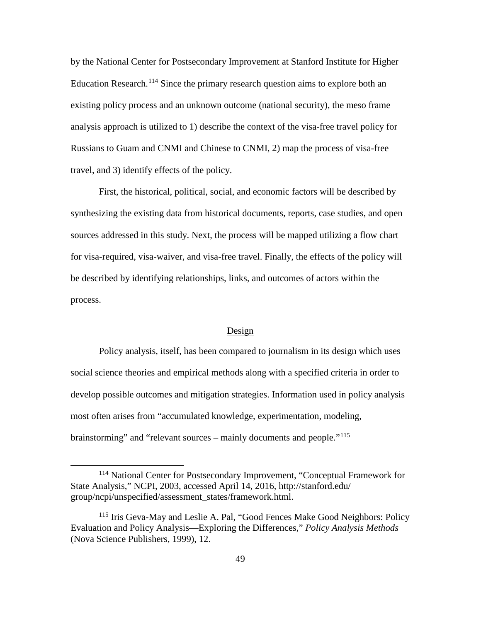by the National Center for Postsecondary Improvement at Stanford Institute for Higher Education Research.<sup>[114](#page-58-0)</sup> Since the primary research question aims to explore both an existing policy process and an unknown outcome (national security), the meso frame analysis approach is utilized to 1) describe the context of the visa-free travel policy for Russians to Guam and CNMI and Chinese to CNMI, 2) map the process of visa-free travel, and 3) identify effects of the policy.

First, the historical, political, social, and economic factors will be described by synthesizing the existing data from historical documents, reports, case studies, and open sources addressed in this study. Next, the process will be mapped utilizing a flow chart for visa-required, visa-waiver, and visa-free travel. Finally, the effects of the policy will be described by identifying relationships, links, and outcomes of actors within the process.

#### Design

Policy analysis, itself, has been compared to journalism in its design which uses social science theories and empirical methods along with a specified criteria in order to develop possible outcomes and mitigation strategies. Information used in policy analysis most often arises from "accumulated knowledge, experimentation, modeling, brainstorming" and "relevant sources – mainly documents and people."<sup>[115](#page-58-1)</sup>

<span id="page-58-0"></span> <sup>114</sup> National Center for Postsecondary Improvement, "Conceptual Framework for State Analysis," NCPI, 2003, accessed April 14, 2016, http://stanford.edu/ group/ncpi/unspecified/assessment\_states/framework.html.

<span id="page-58-1"></span><sup>&</sup>lt;sup>115</sup> Iris Geva-May and Leslie A. Pal, "Good Fences Make Good Neighbors: Policy Evaluation and Policy Analysis—Exploring the Differences," *Policy Analysis Methods*  (Nova Science Publishers, 1999), 12.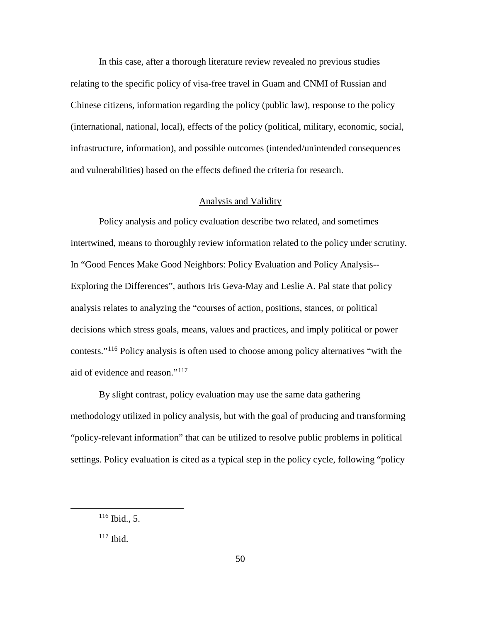In this case, after a thorough literature review revealed no previous studies relating to the specific policy of visa-free travel in Guam and CNMI of Russian and Chinese citizens, information regarding the policy (public law), response to the policy (international, national, local), effects of the policy (political, military, economic, social, infrastructure, information), and possible outcomes (intended/unintended consequences and vulnerabilities) based on the effects defined the criteria for research.

# Analysis and Validity

Policy analysis and policy evaluation describe two related, and sometimes intertwined, means to thoroughly review information related to the policy under scrutiny. In "Good Fences Make Good Neighbors: Policy Evaluation and Policy Analysis-- Exploring the Differences", authors Iris Geva-May and Leslie A. Pal state that policy analysis relates to analyzing the "courses of action, positions, stances, or political decisions which stress goals, means, values and practices, and imply political or power contests."[116](#page-59-0) Policy analysis is often used to choose among policy alternatives "with the aid of evidence and reason."[117](#page-59-1)

By slight contrast, policy evaluation may use the same data gathering methodology utilized in policy analysis, but with the goal of producing and transforming "policy-relevant information" that can be utilized to resolve public problems in political settings. Policy evaluation is cited as a typical step in the policy cycle, following "policy

<span id="page-59-0"></span> <sup>116</sup> Ibid., 5.

<span id="page-59-1"></span> $117$  Ibid.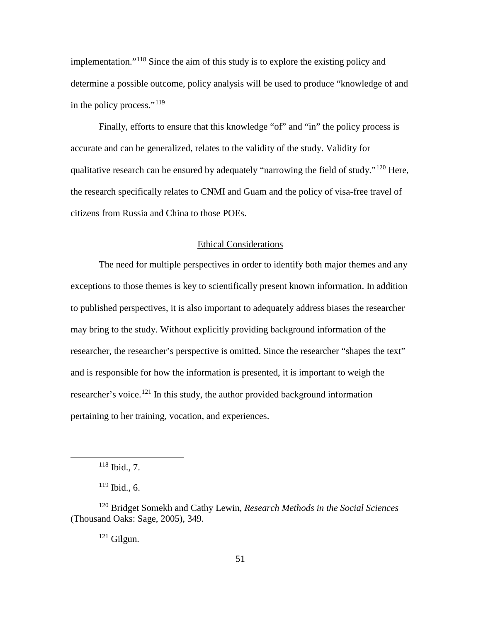implementation."[118](#page-60-0) Since the aim of this study is to explore the existing policy and determine a possible outcome, policy analysis will be used to produce "knowledge of and in the policy process."<sup>[119](#page-60-1)</sup>

Finally, efforts to ensure that this knowledge "of" and "in" the policy process is accurate and can be generalized, relates to the validity of the study. Validity for qualitative research can be ensured by adequately "narrowing the field of study."[120](#page-60-2) Here, the research specifically relates to CNMI and Guam and the policy of visa-free travel of citizens from Russia and China to those POEs.

# Ethical Considerations

The need for multiple perspectives in order to identify both major themes and any exceptions to those themes is key to scientifically present known information. In addition to published perspectives, it is also important to adequately address biases the researcher may bring to the study. Without explicitly providing background information of the researcher, the researcher's perspective is omitted. Since the researcher "shapes the text" and is responsible for how the information is presented, it is important to weigh the researcher's voice.<sup>[121](#page-60-3)</sup> In this study, the author provided background information pertaining to her training, vocation, and experiences.

<sup>121</sup> Gilgun.

 $118$  Ibid., 7.

 $119$  Ibid., 6.

<span id="page-60-3"></span><span id="page-60-2"></span><span id="page-60-1"></span><span id="page-60-0"></span><sup>120</sup> Bridget Somekh and Cathy Lewin, *Research Methods in the Social Sciences* (Thousand Oaks: Sage, 2005), 349.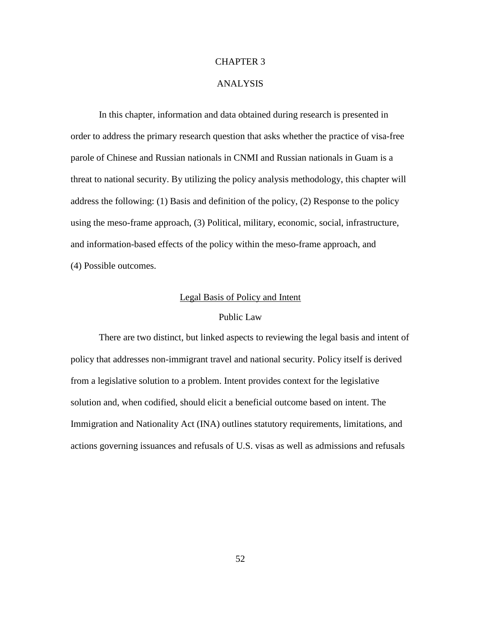## CHAPTER 3

# ANALYSIS

In this chapter, information and data obtained during research is presented in order to address the primary research question that asks whether the practice of visa-free parole of Chinese and Russian nationals in CNMI and Russian nationals in Guam is a threat to national security. By utilizing the policy analysis methodology, this chapter will address the following: (1) Basis and definition of the policy, (2) Response to the policy using the meso-frame approach, (3) Political, military, economic, social, infrastructure, and information-based effects of the policy within the meso-frame approach, and (4) Possible outcomes.

## Legal Basis of Policy and Intent

## Public Law

There are two distinct, but linked aspects to reviewing the legal basis and intent of policy that addresses non-immigrant travel and national security. Policy itself is derived from a legislative solution to a problem. Intent provides context for the legislative solution and, when codified, should elicit a beneficial outcome based on intent. The Immigration and Nationality Act (INA) outlines statutory requirements, limitations, and actions governing issuances and refusals of U.S. visas as well as admissions and refusals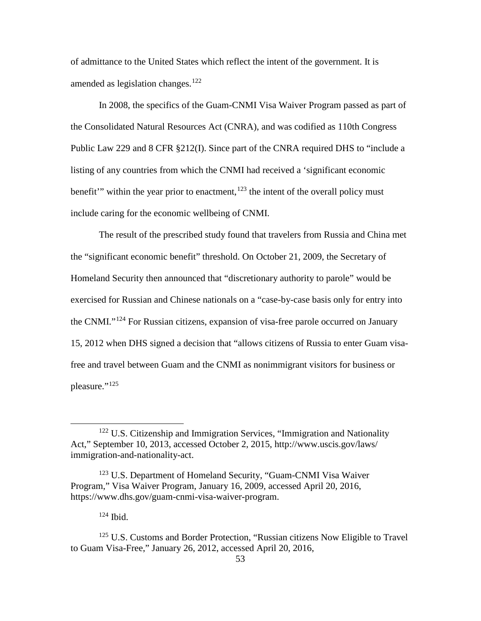of admittance to the United States which reflect the intent of the government. It is amended as legislation changes.<sup>[122](#page-62-0)</sup>

In 2008, the specifics of the Guam-CNMI Visa Waiver Program passed as part of the Consolidated Natural Resources Act (CNRA), and was codified as 110th Congress Public Law 229 and 8 CFR §212(I). Since part of the CNRA required DHS to "include a listing of any countries from which the CNMI had received a 'significant economic benefit" within the year prior to enactment,  $123$  the intent of the overall policy must include caring for the economic wellbeing of CNMI.

The result of the prescribed study found that travelers from Russia and China met the "significant economic benefit" threshold. On October 21, 2009, the Secretary of Homeland Security then announced that "discretionary authority to parole" would be exercised for Russian and Chinese nationals on a "case-by-case basis only for entry into the CNMI."[124](#page-62-2) For Russian citizens, expansion of visa-free parole occurred on January 15, 2012 when DHS signed a decision that "allows citizens of Russia to enter Guam visafree and travel between Guam and the CNMI as nonimmigrant visitors for business or pleasure."<sup>[125](#page-62-3)</sup>

<span id="page-62-0"></span><sup>&</sup>lt;sup>122</sup> U.S. Citizenship and Immigration Services, "Immigration and Nationality Act," September 10, 2013, accessed October 2, 2015, http://www.uscis.gov/laws/ immigration-and-nationality-act.

<span id="page-62-1"></span><sup>&</sup>lt;sup>123</sup> U.S. Department of Homeland Security, "Guam-CNMI Visa Waiver" Program," Visa Waiver Program, January 16, 2009, accessed April 20, 2016, https://www.dhs.gov/guam-cnmi-visa-waiver-program.

 $124$  Ibid.

<span id="page-62-3"></span><span id="page-62-2"></span><sup>&</sup>lt;sup>125</sup> U.S. Customs and Border Protection, "Russian citizens Now Eligible to Travel to Guam Visa-Free," January 26, 2012, accessed April 20, 2016,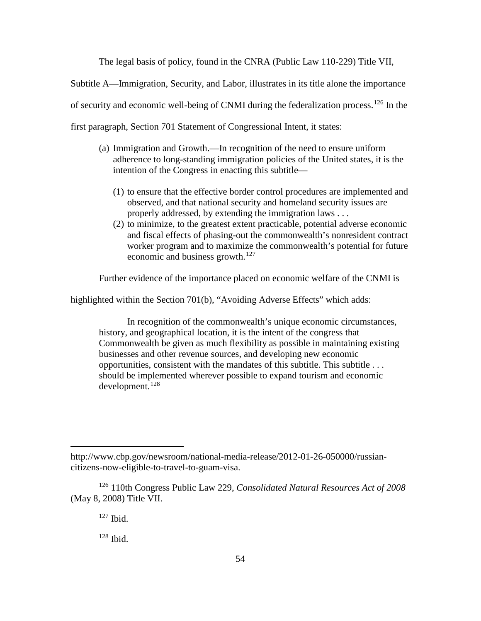The legal basis of policy, found in the CNRA (Public Law 110-229) Title VII,

Subtitle A—Immigration, Security, and Labor, illustrates in its title alone the importance

of security and economic well-being of CNMI during the federalization process.<sup>[126](#page-63-0)</sup> In the

first paragraph, Section 701 Statement of Congressional Intent, it states:

- (a) Immigration and Growth.—In recognition of the need to ensure uniform adherence to long-standing immigration policies of the United states, it is the intention of the Congress in enacting this subtitle—
	- (1) to ensure that the effective border control procedures are implemented and observed, and that national security and homeland security issues are properly addressed, by extending the immigration laws . . .
	- (2) to minimize, to the greatest extent practicable, potential adverse economic and fiscal effects of phasing-out the commonwealth's nonresident contract worker program and to maximize the commonwealth's potential for future economic and business growth.<sup>[127](#page-63-1)</sup>

Further evidence of the importance placed on economic welfare of the CNMI is

highlighted within the Section 701(b), "Avoiding Adverse Effects" which adds:

In recognition of the commonwealth's unique economic circumstances, history, and geographical location, it is the intent of the congress that Commonwealth be given as much flexibility as possible in maintaining existing businesses and other revenue sources, and developing new economic opportunities, consistent with the mandates of this subtitle. This subtitle . . . should be implemented wherever possible to expand tourism and economic development. [128](#page-63-2)

 $\overline{a}$ 

http://www.cbp.gov/newsroom/national-media-release/2012-01-26-050000/russiancitizens-now-eligible-to-travel-to-guam-visa.

<span id="page-63-2"></span><span id="page-63-1"></span><span id="page-63-0"></span><sup>126</sup> 110th Congress Public Law 229, *Consolidated Natural Resources Act of 2008* (May 8, 2008) Title VII.

 $127$  Ibid.

<sup>128</sup> Ibid.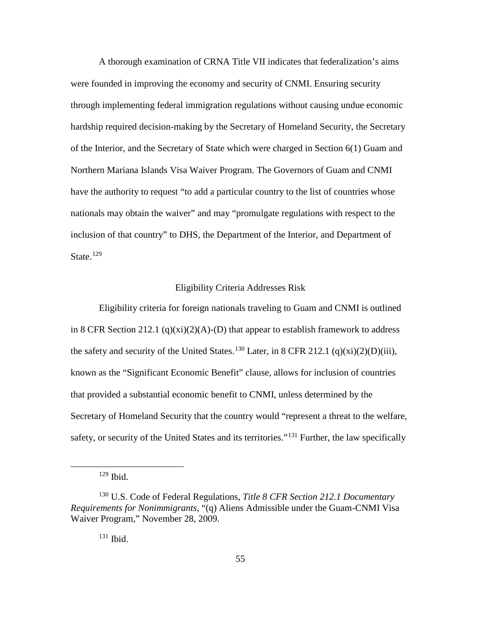A thorough examination of CRNA Title VII indicates that federalization's aims were founded in improving the economy and security of CNMI. Ensuring security through implementing federal immigration regulations without causing undue economic hardship required decision-making by the Secretary of Homeland Security, the Secretary of the Interior, and the Secretary of State which were charged in Section 6(1) Guam and Northern Mariana Islands Visa Waiver Program. The Governors of Guam and CNMI have the authority to request "to add a particular country to the list of countries whose nationals may obtain the waiver" and may "promulgate regulations with respect to the inclusion of that country" to DHS, the Department of the Interior, and Department of State.<sup>[129](#page-64-0)</sup>

#### Eligibility Criteria Addresses Risk

Eligibility criteria for foreign nationals traveling to Guam and CNMI is outlined in 8 CFR Section 212.1 (q)(xi)(2)(A)-(D) that appear to establish framework to address the safety and security of the United States.<sup>[130](#page-64-1)</sup> Later, in 8 CFR 212.1 (q)(xi)(2)(D)(iii), known as the "Significant Economic Benefit" clause, allows for inclusion of countries that provided a substantial economic benefit to CNMI, unless determined by the Secretary of Homeland Security that the country would "represent a threat to the welfare, safety, or security of the United States and its territories."<sup>[131](#page-64-2)</sup> Further, the law specifically

 <sup>129</sup> Ibid.

<span id="page-64-2"></span><span id="page-64-1"></span><span id="page-64-0"></span><sup>130</sup> U.S. Code of Federal Regulations, *Title 8 CFR Section 212.1 Documentary Requirements for Nonimmigrants*, "(q) Aliens Admissible under the Guam-CNMI Visa Waiver Program," November 28, 2009.

<sup>131</sup> Ibid.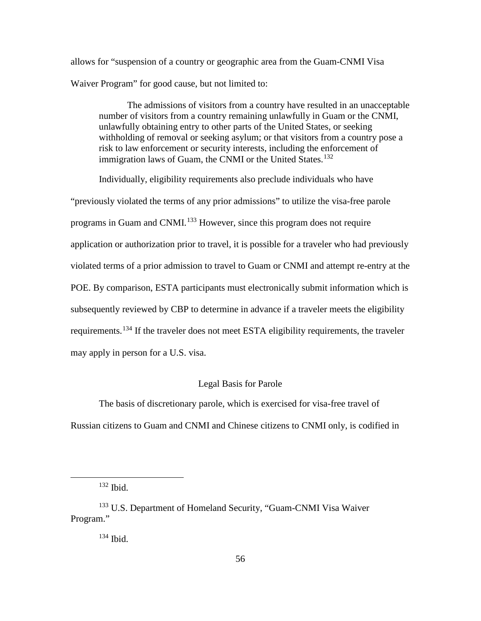allows for "suspension of a country or geographic area from the Guam-CNMI Visa Waiver Program" for good cause, but not limited to:

The admissions of visitors from a country have resulted in an unacceptable number of visitors from a country remaining unlawfully in Guam or the CNMI, unlawfully obtaining entry to other parts of the United States, or seeking withholding of removal or seeking asylum; or that visitors from a country pose a risk to law enforcement or security interests, including the enforcement of immigration laws of Guam, the CNMI or the United States.<sup>[132](#page-65-0)</sup>

Individually, eligibility requirements also preclude individuals who have

"previously violated the terms of any prior admissions" to utilize the visa-free parole programs in Guam and CNMI.<sup>[133](#page-65-1)</sup> However, since this program does not require application or authorization prior to travel, it is possible for a traveler who had previously violated terms of a prior admission to travel to Guam or CNMI and attempt re-entry at the POE. By comparison, ESTA participants must electronically submit information which is subsequently reviewed by CBP to determine in advance if a traveler meets the eligibility requirements.[134](#page-65-2) If the traveler does not meet ESTA eligibility requirements, the traveler may apply in person for a U.S. visa.

# Legal Basis for Parole

The basis of discretionary parole, which is exercised for visa-free travel of Russian citizens to Guam and CNMI and Chinese citizens to CNMI only, is codified in

132 Ibid.

<span id="page-65-2"></span><span id="page-65-1"></span><span id="page-65-0"></span><sup>133</sup> U.S. Department of Homeland Security, "Guam-CNMI Visa Waiver Program."

<sup>134</sup> Ibid.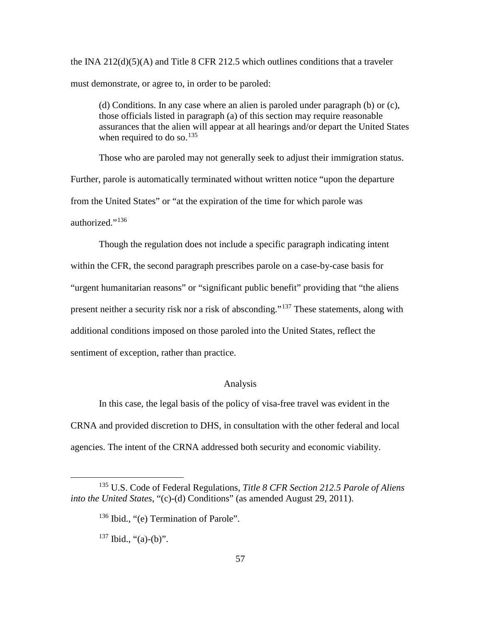the INA  $212(d)(5)(A)$  and Title 8 CFR 212.5 which outlines conditions that a traveler must demonstrate, or agree to, in order to be paroled:

(d) Conditions. In any case where an alien is paroled under paragraph (b) or (c), those officials listed in paragraph (a) of this section may require reasonable assurances that the alien will appear at all hearings and/or depart the United States when required to do so. $135$ 

Those who are paroled may not generally seek to adjust their immigration status. Further, parole is automatically terminated without written notice "upon the departure from the United States" or "at the expiration of the time for which parole was authorized."<sup>[136](#page-66-1)</sup>

Though the regulation does not include a specific paragraph indicating intent within the CFR, the second paragraph prescribes parole on a case-by-case basis for "urgent humanitarian reasons" or "significant public benefit" providing that "the aliens present neither a security risk nor a risk of absconding."[137](#page-66-2) These statements, along with additional conditions imposed on those paroled into the United States, reflect the sentiment of exception, rather than practice.

# Analysis

In this case, the legal basis of the policy of visa-free travel was evident in the CRNA and provided discretion to DHS, in consultation with the other federal and local agencies. The intent of the CRNA addressed both security and economic viability.

<span id="page-66-2"></span><span id="page-66-1"></span><span id="page-66-0"></span> <sup>135</sup> U.S. Code of Federal Regulations, *Title 8 CFR Section 212.5 Parole of Aliens into the United States*, "(c)-(d) Conditions" (as amended August 29, 2011).

<sup>&</sup>lt;sup>136</sup> Ibid., "(e) Termination of Parole".

 $137$  Ibid., "(a)-(b)".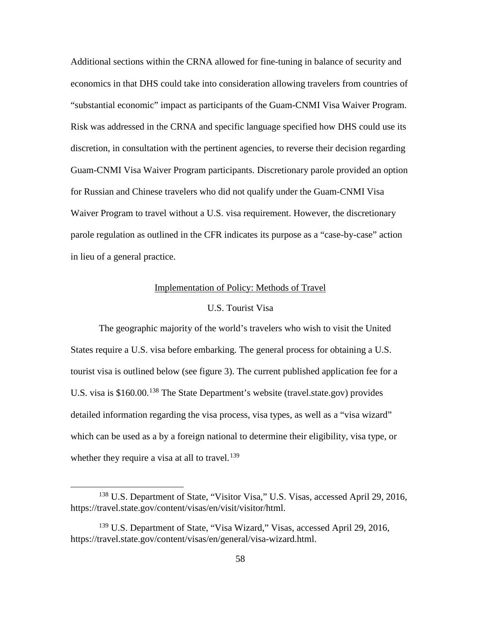Additional sections within the CRNA allowed for fine-tuning in balance of security and economics in that DHS could take into consideration allowing travelers from countries of "substantial economic" impact as participants of the Guam-CNMI Visa Waiver Program. Risk was addressed in the CRNA and specific language specified how DHS could use its discretion, in consultation with the pertinent agencies, to reverse their decision regarding Guam-CNMI Visa Waiver Program participants. Discretionary parole provided an option for Russian and Chinese travelers who did not qualify under the Guam-CNMI Visa Waiver Program to travel without a U.S. visa requirement. However, the discretionary parole regulation as outlined in the CFR indicates its purpose as a "case-by-case" action in lieu of a general practice.

#### Implementation of Policy: Methods of Travel

#### U.S. Tourist Visa

The geographic majority of the world's travelers who wish to visit the United States require a U.S. visa before embarking. The general process for obtaining a U.S. tourist visa is outlined below (see figure 3). The current published application fee for a U.S. visa is \$160.00.<sup>[138](#page-67-0)</sup> The State Department's website (travel.state.gov) provides detailed information regarding the visa process, visa types, as well as a "visa wizard" which can be used as a by a foreign national to determine their eligibility, visa type, or whether they require a visa at all to travel.<sup>[139](#page-67-1)</sup>

<span id="page-67-0"></span> <sup>138</sup> U.S. Department of State, "Visitor Visa," U.S. Visas, accessed April 29, 2016, https://travel.state.gov/content/visas/en/visit/visitor/html.

<span id="page-67-1"></span><sup>&</sup>lt;sup>139</sup> U.S. Department of State, "Visa Wizard," Visas, accessed April 29, 2016, https://travel.state.gov/content/visas/en/general/visa-wizard.html.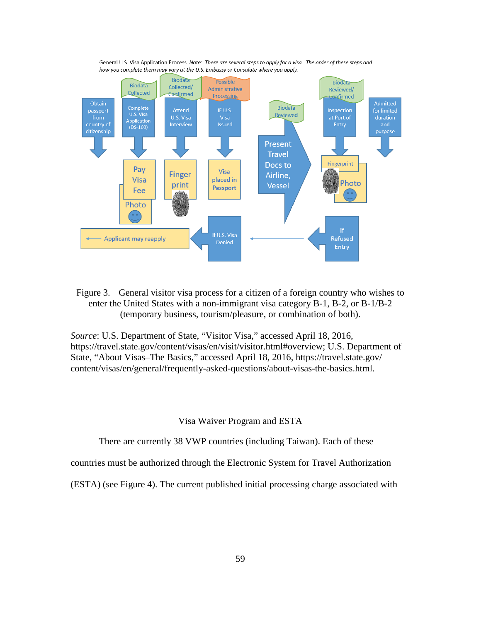

General U.S. Visa Application Process Note: There are several steps to apply for a visa. The order of these steps and how you complete them may vary at the U.S. Embassy or Consulate where you apply.

Figure 3. General visitor visa process for a citizen of a foreign country who wishes to enter the United States with a non-immigrant visa category B-1, B-2, or B-1/B-2 (temporary business, tourism/pleasure, or combination of both).

*Source*: U.S. Department of State, "Visitor Visa," accessed April 18, 2016, https://travel.state.gov/content/visas/en/visit/visitor.html#overview; U.S. Department of State, "About Visas–The Basics," accessed April 18, 2016, https://travel.state.gov/ content/visas/en/general/frequently-asked-questions/about-visas-the-basics.html.

Visa Waiver Program and ESTA

There are currently 38 VWP countries (including Taiwan). Each of these

countries must be authorized through the Electronic System for Travel Authorization

(ESTA) (see Figure 4). The current published initial processing charge associated with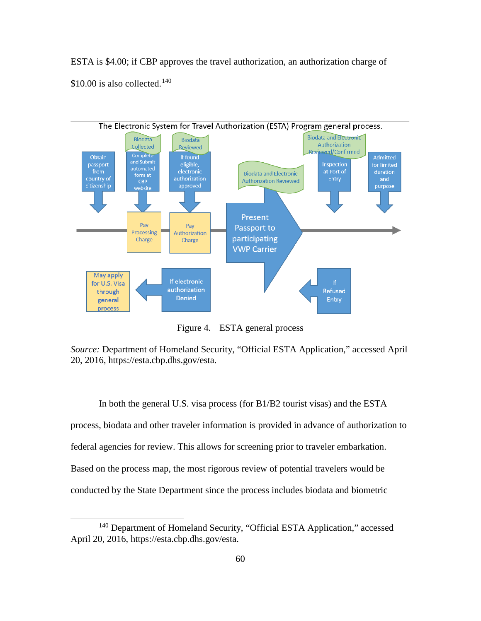ESTA is \$4.00; if CBP approves the travel authorization, an authorization charge of \$10.00 is also collected.<sup>[140](#page-69-0)</sup>



Figure 4. ESTA general process

*Source:* Department of Homeland Security, "Official ESTA Application," accessed April 20, 2016, https://esta.cbp.dhs.gov/esta.

In both the general U.S. visa process (for B1/B2 tourist visas) and the ESTA process, biodata and other traveler information is provided in advance of authorization to federal agencies for review. This allows for screening prior to traveler embarkation. Based on the process map, the most rigorous review of potential travelers would be conducted by the State Department since the process includes biodata and biometric

<span id="page-69-0"></span><sup>&</sup>lt;sup>140</sup> Department of Homeland Security, "Official ESTA Application," accessed April 20, 2016, https://esta.cbp.dhs.gov/esta.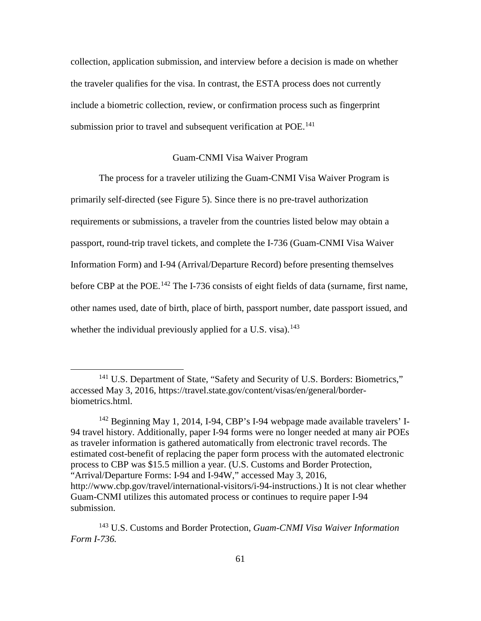collection, application submission, and interview before a decision is made on whether the traveler qualifies for the visa. In contrast, the ESTA process does not currently include a biometric collection, review, or confirmation process such as fingerprint submission prior to travel and subsequent verification at POE.<sup>[141](#page-70-0)</sup>

#### Guam-CNMI Visa Waiver Program

The process for a traveler utilizing the Guam-CNMI Visa Waiver Program is primarily self-directed (see Figure 5). Since there is no pre-travel authorization requirements or submissions, a traveler from the countries listed below may obtain a passport, round-trip travel tickets, and complete the I-736 (Guam-CNMI Visa Waiver Information Form) and I-94 (Arrival/Departure Record) before presenting themselves before CBP at the POE.<sup>[142](#page-70-1)</sup> The I-736 consists of eight fields of data (surname, first name, other names used, date of birth, place of birth, passport number, date passport issued, and whether the individual previously applied for a U.S. visa).<sup>[143](#page-70-2)</sup>

<span id="page-70-0"></span><sup>&</sup>lt;sup>141</sup> U.S. Department of State, "Safety and Security of U.S. Borders: Biometrics," accessed May 3, 2016, https://travel.state.gov/content/visas/en/general/borderbiometrics.html.

<span id="page-70-1"></span><sup>&</sup>lt;sup>142</sup> Beginning May 1, 2014, I-94, CBP's I-94 webpage made available travelers' I-94 travel history. Additionally, paper I-94 forms were no longer needed at many air POEs as traveler information is gathered automatically from electronic travel records. The estimated cost-benefit of replacing the paper form process with the automated electronic process to CBP was \$15.5 million a year. (U.S. Customs and Border Protection, "Arrival/Departure Forms: I-94 and I-94W," accessed May 3, 2016, http://www.cbp.gov/travel/international-visitors/i-94-instructions.) It is not clear whether Guam-CNMI utilizes this automated process or continues to require paper I-94 submission.

<span id="page-70-2"></span><sup>143</sup> U.S. Customs and Border Protection, *Guam-CNMI Visa Waiver Information Form I-736.*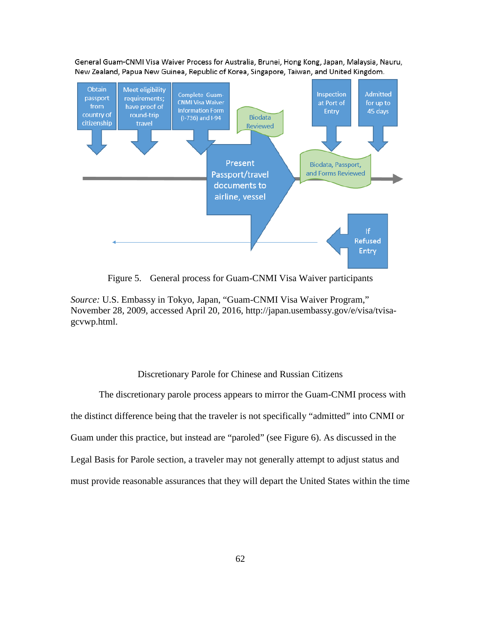General Guam-CNMI Visa Waiver Process for Australia, Brunei, Hong Kong, Japan, Malaysia, Nauru, New Zealand, Papua New Guinea, Republic of Korea, Singapore, Taiwan, and United Kingdom.



Figure 5. General process for Guam-CNMI Visa Waiver participants

*Source:* U.S. Embassy in Tokyo, Japan, "Guam-CNMI Visa Waiver Program," November 28, 2009, accessed April 20, 2016, http://japan.usembassy.gov/e/visa/tvisagcvwp.html.

## Discretionary Parole for Chinese and Russian Citizens

The discretionary parole process appears to mirror the Guam-CNMI process with the distinct difference being that the traveler is not specifically "admitted" into CNMI or Guam under this practice, but instead are "paroled" (see Figure 6). As discussed in the Legal Basis for Parole section, a traveler may not generally attempt to adjust status and must provide reasonable assurances that they will depart the United States within the time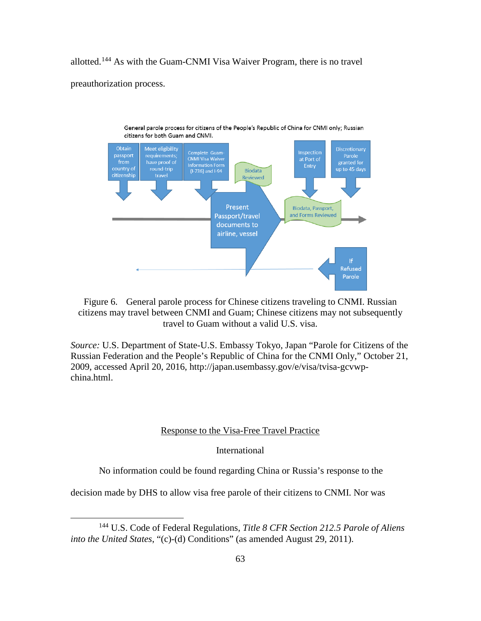allotted.[144](#page-72-0) As with the Guam-CNMI Visa Waiver Program, there is no travel preauthorization process.



Figure 6. General parole process for Chinese citizens traveling to CNMI. Russian citizens may travel between CNMI and Guam; Chinese citizens may not subsequently travel to Guam without a valid U.S. visa.

*Source:* U.S. Department of State-U.S. Embassy Tokyo, Japan "Parole for Citizens of the Russian Federation and the People's Republic of China for the CNMI Only," October 21, 2009, accessed April 20, 2016, http://japan.usembassy.gov/e/visa/tvisa-gcvwpchina.html.

### Response to the Visa-Free Travel Practice

International

No information could be found regarding China or Russia's response to the

decision made by DHS to allow visa free parole of their citizens to CNMI. Nor was

<span id="page-72-0"></span> <sup>144</sup> U.S. Code of Federal Regulations, *Title 8 CFR Section 212.5 Parole of Aliens into the United States*, "(c)-(d) Conditions" (as amended August 29, 2011).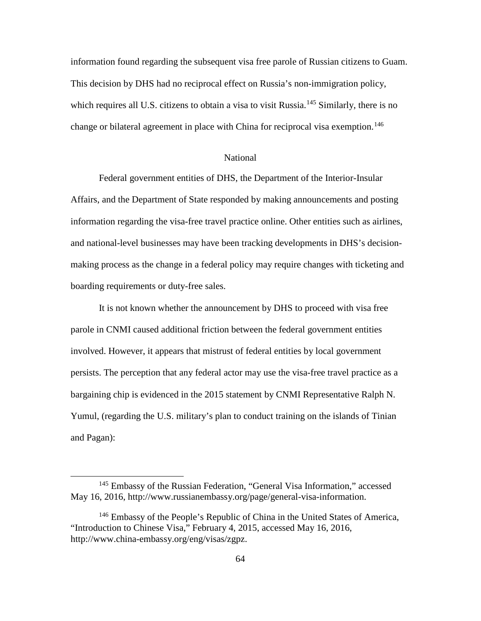information found regarding the subsequent visa free parole of Russian citizens to Guam. This decision by DHS had no reciprocal effect on Russia's non-immigration policy, which requires all U.S. citizens to obtain a visa to visit Russia.<sup>[145](#page-73-0)</sup> Similarly, there is no change or bilateral agreement in place with China for reciprocal visa exemption.<sup>[146](#page-73-1)</sup>

#### National

Federal government entities of DHS, the Department of the Interior-Insular Affairs, and the Department of State responded by making announcements and posting information regarding the visa-free travel practice online. Other entities such as airlines, and national-level businesses may have been tracking developments in DHS's decisionmaking process as the change in a federal policy may require changes with ticketing and boarding requirements or duty-free sales.

It is not known whether the announcement by DHS to proceed with visa free parole in CNMI caused additional friction between the federal government entities involved. However, it appears that mistrust of federal entities by local government persists. The perception that any federal actor may use the visa-free travel practice as a bargaining chip is evidenced in the 2015 statement by CNMI Representative Ralph N. Yumul, (regarding the U.S. military's plan to conduct training on the islands of Tinian and Pagan):

<span id="page-73-0"></span> <sup>145</sup> Embassy of the Russian Federation, "General Visa Information," accessed May 16, 2016, http://www.russianembassy.org/page/general-visa-information.

<span id="page-73-1"></span> $146$  Embassy of the People's Republic of China in the United States of America, "Introduction to Chinese Visa," February 4, 2015, accessed May 16, 2016, http://www.china-embassy.org/eng/visas/zgpz.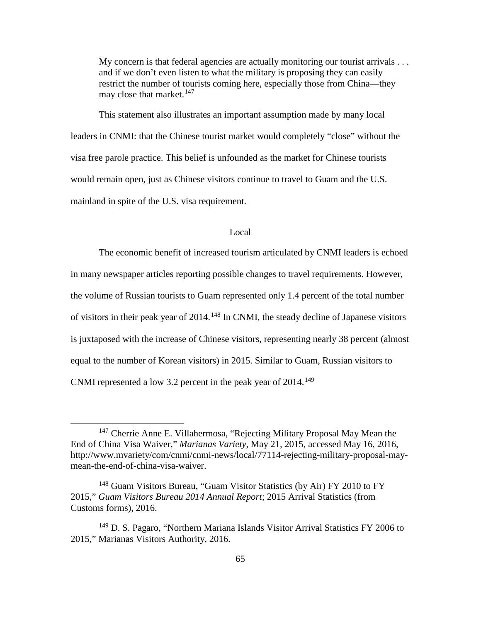My concern is that federal agencies are actually monitoring our tourist arrivals . . . and if we don't even listen to what the military is proposing they can easily restrict the number of tourists coming here, especially those from China—they may close that market.  $147$ 

This statement also illustrates an important assumption made by many local leaders in CNMI: that the Chinese tourist market would completely "close" without the visa free parole practice. This belief is unfounded as the market for Chinese tourists would remain open, just as Chinese visitors continue to travel to Guam and the U.S. mainland in spite of the U.S. visa requirement.

### Local

The economic benefit of increased tourism articulated by CNMI leaders is echoed in many newspaper articles reporting possible changes to travel requirements. However, the volume of Russian tourists to Guam represented only 1.4 percent of the total number of visitors in their peak year of  $2014$ .<sup>[148](#page-74-1)</sup> In CNMI, the steady decline of Japanese visitors is juxtaposed with the increase of Chinese visitors, representing nearly 38 percent (almost equal to the number of Korean visitors) in 2015. Similar to Guam, Russian visitors to CNMI represented a low 3.2 percent in the peak year of  $2014$ .<sup>[149](#page-74-2)</sup>

<span id="page-74-0"></span><sup>&</sup>lt;sup>147</sup> Cherrie Anne E. Villahermosa, "Rejecting Military Proposal May Mean the End of China Visa Waiver," *Marianas Variety*, May 21, 2015, accessed May 16, 2016, http://www.mvariety/com/cnmi/cnmi-news/local/77114-rejecting-military-proposal-maymean-the-end-of-china-visa-waiver.

<span id="page-74-1"></span><sup>&</sup>lt;sup>148</sup> Guam Visitors Bureau, "Guam Visitor Statistics (by Air) FY 2010 to FY 2015," *Guam Visitors Bureau 2014 Annual Report*; 2015 Arrival Statistics (from Customs forms), 2016.

<span id="page-74-2"></span><sup>149</sup> D. S. Pagaro, "Northern Mariana Islands Visitor Arrival Statistics FY 2006 to 2015," Marianas Visitors Authority, 2016.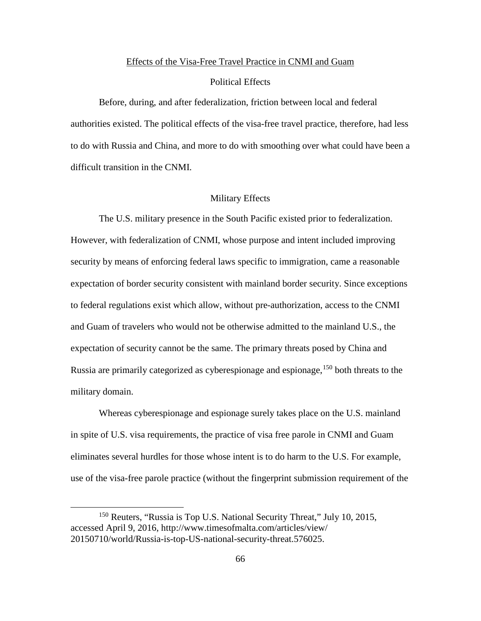#### Effects of the Visa-Free Travel Practice in CNMI and Guam

### Political Effects

Before, during, and after federalization, friction between local and federal authorities existed. The political effects of the visa-free travel practice, therefore, had less to do with Russia and China, and more to do with smoothing over what could have been a difficult transition in the CNMI.

# Military Effects

The U.S. military presence in the South Pacific existed prior to federalization. However, with federalization of CNMI, whose purpose and intent included improving security by means of enforcing federal laws specific to immigration, came a reasonable expectation of border security consistent with mainland border security. Since exceptions to federal regulations exist which allow, without pre-authorization, access to the CNMI and Guam of travelers who would not be otherwise admitted to the mainland U.S., the expectation of security cannot be the same. The primary threats posed by China and Russia are primarily categorized as cyberespionage and espionage, <sup>[150](#page-75-0)</sup> both threats to the military domain.

Whereas cyberespionage and espionage surely takes place on the U.S. mainland in spite of U.S. visa requirements, the practice of visa free parole in CNMI and Guam eliminates several hurdles for those whose intent is to do harm to the U.S. For example, use of the visa-free parole practice (without the fingerprint submission requirement of the

<span id="page-75-0"></span><sup>&</sup>lt;sup>150</sup> Reuters, "Russia is Top U.S. National Security Threat," July 10, 2015, accessed April 9, 2016, http://www.timesofmalta.com/articles/view/ 20150710/world/Russia-is-top-US-national-security-threat.576025.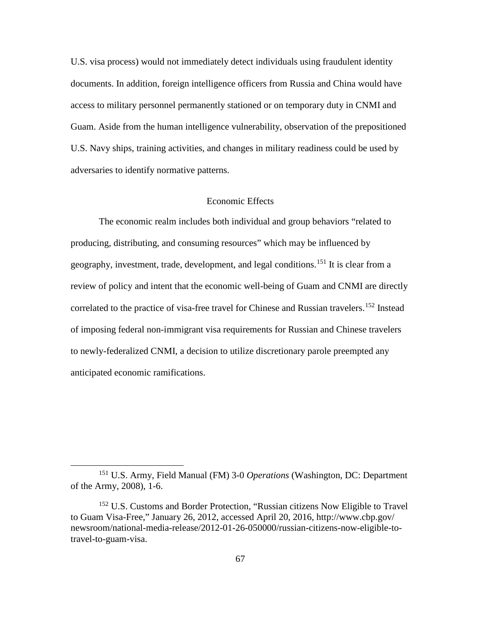U.S. visa process) would not immediately detect individuals using fraudulent identity documents. In addition, foreign intelligence officers from Russia and China would have access to military personnel permanently stationed or on temporary duty in CNMI and Guam. Aside from the human intelligence vulnerability, observation of the prepositioned U.S. Navy ships, training activities, and changes in military readiness could be used by adversaries to identify normative patterns.

### Economic Effects

The economic realm includes both individual and group behaviors "related to producing, distributing, and consuming resources" which may be influenced by geography, investment, trade, development, and legal conditions.<sup>[151](#page-76-0)</sup> It is clear from a review of policy and intent that the economic well-being of Guam and CNMI are directly correlated to the practice of visa-free travel for Chinese and Russian travelers.<sup>[152](#page-76-1)</sup> Instead of imposing federal non-immigrant visa requirements for Russian and Chinese travelers to newly-federalized CNMI, a decision to utilize discretionary parole preempted any anticipated economic ramifications.

<span id="page-76-0"></span> <sup>151</sup> U.S. Army, Field Manual (FM) 3-0 *Operations* (Washington, DC: Department of the Army, 2008), 1-6.

<span id="page-76-1"></span><sup>&</sup>lt;sup>152</sup> U.S. Customs and Border Protection, "Russian citizens Now Eligible to Travel to Guam Visa-Free," January 26, 2012, accessed April 20, 2016, http://www.cbp.gov/ newsroom/national-media-release/2012-01-26-050000/russian-citizens-now-eligible-totravel-to-guam-visa.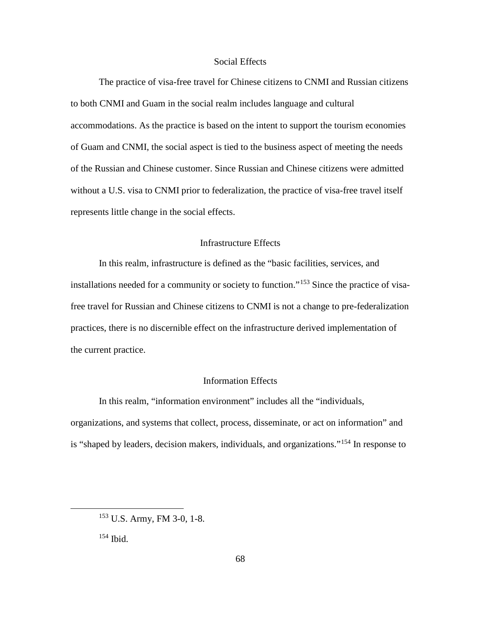## Social Effects

The practice of visa-free travel for Chinese citizens to CNMI and Russian citizens to both CNMI and Guam in the social realm includes language and cultural accommodations. As the practice is based on the intent to support the tourism economies of Guam and CNMI, the social aspect is tied to the business aspect of meeting the needs of the Russian and Chinese customer. Since Russian and Chinese citizens were admitted without a U.S. visa to CNMI prior to federalization, the practice of visa-free travel itself represents little change in the social effects.

## Infrastructure Effects

In this realm, infrastructure is defined as the "basic facilities, services, and installations needed for a community or society to function."<sup>[153](#page-77-0)</sup> Since the practice of visafree travel for Russian and Chinese citizens to CNMI is not a change to pre-federalization practices, there is no discernible effect on the infrastructure derived implementation of the current practice.

# Information Effects

In this realm, "information environment" includes all the "individuals, organizations, and systems that collect, process, disseminate, or act on information" and is "shaped by leaders, decision makers, individuals, and organizations."[154](#page-77-1) In response to

<span id="page-77-0"></span> <sup>153</sup> U.S. Army, FM 3-0, 1-8.

<span id="page-77-1"></span><sup>154</sup> Ibid.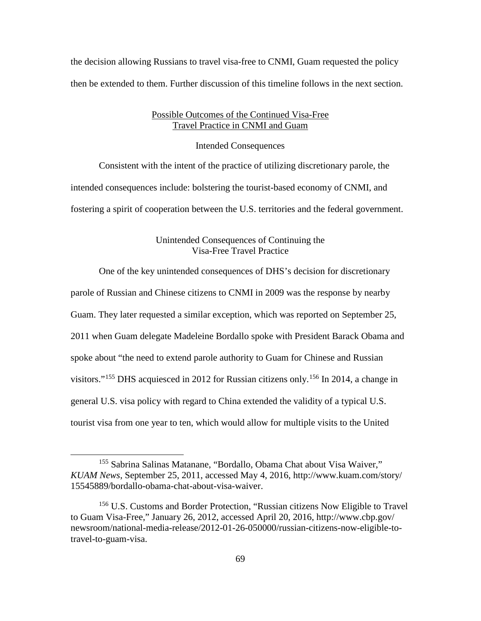the decision allowing Russians to travel visa-free to CNMI, Guam requested the policy then be extended to them. Further discussion of this timeline follows in the next section.

# Possible Outcomes of the Continued Visa-Free Travel Practice in CNMI and Guam

Intended Consequences

Consistent with the intent of the practice of utilizing discretionary parole, the intended consequences include: bolstering the tourist-based economy of CNMI, and fostering a spirit of cooperation between the U.S. territories and the federal government.

# Unintended Consequences of Continuing the Visa-Free Travel Practice

One of the key unintended consequences of DHS's decision for discretionary

parole of Russian and Chinese citizens to CNMI in 2009 was the response by nearby

Guam. They later requested a similar exception, which was reported on September 25,

2011 when Guam delegate Madeleine Bordallo spoke with President Barack Obama and

spoke about "the need to extend parole authority to Guam for Chinese and Russian

visitors."<sup>[155](#page-78-0)</sup> DHS acquiesced in 2012 for Russian citizens only.<sup>[156](#page-78-1)</sup> In 2014, a change in

general U.S. visa policy with regard to China extended the validity of a typical U.S.

tourist visa from one year to ten, which would allow for multiple visits to the United

<span id="page-78-0"></span> <sup>155</sup> Sabrina Salinas Matanane, "Bordallo, Obama Chat about Visa Waiver," *KUAM News*, September 25, 2011, accessed May 4, 2016, http://www.kuam.com/story/ 15545889/bordallo-obama-chat-about-visa-waiver.

<span id="page-78-1"></span><sup>156</sup> U.S. Customs and Border Protection, "Russian citizens Now Eligible to Travel to Guam Visa-Free," January 26, 2012, accessed April 20, 2016, http://www.cbp.gov/ newsroom/national-media-release/2012-01-26-050000/russian-citizens-now-eligible-totravel-to-guam-visa.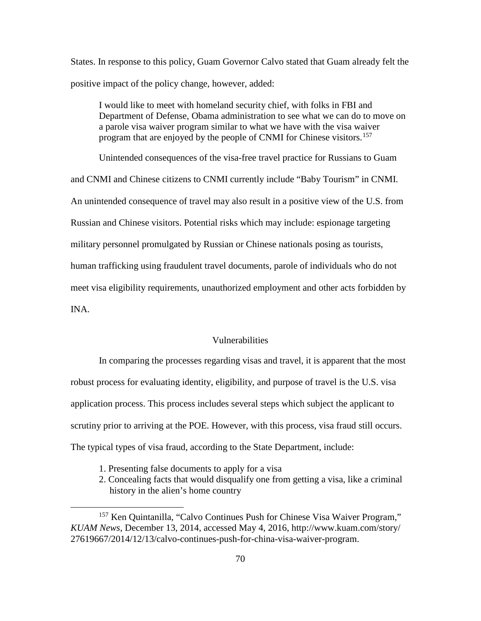States. In response to this policy, Guam Governor Calvo stated that Guam already felt the positive impact of the policy change, however, added:

I would like to meet with homeland security chief, with folks in FBI and Department of Defense, Obama administration to see what we can do to move on a parole visa waiver program similar to what we have with the visa waiver program that are enjoyed by the people of CNMI for Chinese visitors.<sup>[157](#page-79-0)</sup>

Unintended consequences of the visa-free travel practice for Russians to Guam and CNMI and Chinese citizens to CNMI currently include "Baby Tourism" in CNMI. An unintended consequence of travel may also result in a positive view of the U.S. from Russian and Chinese visitors. Potential risks which may include: espionage targeting military personnel promulgated by Russian or Chinese nationals posing as tourists, human trafficking using fraudulent travel documents, parole of individuals who do not meet visa eligibility requirements, unauthorized employment and other acts forbidden by INA.

## Vulnerabilities

In comparing the processes regarding visas and travel, it is apparent that the most robust process for evaluating identity, eligibility, and purpose of travel is the U.S. visa application process. This process includes several steps which subject the applicant to scrutiny prior to arriving at the POE. However, with this process, visa fraud still occurs. The typical types of visa fraud, according to the State Department, include:

- 1. Presenting false documents to apply for a visa
- 2. Concealing facts that would disqualify one from getting a visa, like a criminal history in the alien's home country

<span id="page-79-0"></span><sup>&</sup>lt;sup>157</sup> Ken Quintanilla, "Calvo Continues Push for Chinese Visa Waiver Program," *KUAM News*, December 13, 2014, accessed May 4, 2016, http://www.kuam.com/story/ 27619667/2014/12/13/calvo-continues-push-for-china-visa-waiver-program.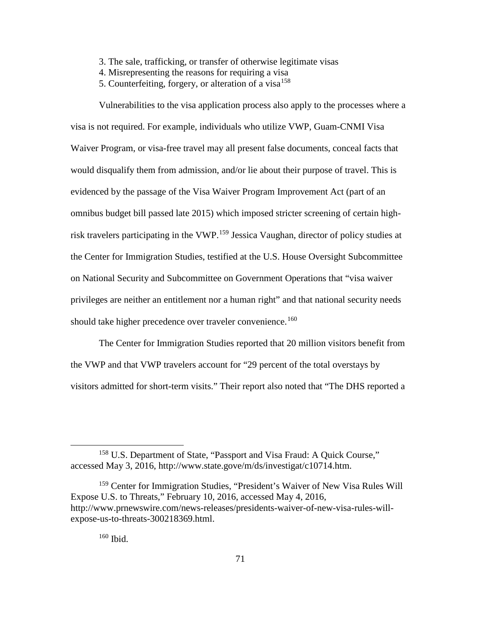- 3. The sale, trafficking, or transfer of otherwise legitimate visas
- 4. Misrepresenting the reasons for requiring a visa
- 5. Counterfeiting, forgery, or alteration of a visa $158$

Vulnerabilities to the visa application process also apply to the processes where a visa is not required. For example, individuals who utilize VWP, Guam-CNMI Visa Waiver Program, or visa-free travel may all present false documents, conceal facts that would disqualify them from admission, and/or lie about their purpose of travel. This is evidenced by the passage of the Visa Waiver Program Improvement Act (part of an omnibus budget bill passed late 2015) which imposed stricter screening of certain high-risk travelers participating in the VWP.<sup>[159](#page-80-1)</sup> Jessica Vaughan, director of policy studies at the Center for Immigration Studies, testified at the U.S. House Oversight Subcommittee on National Security and Subcommittee on Government Operations that "visa waiver privileges are neither an entitlement nor a human right" and that national security needs should take higher precedence over traveler convenience.<sup>[160](#page-80-2)</sup>

The Center for Immigration Studies reported that 20 million visitors benefit from the VWP and that VWP travelers account for "29 percent of the total overstays by visitors admitted for short-term visits." Their report also noted that "The DHS reported a

<span id="page-80-0"></span> <sup>158</sup> U.S. Department of State, "Passport and Visa Fraud: A Quick Course," accessed May 3, 2016, http://www.state.gove/m/ds/investigat/c10714.htm.

<span id="page-80-2"></span><span id="page-80-1"></span><sup>159</sup> Center for Immigration Studies, "President's Waiver of New Visa Rules Will Expose U.S. to Threats," February 10, 2016, accessed May 4, 2016, http://www.prnewswire.com/news-releases/presidents-waiver-of-new-visa-rules-willexpose-us-to-threats-300218369.html.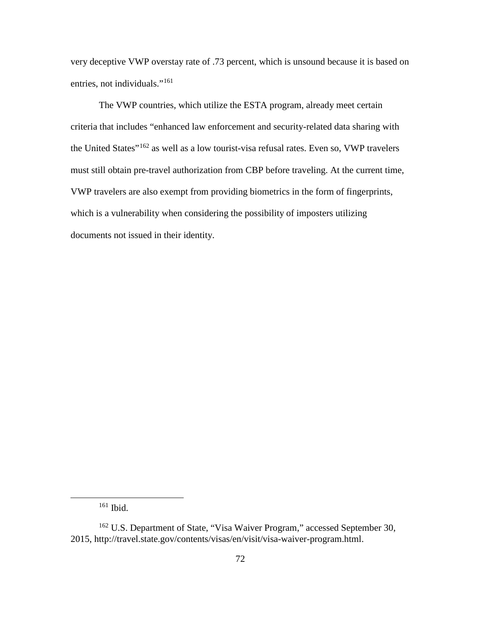very deceptive VWP overstay rate of .73 percent, which is unsound because it is based on entries, not individuals."<sup>[161](#page-81-0)</sup>

The VWP countries, which utilize the ESTA program, already meet certain criteria that includes "enhanced law enforcement and security-related data sharing with the United States"[162](#page-81-1) as well as a low tourist-visa refusal rates. Even so, VWP travelers must still obtain pre-travel authorization from CBP before traveling. At the current time, VWP travelers are also exempt from providing biometrics in the form of fingerprints, which is a vulnerability when considering the possibility of imposters utilizing documents not issued in their identity.

 <sup>161</sup> Ibid.

<span id="page-81-1"></span><span id="page-81-0"></span><sup>&</sup>lt;sup>162</sup> U.S. Department of State, "Visa Waiver Program," accessed September 30, 2015, http://travel.state.gov/contents/visas/en/visit/visa-waiver-program.html.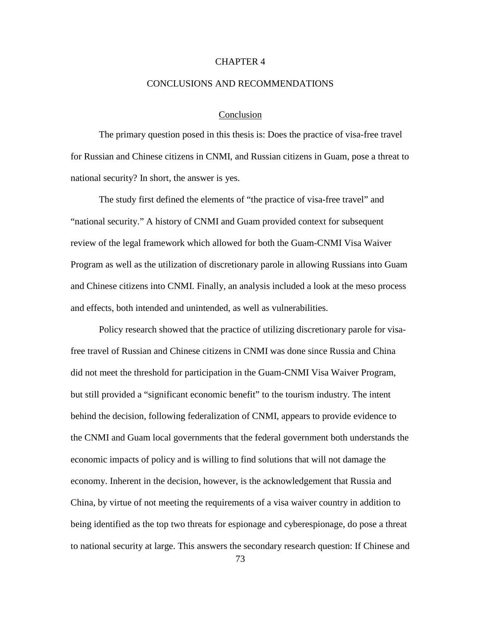### CHAPTER 4

### CONCLUSIONS AND RECOMMENDATIONS

### Conclusion

The primary question posed in this thesis is: Does the practice of visa-free travel for Russian and Chinese citizens in CNMI, and Russian citizens in Guam, pose a threat to national security? In short, the answer is yes.

The study first defined the elements of "the practice of visa-free travel" and "national security." A history of CNMI and Guam provided context for subsequent review of the legal framework which allowed for both the Guam-CNMI Visa Waiver Program as well as the utilization of discretionary parole in allowing Russians into Guam and Chinese citizens into CNMI. Finally, an analysis included a look at the meso process and effects, both intended and unintended, as well as vulnerabilities.

Policy research showed that the practice of utilizing discretionary parole for visafree travel of Russian and Chinese citizens in CNMI was done since Russia and China did not meet the threshold for participation in the Guam-CNMI Visa Waiver Program, but still provided a "significant economic benefit" to the tourism industry. The intent behind the decision, following federalization of CNMI, appears to provide evidence to the CNMI and Guam local governments that the federal government both understands the economic impacts of policy and is willing to find solutions that will not damage the economy. Inherent in the decision, however, is the acknowledgement that Russia and China, by virtue of not meeting the requirements of a visa waiver country in addition to being identified as the top two threats for espionage and cyberespionage, do pose a threat to national security at large. This answers the secondary research question: If Chinese and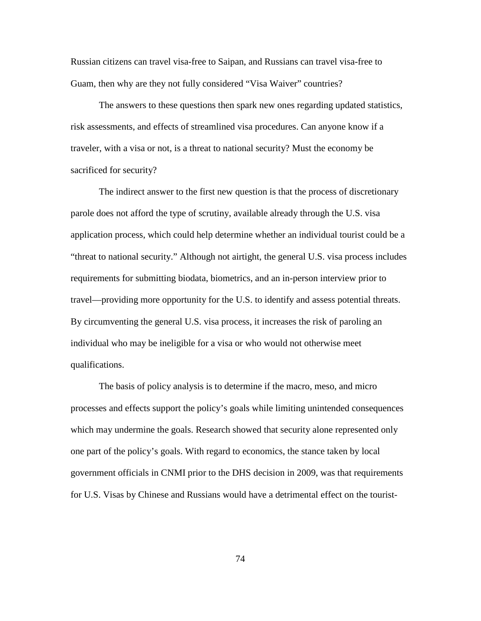Russian citizens can travel visa-free to Saipan, and Russians can travel visa-free to Guam, then why are they not fully considered "Visa Waiver" countries?

The answers to these questions then spark new ones regarding updated statistics, risk assessments, and effects of streamlined visa procedures. Can anyone know if a traveler, with a visa or not, is a threat to national security? Must the economy be sacrificed for security?

The indirect answer to the first new question is that the process of discretionary parole does not afford the type of scrutiny, available already through the U.S. visa application process, which could help determine whether an individual tourist could be a "threat to national security." Although not airtight, the general U.S. visa process includes requirements for submitting biodata, biometrics, and an in-person interview prior to travel—providing more opportunity for the U.S. to identify and assess potential threats. By circumventing the general U.S. visa process, it increases the risk of paroling an individual who may be ineligible for a visa or who would not otherwise meet qualifications.

The basis of policy analysis is to determine if the macro, meso, and micro processes and effects support the policy's goals while limiting unintended consequences which may undermine the goals. Research showed that security alone represented only one part of the policy's goals. With regard to economics, the stance taken by local government officials in CNMI prior to the DHS decision in 2009, was that requirements for U.S. Visas by Chinese and Russians would have a detrimental effect on the tourist-

74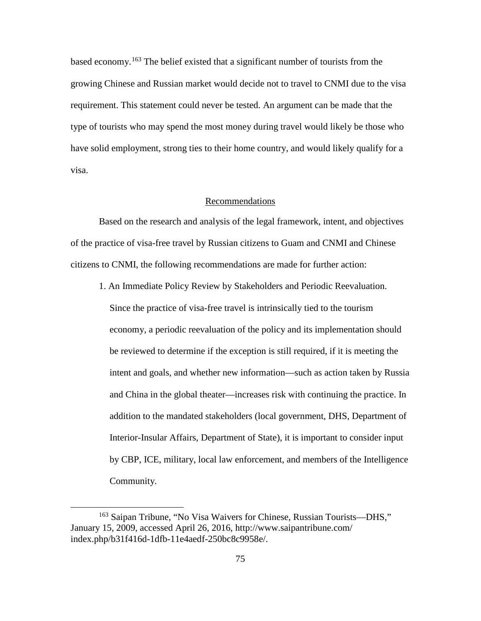based economy.[163](#page-84-0) The belief existed that a significant number of tourists from the growing Chinese and Russian market would decide not to travel to CNMI due to the visa requirement. This statement could never be tested. An argument can be made that the type of tourists who may spend the most money during travel would likely be those who have solid employment, strong ties to their home country, and would likely qualify for a visa.

#### Recommendations

Based on the research and analysis of the legal framework, intent, and objectives of the practice of visa-free travel by Russian citizens to Guam and CNMI and Chinese citizens to CNMI, the following recommendations are made for further action:

1. An Immediate Policy Review by Stakeholders and Periodic Reevaluation. Since the practice of visa-free travel is intrinsically tied to the tourism economy, a periodic reevaluation of the policy and its implementation should be reviewed to determine if the exception is still required, if it is meeting the intent and goals, and whether new information—such as action taken by Russia and China in the global theater—increases risk with continuing the practice. In addition to the mandated stakeholders (local government, DHS, Department of Interior-Insular Affairs, Department of State), it is important to consider input by CBP, ICE, military, local law enforcement, and members of the Intelligence Community.

<span id="page-84-0"></span> <sup>163</sup> Saipan Tribune, "No Visa Waivers for Chinese, Russian Tourists—DHS," January 15, 2009, accessed April 26, 2016, http://www.saipantribune.com/ index.php/b31f416d-1dfb-11e4aedf-250bc8c9958e/.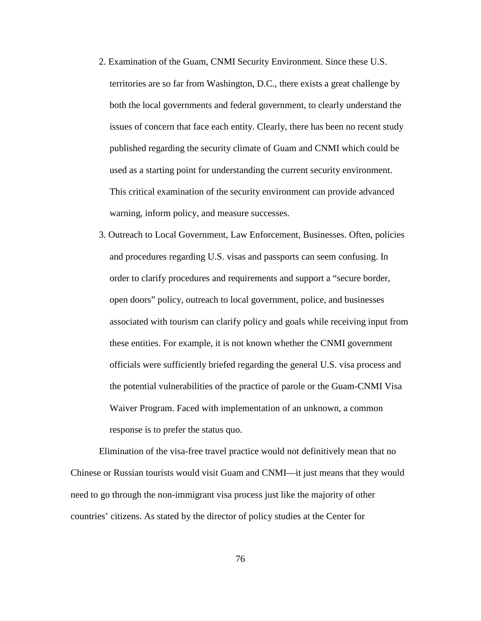- 2. Examination of the Guam, CNMI Security Environment. Since these U.S. territories are so far from Washington, D.C., there exists a great challenge by both the local governments and federal government, to clearly understand the issues of concern that face each entity. Clearly, there has been no recent study published regarding the security climate of Guam and CNMI which could be used as a starting point for understanding the current security environment. This critical examination of the security environment can provide advanced warning, inform policy, and measure successes.
- 3. Outreach to Local Government, Law Enforcement, Businesses. Often, policies and procedures regarding U.S. visas and passports can seem confusing. In order to clarify procedures and requirements and support a "secure border, open doors" policy, outreach to local government, police, and businesses associated with tourism can clarify policy and goals while receiving input from these entities. For example, it is not known whether the CNMI government officials were sufficiently briefed regarding the general U.S. visa process and the potential vulnerabilities of the practice of parole or the Guam-CNMI Visa Waiver Program. Faced with implementation of an unknown, a common response is to prefer the status quo.

Elimination of the visa-free travel practice would not definitively mean that no Chinese or Russian tourists would visit Guam and CNMI—it just means that they would need to go through the non-immigrant visa process just like the majority of other countries' citizens. As stated by the director of policy studies at the Center for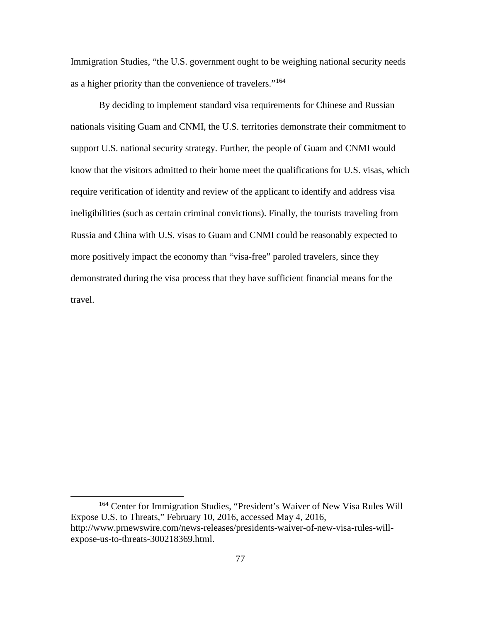Immigration Studies, "the U.S. government ought to be weighing national security needs as a higher priority than the convenience of travelers."[164](#page-86-0)

By deciding to implement standard visa requirements for Chinese and Russian nationals visiting Guam and CNMI, the U.S. territories demonstrate their commitment to support U.S. national security strategy. Further, the people of Guam and CNMI would know that the visitors admitted to their home meet the qualifications for U.S. visas, which require verification of identity and review of the applicant to identify and address visa ineligibilities (such as certain criminal convictions). Finally, the tourists traveling from Russia and China with U.S. visas to Guam and CNMI could be reasonably expected to more positively impact the economy than "visa-free" paroled travelers, since they demonstrated during the visa process that they have sufficient financial means for the travel.

<span id="page-86-0"></span> <sup>164</sup> Center for Immigration Studies, "President's Waiver of New Visa Rules Will Expose U.S. to Threats," February 10, 2016, accessed May 4, 2016, http://www.prnewswire.com/news-releases/presidents-waiver-of-new-visa-rules-willexpose-us-to-threats-300218369.html.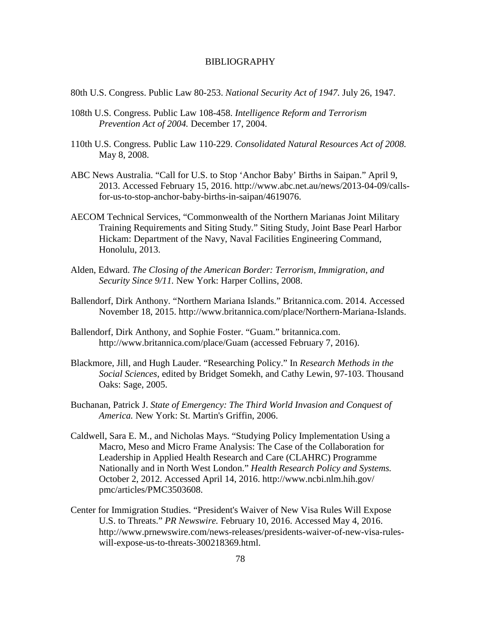### BIBLIOGRAPHY

- 80th U.S. Congress. Public Law 80-253. *National Security Act of 1947.* July 26, 1947.
- 108th U.S. Congress. Public Law 108-458. *Intelligence Reform and Terrorism Prevention Act of 2004.* December 17, 2004.
- 110th U.S. Congress. Public Law 110-229. *Consolidated Natural Resources Act of 2008.* May 8, 2008.
- ABC News Australia. "Call for U.S. to Stop 'Anchor Baby' Births in Saipan." April 9, 2013. Accessed February 15, 2016. http://www.abc.net.au/news/2013-04-09/callsfor-us-to-stop-anchor-baby-births-in-saipan/4619076.
- AECOM Technical Services, "Commonwealth of the Northern Marianas Joint Military Training Requirements and Siting Study." Siting Study, Joint Base Pearl Harbor Hickam: Department of the Navy, Naval Facilities Engineering Command, Honolulu, 2013.
- Alden, Edward. *The Closing of the American Border: Terrorism, Immigration, and Security Since 9/11.* New York: Harper Collins, 2008.
- Ballendorf, Dirk Anthony. "Northern Mariana Islands." Britannica.com. 2014. Accessed November 18, 2015. http://www.britannica.com/place/Northern-Mariana-Islands.
- Ballendorf, Dirk Anthony, and Sophie Foster. "Guam." britannica.com. http://www.britannica.com/place/Guam (accessed February 7, 2016).
- Blackmore, Jill, and Hugh Lauder. "Researching Policy." In *Research Methods in the Social Sciences*, edited by Bridget Somekh, and Cathy Lewin, 97-103. Thousand Oaks: Sage, 2005.
- Buchanan, Patrick J. *State of Emergency: The Third World Invasion and Conquest of America.* New York: St. Martin's Griffin, 2006.
- Caldwell, Sara E. M., and Nicholas Mays. "Studying Policy Implementation Using a Macro, Meso and Micro Frame Analysis: The Case of the Collaboration for Leadership in Applied Health Research and Care (CLAHRC) Programme Nationally and in North West London." *Health Research Policy and Systems.* October 2, 2012. Accessed April 14, 2016. http://www.ncbi.nlm.hih.gov/ pmc/articles/PMC3503608.
- Center for Immigration Studies. "President's Waiver of New Visa Rules Will Expose U.S. to Threats." *PR Newswire.* February 10, 2016. Accessed May 4, 2016. http://www.prnewswire.com/news-releases/presidents-waiver-of-new-visa-ruleswill-expose-us-to-threats-300218369.html.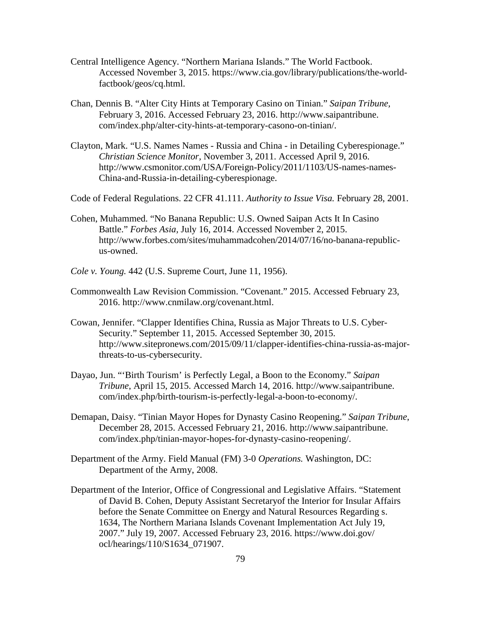- Central Intelligence Agency. "Northern Mariana Islands." The World Factbook. Accessed November 3, 2015. https://www.cia.gov/library/publications/the-worldfactbook/geos/cq.html.
- Chan, Dennis B. "Alter City Hints at Temporary Casino on Tinian." *Saipan Tribune,* February 3, 2016. Accessed February 23, 2016. http://www.saipantribune. com/index.php/alter-city-hints-at-temporary-casono-on-tinian/.
- Clayton, Mark. "U.S. Names Names Russia and China in Detailing Cyberespionage." *Christian Science Monitor,* November 3, 2011. Accessed April 9, 2016. http://www.csmonitor.com/USA/Foreign-Policy/2011/1103/US-names-names-China-and-Russia-in-detailing-cyberespionage.
- Code of Federal Regulations. 22 CFR 41.111. *Authority to Issue Visa.* February 28, 2001.
- Cohen, Muhammed. "No Banana Republic: U.S. Owned Saipan Acts It In Casino Battle." *Forbes Asia,* July 16, 2014. Accessed November 2, 2015. http://www.forbes.com/sites/muhammadcohen/2014/07/16/no-banana-republicus-owned.
- *Cole v. Young.* 442 (U.S. Supreme Court, June 11, 1956).
- Commonwealth Law Revision Commission. "Covenant." 2015. Accessed February 23, 2016. http://www.cnmilaw.org/covenant.html.
- Cowan, Jennifer. "Clapper Identifies China, Russia as Major Threats to U.S. Cyber-Security." September 11, 2015. Accessed September 30, 2015. http://www.sitepronews.com/2015/09/11/clapper-identifies-china-russia-as-majorthreats-to-us-cybersecurity.
- Dayao, Jun. "'Birth Tourism' is Perfectly Legal, a Boon to the Economy." *Saipan Tribune*, April 15, 2015. Accessed March 14, 2016. http://www.saipantribune. com/index.php/birth-tourism-is-perfectly-legal-a-boon-to-economy/.
- Demapan, Daisy. "Tinian Mayor Hopes for Dynasty Casino Reopening." *Saipan Tribune*, December 28, 2015. Accessed February 21, 2016. http://www.saipantribune. com/index.php/tinian-mayor-hopes-for-dynasty-casino-reopening/.
- Department of the Army. Field Manual (FM) 3-0 *Operations.* Washington, DC: Department of the Army, 2008.
- Department of the Interior, Office of Congressional and Legislative Affairs. "Statement of David B. Cohen, Deputy Assistant Secretaryof the Interior for Insular Affairs before the Senate Committee on Energy and Natural Resources Regarding s. 1634, The Northern Mariana Islands Covenant Implementation Act July 19, 2007." July 19, 2007. Accessed February 23, 2016. https://www.doi.gov/ ocl/hearings/110/S1634\_071907.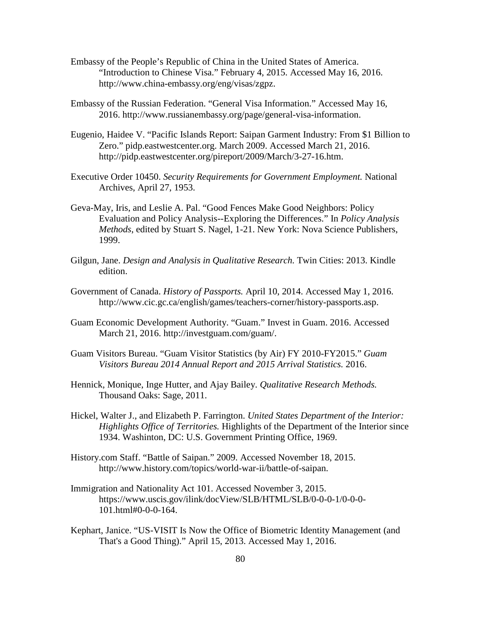- Embassy of the People's Republic of China in the United States of America. "Introduction to Chinese Visa." February 4, 2015. Accessed May 16, 2016. http://www.china-embassy.org/eng/visas/zgpz.
- Embassy of the Russian Federation. "General Visa Information." Accessed May 16, 2016. http://www.russianembassy.org/page/general-visa-information.
- Eugenio, Haidee V. "Pacific Islands Report: Saipan Garment Industry: From \$1 Billion to Zero." pidp.eastwestcenter.org. March 2009. Accessed March 21, 2016. http://pidp.eastwestcenter.org/pireport/2009/March/3-27-16.htm.
- Executive Order 10450. *Security Requirements for Government Employment.* National Archives, April 27, 1953.
- Geva-May, Iris, and Leslie A. Pal. "Good Fences Make Good Neighbors: Policy Evaluation and Policy Analysis--Exploring the Differences." In *Policy Analysis Methods*, edited by Stuart S. Nagel, 1-21. New York: Nova Science Publishers, 1999.
- Gilgun, Jane. *Design and Analysis in Qualitative Research.* Twin Cities: 2013. Kindle edition.
- Government of Canada. *History of Passports.* April 10, 2014. Accessed May 1, 2016. http://www.cic.gc.ca/english/games/teachers-corner/history-passports.asp.
- Guam Economic Development Authority. "Guam." Invest in Guam. 2016. Accessed March 21, 2016. http://investguam.com/guam/.
- Guam Visitors Bureau. "Guam Visitor Statistics (by Air) FY 2010-FY2015." *Guam Visitors Bureau 2014 Annual Report and 2015 Arrival Statistics.* 2016.
- Hennick, Monique, Inge Hutter, and Ajay Bailey. *Qualitative Research Methods.* Thousand Oaks: Sage, 2011.
- Hickel, Walter J., and Elizabeth P. Farrington. *United States Department of the Interior: Highlights Office of Territories.* Highlights of the Department of the Interior since 1934. Washinton, DC: U.S. Government Printing Office, 1969.
- History.com Staff. "Battle of Saipan." 2009. Accessed November 18, 2015. http://www.history.com/topics/world-war-ii/battle-of-saipan.
- Immigration and Nationality Act 101. Accessed November 3, 2015. https://www.uscis.gov/ilink/docView/SLB/HTML/SLB/0-0-0-1/0-0-0- 101.html#0-0-0-164.
- Kephart, Janice. "US-VISIT Is Now the Office of Biometric Identity Management (and That's a Good Thing)." April 15, 2013. Accessed May 1, 2016.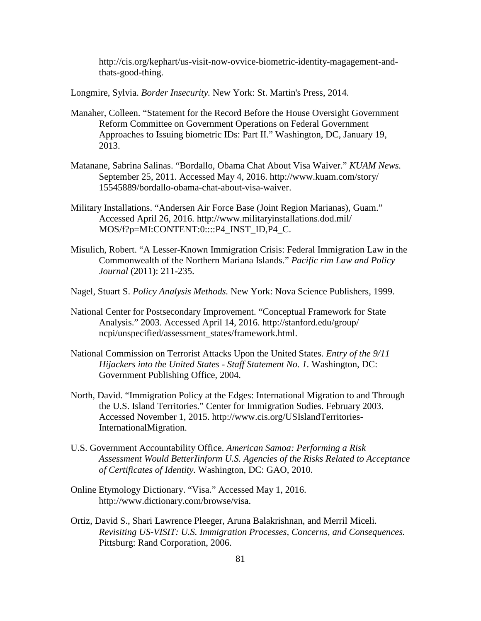http://cis.org/kephart/us-visit-now-ovvice-biometric-identity-magagement-andthats-good-thing.

Longmire, Sylvia. *Border Insecurity.* New York: St. Martin's Press, 2014.

- Manaher, Colleen. "Statement for the Record Before the House Oversight Government Reform Committee on Government Operations on Federal Government Approaches to Issuing biometric IDs: Part II." Washington, DC, January 19, 2013.
- Matanane, Sabrina Salinas. "Bordallo, Obama Chat About Visa Waiver." *KUAM News.* September 25, 2011. Accessed May 4, 2016. http://www.kuam.com/story/ 15545889/bordallo-obama-chat-about-visa-waiver.
- Military Installations. "Andersen Air Force Base (Joint Region Marianas), Guam." Accessed April 26, 2016. http://www.militaryinstallations.dod.mil/ MOS/f?p=MI:CONTENT:0::::P4\_INST\_ID,P4\_C.
- Misulich, Robert. "A Lesser-Known Immigration Crisis: Federal Immigration Law in the Commonwealth of the Northern Mariana Islands." *Pacific rim Law and Policy Journal* (2011): 211-235.
- Nagel, Stuart S. *Policy Analysis Methods.* New York: Nova Science Publishers, 1999.
- National Center for Postsecondary Improvement. "Conceptual Framework for State Analysis." 2003. Accessed April 14, 2016. http://stanford.edu/group/ ncpi/unspecified/assessment\_states/framework.html.
- National Commission on Terrorist Attacks Upon the United States. *Entry of the 9/11 Hijackers into the United States - Staff Statement No. 1.* Washington, DC: Government Publishing Office, 2004.
- North, David. "Immigration Policy at the Edges: International Migration to and Through the U.S. Island Territories." Center for Immigration Sudies. February 2003. Accessed November 1, 2015. http://www.cis.org/USIslandTerritories-InternationalMigration.
- U.S. Government Accountability Office. *American Samoa: Performing a Risk Assessment Would BetterIinform U.S. Agencies of the Risks Related to Acceptance of Certificates of Identity.* Washington, DC: GAO, 2010.
- Online Etymology Dictionary. "Visa." Accessed May 1, 2016. http://www.dictionary.com/browse/visa.
- Ortiz, David S., Shari Lawrence Pleeger, Aruna Balakrishnan, and Merril Miceli. *Revisiting US-VISIT: U.S. Immigration Processes, Concerns, and Consequences.* Pittsburg: Rand Corporation, 2006.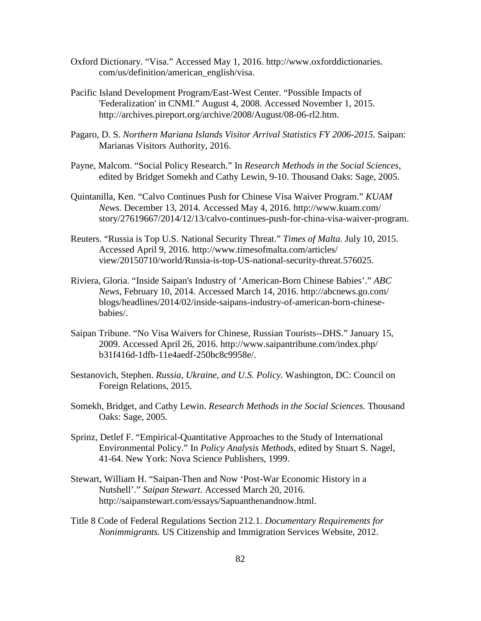- Oxford Dictionary. "Visa." Accessed May 1, 2016. http://www.oxforddictionaries. com/us/definition/american\_english/visa.
- Pacific Island Development Program/East-West Center. "Possible Impacts of 'Federalization' in CNMI." August 4, 2008. Accessed November 1, 2015. http://archives.pireport.org/archive/2008/August/08-06-rl2.htm.
- Pagaro, D. S. *Northern Mariana Islands Visitor Arrival Statistics FY 2006-2015.* Saipan: Marianas Visitors Authority, 2016.
- Payne, Malcom. "Social Policy Research." In *Research Methods in the Social Sciences*, edited by Bridget Somekh and Cathy Lewin, 9-10. Thousand Oaks: Sage, 2005.
- Quintanilla, Ken. "Calvo Continues Push for Chinese Visa Waiver Program." *KUAM News.* December 13, 2014. Accessed May 4, 2016. http://www.kuam.com/ story/27619667/2014/12/13/calvo-continues-push-for-china-visa-waiver-program.
- Reuters. "Russia is Top U.S. National Security Threat." *Times of Malta.* July 10, 2015. Accessed April 9, 2016. http://www.timesofmalta.com/articles/ view/20150710/world/Russia-is-top-US-national-security-threat.576025.
- Riviera, Gloria. "Inside Saipan's Industry of 'American-Born Chinese Babies'." *ABC News,* February 10, 2014. Accessed March 14, 2016. http://abcnews.go.com/ blogs/headlines/2014/02/inside-saipans-industry-of-american-born-chinesebabies/.
- Saipan Tribune. "No Visa Waivers for Chinese, Russian Tourists--DHS." January 15, 2009. Accessed April 26, 2016. http://www.saipantribune.com/index.php/ b31f416d-1dfb-11e4aedf-250bc8c9958e/.
- Sestanovich, Stephen. *Russia, Ukraine, and U.S. Policy.* Washington, DC: Council on Foreign Relations, 2015.
- Somekh, Bridget, and Cathy Lewin. *Research Methods in the Social Sciences.* Thousand Oaks: Sage, 2005.
- Sprinz, Detlef F. "Empirical-Quantitative Approaches to the Study of International Environmental Policy." In *Policy Analysis Methods*, edited by Stuart S. Nagel, 41-64. New York: Nova Science Publishers, 1999.
- Stewart, William H. "Saipan-Then and Now 'Post-War Economic History in a Nutshell'." *Saipan Stewart.* Accessed March 20, 2016. http://saipanstewart.com/essays/Sapuanthenandnow.html.
- Title 8 Code of Federal Regulations Section 212.1. *Documentary Requirements for Nonimmigrants.* US Citizenship and Immigration Services Website, 2012.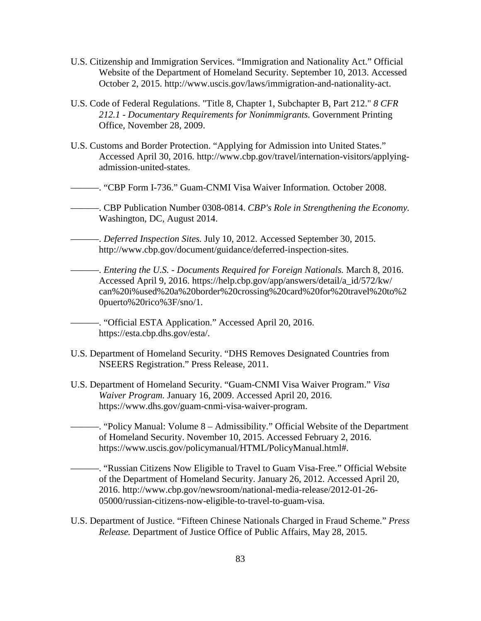- U.S. Citizenship and Immigration Services. "Immigration and Nationality Act." Official Website of the Department of Homeland Security. September 10, 2013. Accessed October 2, 2015. http://www.uscis.gov/laws/immigration-and-nationality-act.
- U.S. Code of Federal Regulations. "Title 8, Chapter 1, Subchapter B, Part 212." *8 CFR 212.1 - Documentary Requirements for Nonimmigrants.* Government Printing Office, November 28, 2009.
- U.S. Customs and Border Protection. "Applying for Admission into United States." Accessed April 30, 2016. http://www.cbp.gov/travel/internation-visitors/applyingadmission-united-states.
- ———. "CBP Form I-736." Guam-CNMI Visa Waiver Information*.* October 2008.
- ———. CBP Publication Number 0308-0814. *CBP's Role in Strengthening the Economy.* Washington, DC, August 2014.
	- ———. *Deferred Inspection Sites.* July 10, 2012. Accessed September 30, 2015. http://www.cbp.gov/document/guidance/deferred-inspection-sites.

———. *Entering the U.S. - Documents Required for Foreign Nationals.* March 8, 2016. Accessed April 9, 2016. https://help.cbp.gov/app/answers/detail/a\_id/572/kw/ can%20i%used%20a%20border%20crossing%20card%20for%20travel%20to%2 0puerto%20rico%3F/sno/1.

———. "Official ESTA Application." Accessed April 20, 2016. https://esta.cbp.dhs.gov/esta/.

- U.S. Department of Homeland Security. "DHS Removes Designated Countries from NSEERS Registration." Press Release, 2011.
- U.S. Department of Homeland Security. "Guam-CNMI Visa Waiver Program." *Visa Waiver Program.* January 16, 2009. Accessed April 20, 2016. https://www.dhs.gov/guam-cnmi-visa-waiver-program.
	- ———. "Policy Manual: Volume 8 Admissibility." Official Website of the Department of Homeland Security. November 10, 2015. Accessed February 2, 2016. https://www.uscis.gov/policymanual/HTML/PolicyManual.html#.
		- ———. "Russian Citizens Now Eligible to Travel to Guam Visa-Free." Official Website of the Department of Homeland Security. January 26, 2012. Accessed April 20, 2016. http://www.cbp.gov/newsroom/national-media-release/2012-01-26- 05000/russian-citizens-now-eligible-to-travel-to-guam-visa.
- U.S. Department of Justice. "Fifteen Chinese Nationals Charged in Fraud Scheme." *Press Release.* Department of Justice Office of Public Affairs, May 28, 2015.